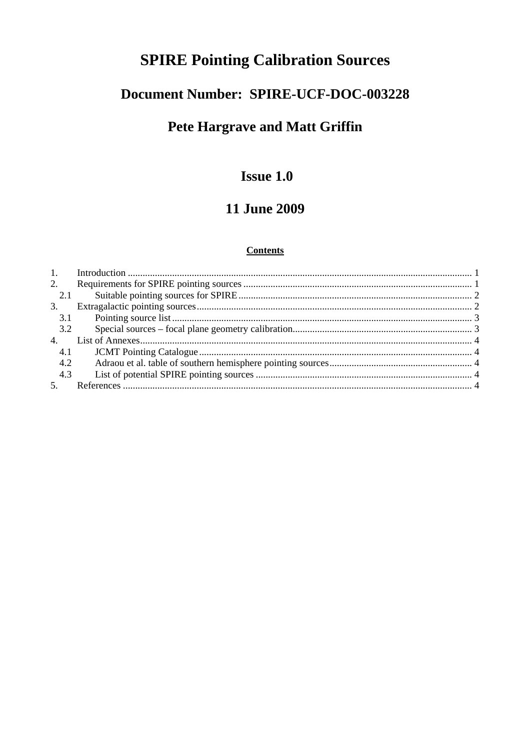# **SPIRE Pointing Calibration Sources**

## Document Number: SPIRE-UCF-DOC-003228

# Pete Hargrave and Matt Griffin

## **Issue 1.0**

## **11 June 2009**

#### **Contents**

| -1. |  |
|-----|--|
| 2.  |  |
| 2.1 |  |
| 3.  |  |
| 3.1 |  |
| 3.2 |  |
| 4.  |  |
| 4.1 |  |
| 4.2 |  |
| 4.3 |  |
| 5.  |  |
|     |  |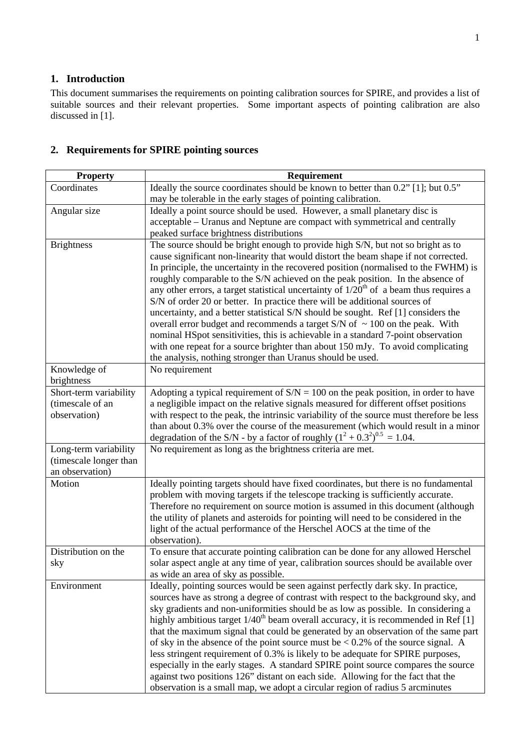#### **1. Introduction**

This document summarises the requirements on pointing calibration sources for SPIRE, and provides a list of suitable sources and their relevant properties. Some important aspects of pointing calibration are also discussed in [1].

| <b>Property</b>        | Requirement                                                                                                                                                             |
|------------------------|-------------------------------------------------------------------------------------------------------------------------------------------------------------------------|
| Coordinates            | Ideally the source coordinates should be known to better than 0.2" [1]; but 0.5"                                                                                        |
|                        | may be tolerable in the early stages of pointing calibration.                                                                                                           |
| Angular size           | Ideally a point source should be used. However, a small planetary disc is                                                                                               |
|                        | acceptable – Uranus and Neptune are compact with symmetrical and centrally                                                                                              |
|                        | peaked surface brightness distributions                                                                                                                                 |
| <b>Brightness</b>      | The source should be bright enough to provide high S/N, but not so bright as to                                                                                         |
|                        | cause significant non-linearity that would distort the beam shape if not corrected.                                                                                     |
|                        | In principle, the uncertainty in the recovered position (normalised to the FWHM) is                                                                                     |
|                        | roughly comparable to the S/N achieved on the peak position. In the absence of                                                                                          |
|                        | any other errors, a target statistical uncertainty of $1/20th$ of a beam thus requires a                                                                                |
|                        | S/N of order 20 or better. In practice there will be additional sources of                                                                                              |
|                        | uncertainty, and a better statistical S/N should be sought. Ref [1] considers the                                                                                       |
|                        | overall error budget and recommends a target S/N of $\sim$ 100 on the peak. With                                                                                        |
|                        | nominal HSpot sensitivities, this is achievable in a standard 7-point observation<br>with one repeat for a source brighter than about 150 mJy. To avoid complicating    |
|                        | the analysis, nothing stronger than Uranus should be used.                                                                                                              |
| Knowledge of           | No requirement                                                                                                                                                          |
| brightness             |                                                                                                                                                                         |
| Short-term variability | Adopting a typical requirement of $S/N = 100$ on the peak position, in order to have                                                                                    |
| (timescale of an       | a negligible impact on the relative signals measured for different offset positions                                                                                     |
| observation)           | with respect to the peak, the intrinsic variability of the source must therefore be less                                                                                |
|                        | than about 0.3% over the course of the measurement (which would result in a minor                                                                                       |
|                        | degradation of the S/N - by a factor of roughly $(1^2 + 0.3^2)^{0.5} = 1.04$ .                                                                                          |
| Long-term variability  | No requirement as long as the brightness criteria are met.                                                                                                              |
| (timescale longer than |                                                                                                                                                                         |
| an observation)        |                                                                                                                                                                         |
| Motion                 | Ideally pointing targets should have fixed coordinates, but there is no fundamental                                                                                     |
|                        | problem with moving targets if the telescope tracking is sufficiently accurate.                                                                                         |
|                        | Therefore no requirement on source motion is assumed in this document (although                                                                                         |
|                        | the utility of planets and asteroids for pointing will need to be considered in the                                                                                     |
|                        | light of the actual performance of the Herschel AOCS at the time of the                                                                                                 |
|                        | observation).                                                                                                                                                           |
| Distribution on the    | To ensure that accurate pointing calibration can be done for any allowed Herschel                                                                                       |
| sky                    | solar aspect angle at any time of year, calibration sources should be available over                                                                                    |
|                        | as wide an area of sky as possible.                                                                                                                                     |
| Environment            | Ideally, pointing sources would be seen against perfectly dark sky. In practice,<br>sources have as strong a degree of contrast with respect to the background sky, and |
|                        | sky gradients and non-uniformities should be as low as possible. In considering a                                                                                       |
|                        | highly ambitious target $1/40th$ beam overall accuracy, it is recommended in Ref [1]                                                                                    |
|                        | that the maximum signal that could be generated by an observation of the same part                                                                                      |
|                        | of sky in the absence of the point source must be $< 0.2\%$ of the source signal. A                                                                                     |
|                        | less stringent requirement of 0.3% is likely to be adequate for SPIRE purposes,                                                                                         |
|                        | especially in the early stages. A standard SPIRE point source compares the source                                                                                       |
|                        | against two positions 126" distant on each side. Allowing for the fact that the                                                                                         |
|                        | observation is a small map, we adopt a circular region of radius 5 arcminutes                                                                                           |

### **2. Requirements for SPIRE pointing sources**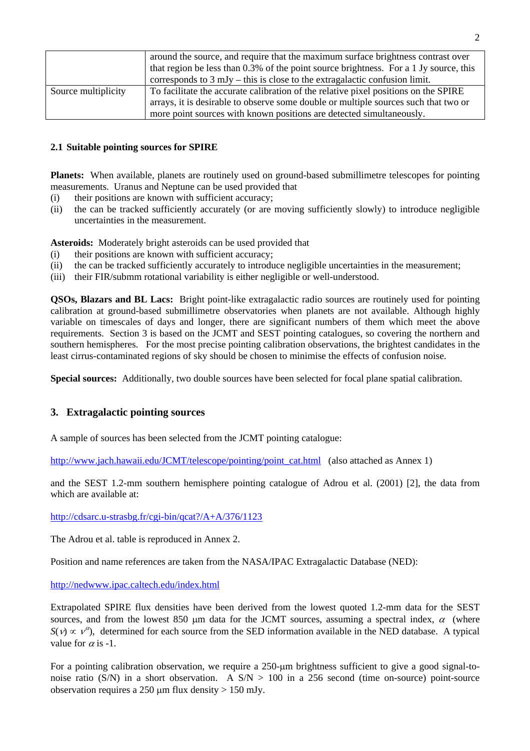|                     | around the source, and require that the maximum surface brightness contrast over<br>that region be less than 0.3% of the point source brightness. For a 1 Jy source, this |
|---------------------|---------------------------------------------------------------------------------------------------------------------------------------------------------------------------|
|                     | corresponds to $3 \text{ mJy}$ – this is close to the extragalactic confusion limit.                                                                                      |
| Source multiplicity | To facilitate the accurate calibration of the relative pixel positions on the SPIRE                                                                                       |
|                     | arrays, it is desirable to observe some double or multiple sources such that two or                                                                                       |
|                     | more point sources with known positions are detected simultaneously.                                                                                                      |

#### **2.1 Suitable pointing sources for SPIRE**

**Planets:** When available, planets are routinely used on ground-based submillimetre telescopes for pointing measurements. Uranus and Neptune can be used provided that

- (i) their positions are known with sufficient accuracy;
- (ii) the can be tracked sufficiently accurately (or are moving sufficiently slowly) to introduce negligible uncertainties in the measurement.

**Asteroids:** Moderately bright asteroids can be used provided that

- (i) their positions are known with sufficient accuracy;
- (ii) the can be tracked sufficiently accurately to introduce negligible uncertainties in the measurement;
- (iii) their FIR/submm rotational variability is either negligible or well-understood.

**QSOs, Blazars and BL Lacs:** Bright point-like extragalactic radio sources are routinely used for pointing calibration at ground-based submillimetre observatories when planets are not available. Although highly variable on timescales of days and longer, there are significant numbers of them which meet the above requirements. Section 3 is based on the JCMT and SEST pointing catalogues, so covering the northern and southern hemispheres. For the most precise pointing calibration observations, the brightest candidates in the least cirrus-contaminated regions of sky should be chosen to minimise the effects of confusion noise.

**Special sources:** Additionally, two double sources have been selected for focal plane spatial calibration.

#### **3. Extragalactic pointing sources**

A sample of sources has been selected from the JCMT pointing catalogue:

http://www.jach.hawaii.edu/JCMT/telescope/pointing/point\_cat.html (also attached as Annex 1)

and the SEST 1.2-mm southern hemisphere pointing catalogue of Adrou et al. (2001) [2], the data from which are available at:

http://cdsarc.u-strasbg.fr/cgi-bin/qcat?/A+A/376/1123

The Adrou et al. table is reproduced in Annex 2.

Position and name references are taken from the NASA/IPAC Extragalactic Database (NED):

#### http://nedwww.ipac.caltech.edu/index.html

Extrapolated SPIRE flux densities have been derived from the lowest quoted 1.2-mm data for the SEST sources, and from the lowest 850 μm data for the JCMT sources, assuming a spectral index,  $\alpha$  (where  $S(v) \propto v^{\alpha}$ , determined for each source from the SED information available in the NED database. A typical value for  $\alpha$  is -1.

For a pointing calibration observation, we require a 250-μm brightness sufficient to give a good signal-tonoise ratio (S/N) in a short observation. A  $S/N > 100$  in a 256 second (time on-source) point-source observation requires a 250  $\mu$ m flux density > 150 mJv.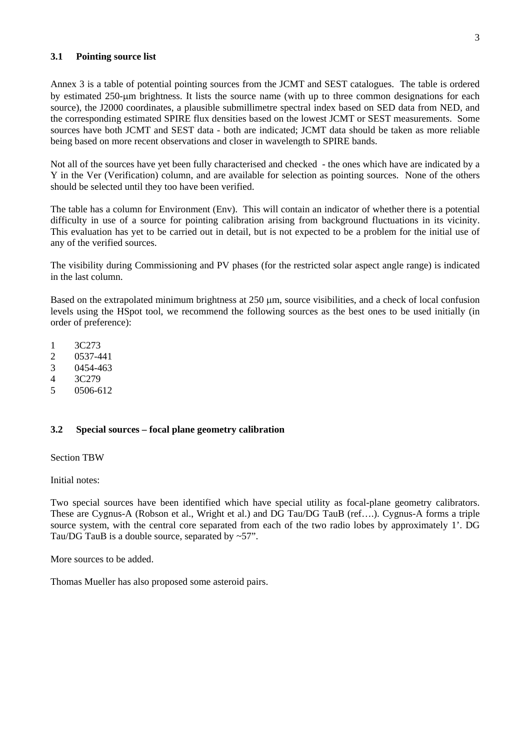#### **3.1 Pointing source list**

Annex 3 is a table of potential pointing sources from the JCMT and SEST catalogues. The table is ordered by estimated 250-μm brightness. It lists the source name (with up to three common designations for each source), the J2000 coordinates, a plausible submillimetre spectral index based on SED data from NED, and the corresponding estimated SPIRE flux densities based on the lowest JCMT or SEST measurements. Some sources have both JCMT and SEST data - both are indicated; JCMT data should be taken as more reliable being based on more recent observations and closer in wavelength to SPIRE bands.

Not all of the sources have yet been fully characterised and checked - the ones which have are indicated by a Y in the Ver (Verification) column, and are available for selection as pointing sources. None of the others should be selected until they too have been verified.

The table has a column for Environment (Env). This will contain an indicator of whether there is a potential difficulty in use of a source for pointing calibration arising from background fluctuations in its vicinity. This evaluation has yet to be carried out in detail, but is not expected to be a problem for the initial use of any of the verified sources.

The visibility during Commissioning and PV phases (for the restricted solar aspect angle range) is indicated in the last column.

Based on the extrapolated minimum brightness at 250 μm, source visibilities, and a check of local confusion levels using the HSpot tool, we recommend the following sources as the best ones to be used initially (in order of preference):

- 1 3C273
- 2 0537-441
- 3 0454-463
- 4 3C279
- 5 0506-612

#### **3.2 Special sources – focal plane geometry calibration**

Section TBW

Initial notes:

Two special sources have been identified which have special utility as focal-plane geometry calibrators. These are Cygnus-A (Robson et al., Wright et al.) and DG Tau/DG TauB (ref….). Cygnus-A forms a triple source system, with the central core separated from each of the two radio lobes by approximately 1'. DG Tau/DG TauB is a double source, separated by ~57".

More sources to be added.

Thomas Mueller has also proposed some asteroid pairs.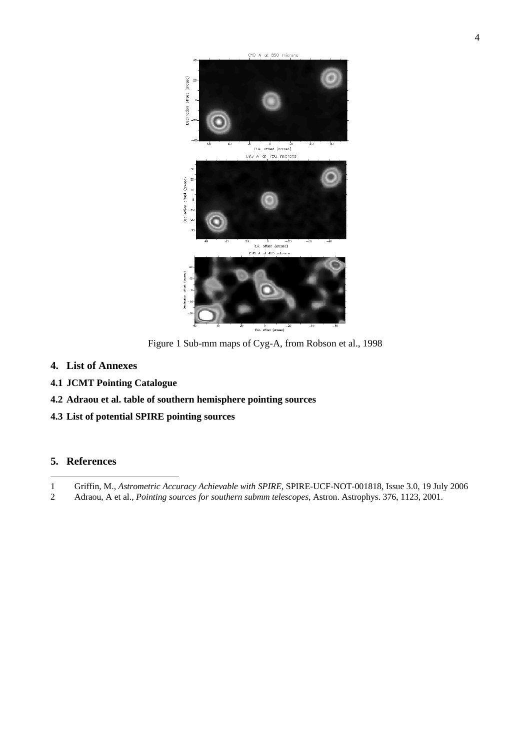

Figure 1 Sub-mm maps of Cyg-A, from Robson et al., 1998

- **4. List of Annexes**
- **4.1 JCMT Pointing Catalogue**
- **4.2 Adraou et al. table of southern hemisphere pointing sources**
- **4.3 List of potential SPIRE pointing sources**

#### **5. References**

2 Adraou, A et al., *Pointing sources for southern submm telescopes*, Astron. Astrophys. 376, 1123, 2001.

l 1 Griffin, M., *Astrometric Accuracy Achievable with SPIRE*, SPIRE-UCF-NOT-001818, Issue 3.0, 19 July 2006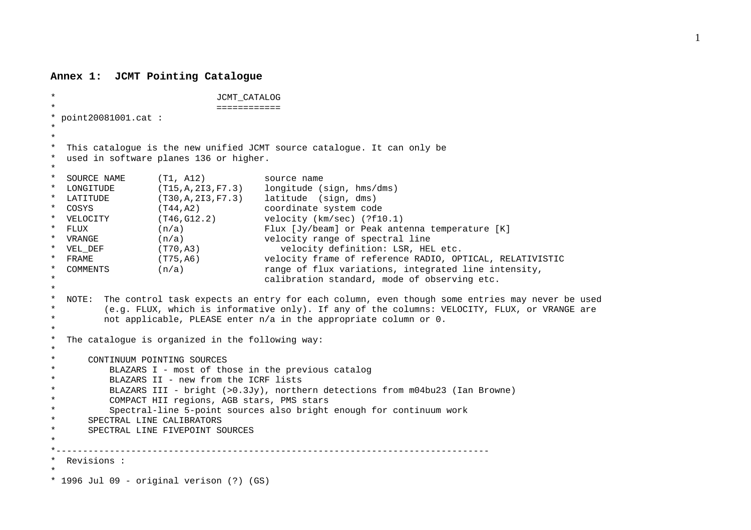#### **Annex 1: JCMT Pointing Catalogue**

```
* JCMT_CATALOG 
                           * ============ * point20081001.cat : 
* * This catalogue is the new unified JCMT source catalogue. It can only be
  used in software planes 136 or higher.
* * SOURCE NAME (T1, A12) source name 
* LONGITUDE (T15,A,2I3,F7.3) longitude (sign, hms/dms) 
* LATITUDE (T30,A,2I3,F7.3) latitude (sign, dms) 
* COSYS (T44,A2) coordinate system code 
* VELOCITY (T46,G12.2) velocity (km/sec) (?f10.1) 
* FLUX (n/a) Flux [Jy/beam] or Peak antenna temperature [K] 
* VRANGE (n/a) velocity range of spectral line 
* VEL_DEF (T70,A3) velocity definition: LSR, HEL etc. 
* FRAME (T75,A6) velocity frame of reference RADIO, OPTICAL, RELATIVISTIC 
  COMMENTS (n/a) range of flux variations, integrated line intensity,
                                  calibration standard, mode of observing etc.
* NOTE: The control task expects an entry for each column, even though some entries may never be used
* (e.g. FLUX, which is informative only). If any of the columns: VELOCITY, FLUX, or VRANGE are 
        not applicable, PLEASE enter n/a in the appropriate column or 0.
* * The catalogue is organized in the following way: 
* * CONTINUUM POINTING SOURCES BLAZARS I - most of those in the previous catalog
* BLAZARS II - new from the ICRF lists 
         * BLAZARS III - bright (>0.3Jy), northern detections from m04bu23 (Ian Browne) 
         COMPACT HII regions, AGB stars, PMS stars
* Spectral-line 5-point sources also bright enough for continuum work 
* SPECTRAL LINE CALIBRATORS SPECTRAL LINE FIVEPOINT SOURCES
* *--------------------------------------------------------------------------------- * Revisions : * * 1996 Jul 09 - original verison (?) (GS)
```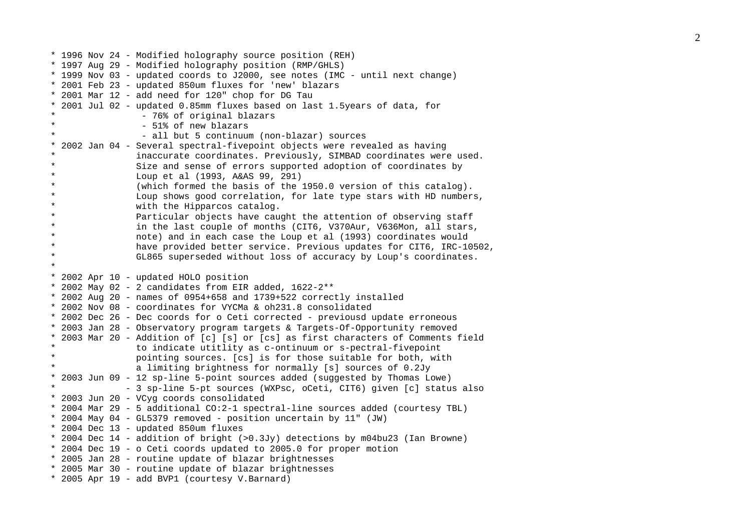\* 1996 Nov 24 - Modified holography source position (REH) \* 1997 Aug 29 - Modified holography position (RMP/GHLS) \* 1999 Nov 03 - updated coords to J2000, see notes (IMC - until next change) \* 2001 Feb 23 - updated 850um fluxes for 'new' blazars \* 2001 Mar 12 - add need for 120" chop for DG Tau \* 2001 Jul 02 - updated 0.85mm fluxes based on last 1.5years of data, for - 76% of original blazars - 51% of new blazars - all but 5 continuum (non-blazar) sources \* 2002 Jan 04 - Several spectral-fivepoint objects were revealed as having inaccurate coordinates. Previously, SIMBAD coordinates were used. Size and sense of errors supported adoption of coordinates by Loup et al (1993, A&AS 99, 291) (which formed the basis of the 1950.0 version of this catalog). Loup shows good correlation, for late type stars with HD numbers, with the Hipparcos catalog. Particular objects have caught the attention of observing staff in the last couple of months (CIT6, V370Aur, V636Mon, all stars, note) and in each case the Loup et al (1993) coordinates would have provided better service. Previous updates for CIT6, IRC-10502, GL865 superseded without loss of accuracy by Loup's coordinates. \* \* 2002 Apr 10 - updated HOLO position \* 2002 May 02 - 2 candidates from EIR added, 1622-2\*\* \* 2002 Aug 20 - names of 0954+658 and 1739+522 correctly installed \* 2002 Nov 08 - coordinates for VYCMa & oh231.8 consolidated \* 2002 Dec 26 - Dec coords for o Ceti corrected - previousd update erroneous \* 2003 Jan 28 - Observatory program targets & Targets-Of-Opportunity removed \* 2003 Mar 20 - Addition of [c] [s] or [cs] as first characters of Comments field \* to indicate utitlity as c-ontinuum or s-pectral-fivepoint \* pointing sources. [cs] is for those suitable for both, with a limiting brightness for normally [s] sources of 0.2Jy \* 2003 Jun 09 - 12 sp-line 5-point sources added (suggested by Thomas Lowe) - 3 sp-line 5-pt sources (WXPsc, oCeti, CIT6) given [c] status also \* 2003 Jun 20 - VCyg coords consolidated \* 2004 Mar 29 - 5 additional CO:2-1 spectral-line sources added (courtesy TBL) \* 2004 May 04 - GL5379 removed - position uncertain by 11" (JW) \* 2004 Dec 13 - updated 850um fluxes \* 2004 Dec 14 - addition of bright (>0.3Jy) detections by m04bu23 (Ian Browne) \* 2004 Dec 19 - o Ceti coords updated to 2005.0 for proper motion \* 2005 Jan 28 - routine update of blazar brightnesses \* 2005 Mar 30 - routine update of blazar brightnesses \* 2005 Apr 19 - add BVP1 (courtesy V.Barnard)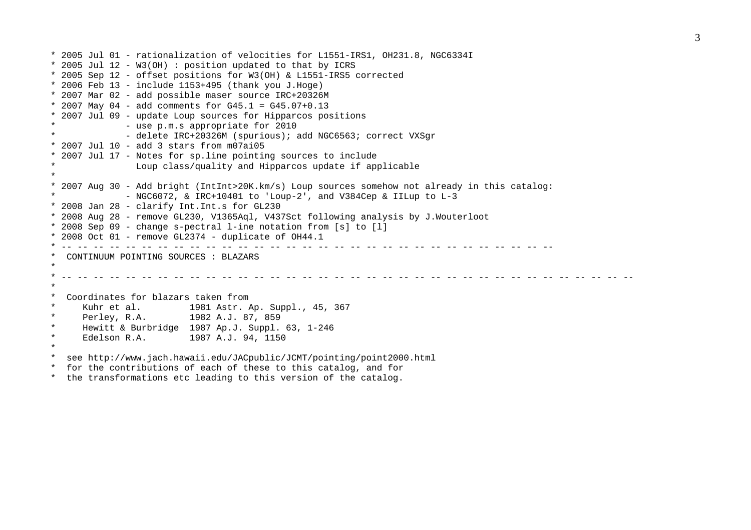```
* 2005 Jul 01 - rationalization of velocities for L1551-IRS1, OH231.8, NGC6334I 
* 2005 Jul 12 - W3(OH) : position updated to that by ICRS 
* 2005 Sep 12 - offset positions for W3(OH) & L1551-IRS5 corrected 
* 2006 Feb 13 - include 1153+495 (thank you J.Hoge)
* 2007 Mar 02 - add possible maser source IRC+20326M 
* 2007 May 04 - add comments for G45.1 = G45.07+0.13 
* 2007 Jul 09 - update Loup sources for Hipparcos positions 
* - use p.m.s appropriate for 2010 
             - delete IRC+20326M (spurious); add NGC6563; correct VXSgr
* 2007 Jul 10 - add 3 stars from m07ai05
* 2007 Jul 17 - Notes for sp.line pointing sources to include 
               Loup class/quality and Hipparcos update if applicable
* * 2007 Aug 30 - Add bright (IntInt>20K.km/s) Loup sources somehow not already in this catalog: 
             - NGC6072, \& IRC+10401 to 'Loup-2', and V384Cep \& IILup to L-3
* 2008 Jan 28 - clarify Int.Int.s for GL230 
* 2008 Aug 28 - remove GL230, V1365Aql, V437Sct following analysis by J.Wouterloot 
* 2008 Sep 09 - change s-pectral l-ine notation from [s] to [l] 
* 2008 Oct 01 - remove GL2374 - duplicate of OH44.1
* -- -- -- -- -- -- -- -- -- -- -- -- -- -- -- -- -- -- -- -- -- -- -- -- -- -- -- -- -- -- -- CONTINUUM POINTING SOURCES : BLAZARS
* * Coordinates for blazars taken from
* Kuhr et al. 1981 Astr. Ap. Suppl., 45, 367 
* Perley, R.A. 1982 A.J. 87, 859 
     Hewitt & Burbridge 1987 Ap.J. Suppl. 63, 1-246
* Edelson R.A. 1987 A.J. 94, 1150 
* * see http://www.jach.hawaii.edu/JACpublic/JCMT/pointing/point2000.html 
* for the contributions of each of these to this catalog, and for 
  the transformations etc leading to this version of the catalog.
```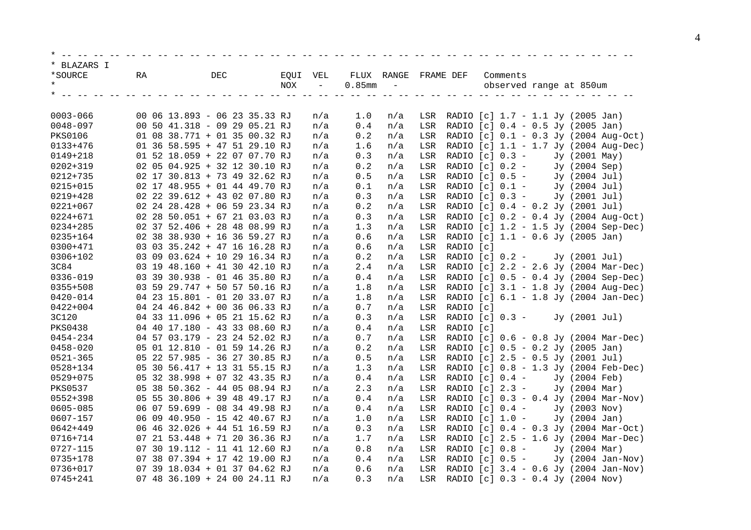| * BLAZARS I    |    |                               |          |                                                          |                          |            |           |                                                                          |
|----------------|----|-------------------------------|----------|----------------------------------------------------------|--------------------------|------------|-----------|--------------------------------------------------------------------------|
| *SOURCE        | RA | <b>DEC</b>                    | EQUI VEL | FLUX RANGE                                               |                          | FRAME DEF  |           | Comments                                                                 |
|                |    |                               | NOX      | $0.85$ mm<br>$\overline{\phantom{a}}$                    | $\overline{\phantom{a}}$ |            |           | observed range at 850um                                                  |
|                |    |                               |          |                                                          |                          |            |           |                                                                          |
| $0003 - 066$   |    | 00 06 13.893 - 06 23 35.33 RJ |          |                                                          |                          |            |           |                                                                          |
| 0048-097       |    | 00 50 41.318 - 09 29 05.21 RJ |          | 1.0<br>n/a<br>0.4<br>n/a                                 | n/a<br>n/a               | LSR<br>LSR |           | RADIO $[c]$ 1.7 - 1.1 Jy (2005 Jan)<br>RADIO [c] 0.4 - 0.5 Jy (2005 Jan) |
| <b>PKS0106</b> |    | 01 08 38.771 + 01 35 00.32 RJ |          | 0.2                                                      | n/a                      | LSR        |           | RADIO [c] 0.1 - 0.3 Jy (2004 Aug-Oct)                                    |
| $0133 + 476$   |    | 01 36 58.595 + 47 51 29.10 RJ |          | n/a<br>1.6<br>n/a                                        | n/a                      | LSR        |           | RADIO [c] 1.1 - 1.7 Jy (2004 Aug-Dec)                                    |
| $0149 + 218$   |    | 01 52 18.059 + 22 07 07.70 RJ |          | 0.3<br>n/a                                               | n/a                      | LSR        |           | RADIO $[c] 0.3 -$<br>Jy (2001 May)                                       |
| $0202 + 319$   |    | 02 05 04.925 + 32 12 30.10 RJ |          | $0.2\,$<br>n/a                                           | n/a                      | LSR        |           | RADIO $[c]$ 0.2 -<br>Jy (2004 Sep)                                       |
| $0212 + 735$   |    | 02 17 30.813 + 73 49 32.62 RJ |          | 0.5<br>n/a                                               | n/a                      | LSR        |           | RADIO $[c]$ 0.5 -<br>Jy (2004 Jul)                                       |
| 0215+015       |    | 02 17 48.955 + 01 44 49.70 RJ |          | 0.1<br>n/a                                               | n/a                      | LSR        |           | RADIO $[c] 0.1 -$<br>Jy (2004 Jul)                                       |
| $0219 + 428$   |    | 02 22 39.612 + 43 02 07.80 RJ |          | 0.3<br>n/a                                               | n/a                      | LSR        |           | RADIO $[c] 0.3 -$<br>Jy (2001 Jul)                                       |
| $0221 + 067$   |    | 02 24 28.428 + 06 59 23.34 RJ |          | $0.2\,$<br>n/a                                           | n/a                      | LSR        |           | RADIO [c] 0.4 - 0.2 Jy (2001 Jul)                                        |
| 0224+671       |    | 02 28 50.051 + 67 21 03.03 RJ |          | $0.3$<br>n/a                                             | n/a                      | LSR        |           | RADIO [c] 0.2 - 0.4 Jy (2004 Aug-Oct)                                    |
| 0234+285       |    | 02 37 52.406 + 28 48 08.99 RJ |          | 1.3<br>n/a                                               | n/a                      | LSR        |           | RADIO [c] 1.2 - 1.5 Jy (2004 Sep-Dec)                                    |
| 0235+164       |    | 02 38 38.930 + 16 36 59.27 RJ |          | 0.6<br>n/a                                               | n/a                      | LSR        |           | RADIO [c] 1.1 - 0.6 Jy (2005 Jan)                                        |
| 0300+471       |    | 03 03 35.242 + 47 16 16.28 RJ |          | 0.6<br>n/a                                               | n/a                      | LSR        | RADIO [c] |                                                                          |
| 0306+102       |    | 03 09 03.624 + 10 29 16.34 RJ |          | 0.2<br>n/a                                               | n/a                      | LSR        |           | RADIO $[c]$ 0.2 -<br>Jy (2001 Jul)                                       |
| 3C84           |    | 03 19 48.160 + 41 30 42.10 RJ |          | 2.4<br>n/a                                               | n/a                      | LSR        |           | RADIO [c] 2.2 - 2.6 Jy (2004 Mar-Dec)                                    |
| $0336 - 019$   |    | 03 39 30.938 - 01 46 35.80 RJ |          | 0.4<br>n/a                                               | n/a                      | LSR        |           | RADIO [c] 0.5 - 0.4 Jy (2004 Sep-Dec)                                    |
| $0355 + 508$   |    | 03 59 29.747 + 50 57 50.16 RJ |          | 1.8<br>n/a                                               | n/a                      | LSR        |           | RADIO [c] 3.1 - 1.8 Jy (2004 Aug-Dec)                                    |
| $0420 - 014$   |    | 04 23 15.801 - 01 20 33.07 RJ |          | 1.8<br>n/a                                               | n/a                      | LSR        |           | RADIO [c] 6.1 - 1.8 Jy (2004 Jan-Dec)                                    |
| $0422 + 004$   |    | 04 24 46.842 + 00 36 06.33 RJ |          | $0.7$<br>n/a                                             | n/a                      | LSR        | RADIO [c] |                                                                          |
| 3C120          |    | 04 33 11.096 + 05 21 15.62 RJ |          | 0.3<br>n/a                                               | n/a                      | LSR        |           | RADIO $[c] 0.3 -$<br>Jy (2001 Jul)                                       |
| <b>PKS0438</b> |    | 04 40 17.180 - 43 33 08.60 RJ |          | 0.4<br>n/a                                               | n/a                      | LSR        | RADIO [c] |                                                                          |
| 0454-234       |    | 04 57 03.179 - 23 24 52.02 RJ |          | $0.7$<br>n/a                                             | n/a                      | LSR        |           | RADIO [c] 0.6 - 0.8 Jy (2004 Mar-Dec)                                    |
| $0458 - 020$   |    | 05 01 12.810 - 01 59 14.26 RJ |          | 0.2<br>n/a                                               | n/a                      | LSR        |           | RADIO [c] 0.5 - 0.2 Jy (2005 Jan)                                        |
| $0521 - 365$   |    | 05 22 57.985 - 36 27 30.85 RJ |          | 0.5<br>n/a                                               | n/a                      | LSR        |           | RADIO [c] 2.5 - 0.5 Jy (2001 Jul)                                        |
| 0528+134       |    | 05 30 56.417 + 13 31 55.15 RJ |          | 1.3<br>n/a                                               | n/a                      | LSR        |           | RADIO [c] 0.8 - 1.3 Jy (2004 Feb-Dec)                                    |
| $0529 + 075$   |    | 05 32 38.998 + 07 32 43.35 RJ |          | $0.4$<br>n/a                                             | n/a                      | LSR        |           | RADIO $[c]$ 0.4 -<br>Jy (2004 Feb)                                       |
| <b>PKS0537</b> |    | 05 38 50.362 - 44 05 08.94 RJ |          | 2.3<br>n/a                                               | n/a                      | LSR        |           | RADIO [c] 2.3 -<br>Jy (2004 Mar)                                         |
| 0552+398       |    | 05 55 30.806 + 39 48 49.17 RJ |          | 0.4<br>n/a                                               | n/a                      | LSR        |           | RADIO [c] 0.3 - 0.4 Jy (2004 Mar-Nov)                                    |
| 0605-085       |    | 06 07 59.699 - 08 34 49.98 RJ |          | 0.4<br>n/a                                               | n/a                      | LSR        |           | RADIO $[c]$ 0.4 -<br>Jy (2003 Nov)                                       |
| 0607-157       |    | 06 09 40.950 - 15 42 40.67 RJ |          | 1.0<br>n/a                                               | n/a                      | LSR        |           | RADIO $[c] 1.0 -$<br>Jy (2004 Jan)                                       |
| $0642 + 449$   |    | 06 46 32.026 + 44 51 16.59 RJ |          | $0.3$<br>n/a                                             | n/a                      | LSR        |           | RADIO [c] 0.4 - 0.3 Jy (2004 Mar-Oct)                                    |
| 0716+714       |    | 07 21 53.448 + 71 20 36.36 RJ |          | 1.7<br>n/a                                               | n/a                      | LSR        |           | RADIO [c] 2.5 - 1.6 Jy (2004 Mar-Dec)                                    |
| 0727-115       | 07 | 30 19.112 - 11 41 12.60 RJ    |          | 0.8<br>n/a                                               | n/a                      | LSR        |           | Jy (2004 Mar)<br>RADIO $[c]$ 0.8 -                                       |
| 0735+178       |    | 07 38 07.394 + 17 42 19.00 RJ |          | $\ensuremath{\text{0}}$ . $\ensuremath{\text{4}}$<br>n/a | n/a                      | LSR        |           | RADIO $[c]$ 0.5 -<br>Jy (2004 Jan-Nov)                                   |
| 0736+017       |    | 07 39 18.034 + 01 37 04.62 RJ |          | 0.6<br>n/a                                               | n/a                      | LSR        |           | RADIO [c] 3.4 - 0.6 Jy (2004 Jan-Nov)                                    |
| $0745 + 241$   |    | 07 48 36.109 + 24 00 24.11 RJ |          | 0.3<br>n/a                                               | n/a                      | LSR        |           | RADIO [c] 0.3 - 0.4 Jy (2004 Nov)                                        |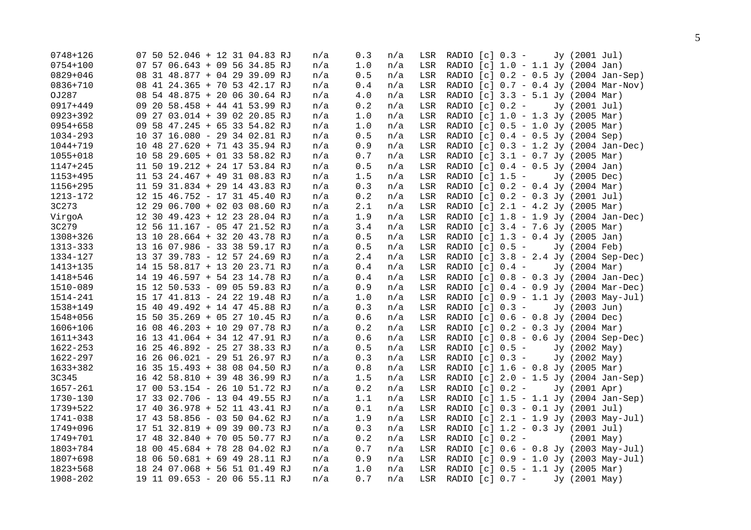|    | n/a                                                                                                                                                                                                                                                                                                                                                                                                                                                                                                                                                                                                                                                                                                                                                                                                                                                                                                                                                                                                                                                                                                                                                                                                                                                                                                                                                                                                                                                            | 0.3                                               | n/a | LSR |  | Jy (2001 Jul)                                                                                                                                                                                                                                                                                                                                                                                                                                                                                                                                                                                                                                                                                                                                                                                                                                                                                                                                                                                                                                                                                                                                                                                                                                                                                                                                                                                                                                                                                                                                 |
|----|----------------------------------------------------------------------------------------------------------------------------------------------------------------------------------------------------------------------------------------------------------------------------------------------------------------------------------------------------------------------------------------------------------------------------------------------------------------------------------------------------------------------------------------------------------------------------------------------------------------------------------------------------------------------------------------------------------------------------------------------------------------------------------------------------------------------------------------------------------------------------------------------------------------------------------------------------------------------------------------------------------------------------------------------------------------------------------------------------------------------------------------------------------------------------------------------------------------------------------------------------------------------------------------------------------------------------------------------------------------------------------------------------------------------------------------------------------------|---------------------------------------------------|-----|-----|--|-----------------------------------------------------------------------------------------------------------------------------------------------------------------------------------------------------------------------------------------------------------------------------------------------------------------------------------------------------------------------------------------------------------------------------------------------------------------------------------------------------------------------------------------------------------------------------------------------------------------------------------------------------------------------------------------------------------------------------------------------------------------------------------------------------------------------------------------------------------------------------------------------------------------------------------------------------------------------------------------------------------------------------------------------------------------------------------------------------------------------------------------------------------------------------------------------------------------------------------------------------------------------------------------------------------------------------------------------------------------------------------------------------------------------------------------------------------------------------------------------------------------------------------------------|
|    | n/a                                                                                                                                                                                                                                                                                                                                                                                                                                                                                                                                                                                                                                                                                                                                                                                                                                                                                                                                                                                                                                                                                                                                                                                                                                                                                                                                                                                                                                                            | 1.0                                               | n/a | LSR |  |                                                                                                                                                                                                                                                                                                                                                                                                                                                                                                                                                                                                                                                                                                                                                                                                                                                                                                                                                                                                                                                                                                                                                                                                                                                                                                                                                                                                                                                                                                                                               |
|    | n/a                                                                                                                                                                                                                                                                                                                                                                                                                                                                                                                                                                                                                                                                                                                                                                                                                                                                                                                                                                                                                                                                                                                                                                                                                                                                                                                                                                                                                                                            | 0.5                                               | n/a | LSR |  |                                                                                                                                                                                                                                                                                                                                                                                                                                                                                                                                                                                                                                                                                                                                                                                                                                                                                                                                                                                                                                                                                                                                                                                                                                                                                                                                                                                                                                                                                                                                               |
|    | n/a                                                                                                                                                                                                                                                                                                                                                                                                                                                                                                                                                                                                                                                                                                                                                                                                                                                                                                                                                                                                                                                                                                                                                                                                                                                                                                                                                                                                                                                            | $\ensuremath{\text{0}}$ . $\ensuremath{\text{4}}$ | n/a | LSR |  |                                                                                                                                                                                                                                                                                                                                                                                                                                                                                                                                                                                                                                                                                                                                                                                                                                                                                                                                                                                                                                                                                                                                                                                                                                                                                                                                                                                                                                                                                                                                               |
|    | n/a                                                                                                                                                                                                                                                                                                                                                                                                                                                                                                                                                                                                                                                                                                                                                                                                                                                                                                                                                                                                                                                                                                                                                                                                                                                                                                                                                                                                                                                            | 4.0                                               | n/a | LSR |  |                                                                                                                                                                                                                                                                                                                                                                                                                                                                                                                                                                                                                                                                                                                                                                                                                                                                                                                                                                                                                                                                                                                                                                                                                                                                                                                                                                                                                                                                                                                                               |
|    | n/a                                                                                                                                                                                                                                                                                                                                                                                                                                                                                                                                                                                                                                                                                                                                                                                                                                                                                                                                                                                                                                                                                                                                                                                                                                                                                                                                                                                                                                                            | 0.2                                               | n/a | LSR |  | Jy (2001 Jul)                                                                                                                                                                                                                                                                                                                                                                                                                                                                                                                                                                                                                                                                                                                                                                                                                                                                                                                                                                                                                                                                                                                                                                                                                                                                                                                                                                                                                                                                                                                                 |
|    | n/a                                                                                                                                                                                                                                                                                                                                                                                                                                                                                                                                                                                                                                                                                                                                                                                                                                                                                                                                                                                                                                                                                                                                                                                                                                                                                                                                                                                                                                                            | 1.0                                               | n/a | LSR |  |                                                                                                                                                                                                                                                                                                                                                                                                                                                                                                                                                                                                                                                                                                                                                                                                                                                                                                                                                                                                                                                                                                                                                                                                                                                                                                                                                                                                                                                                                                                                               |
|    | n/a                                                                                                                                                                                                                                                                                                                                                                                                                                                                                                                                                                                                                                                                                                                                                                                                                                                                                                                                                                                                                                                                                                                                                                                                                                                                                                                                                                                                                                                            | $1.0$                                             | n/a | LSR |  |                                                                                                                                                                                                                                                                                                                                                                                                                                                                                                                                                                                                                                                                                                                                                                                                                                                                                                                                                                                                                                                                                                                                                                                                                                                                                                                                                                                                                                                                                                                                               |
|    | n/a                                                                                                                                                                                                                                                                                                                                                                                                                                                                                                                                                                                                                                                                                                                                                                                                                                                                                                                                                                                                                                                                                                                                                                                                                                                                                                                                                                                                                                                            | 0.5                                               | n/a | LSR |  |                                                                                                                                                                                                                                                                                                                                                                                                                                                                                                                                                                                                                                                                                                                                                                                                                                                                                                                                                                                                                                                                                                                                                                                                                                                                                                                                                                                                                                                                                                                                               |
|    | n/a                                                                                                                                                                                                                                                                                                                                                                                                                                                                                                                                                                                                                                                                                                                                                                                                                                                                                                                                                                                                                                                                                                                                                                                                                                                                                                                                                                                                                                                            | 0.9                                               | n/a | LSR |  |                                                                                                                                                                                                                                                                                                                                                                                                                                                                                                                                                                                                                                                                                                                                                                                                                                                                                                                                                                                                                                                                                                                                                                                                                                                                                                                                                                                                                                                                                                                                               |
|    | n/a                                                                                                                                                                                                                                                                                                                                                                                                                                                                                                                                                                                                                                                                                                                                                                                                                                                                                                                                                                                                                                                                                                                                                                                                                                                                                                                                                                                                                                                            | 0.7                                               | n/a | LSR |  |                                                                                                                                                                                                                                                                                                                                                                                                                                                                                                                                                                                                                                                                                                                                                                                                                                                                                                                                                                                                                                                                                                                                                                                                                                                                                                                                                                                                                                                                                                                                               |
|    | n/a                                                                                                                                                                                                                                                                                                                                                                                                                                                                                                                                                                                                                                                                                                                                                                                                                                                                                                                                                                                                                                                                                                                                                                                                                                                                                                                                                                                                                                                            | 0.5                                               | n/a | LSR |  |                                                                                                                                                                                                                                                                                                                                                                                                                                                                                                                                                                                                                                                                                                                                                                                                                                                                                                                                                                                                                                                                                                                                                                                                                                                                                                                                                                                                                                                                                                                                               |
|    | n/a                                                                                                                                                                                                                                                                                                                                                                                                                                                                                                                                                                                                                                                                                                                                                                                                                                                                                                                                                                                                                                                                                                                                                                                                                                                                                                                                                                                                                                                            | 1.5                                               | n/a | LSR |  | Jy (2005 Dec)                                                                                                                                                                                                                                                                                                                                                                                                                                                                                                                                                                                                                                                                                                                                                                                                                                                                                                                                                                                                                                                                                                                                                                                                                                                                                                                                                                                                                                                                                                                                 |
|    | n/a                                                                                                                                                                                                                                                                                                                                                                                                                                                                                                                                                                                                                                                                                                                                                                                                                                                                                                                                                                                                                                                                                                                                                                                                                                                                                                                                                                                                                                                            | 0.3                                               | n/a | LSR |  |                                                                                                                                                                                                                                                                                                                                                                                                                                                                                                                                                                                                                                                                                                                                                                                                                                                                                                                                                                                                                                                                                                                                                                                                                                                                                                                                                                                                                                                                                                                                               |
|    | n/a                                                                                                                                                                                                                                                                                                                                                                                                                                                                                                                                                                                                                                                                                                                                                                                                                                                                                                                                                                                                                                                                                                                                                                                                                                                                                                                                                                                                                                                            | 0.2                                               | n/a | LSR |  |                                                                                                                                                                                                                                                                                                                                                                                                                                                                                                                                                                                                                                                                                                                                                                                                                                                                                                                                                                                                                                                                                                                                                                                                                                                                                                                                                                                                                                                                                                                                               |
|    | n/a                                                                                                                                                                                                                                                                                                                                                                                                                                                                                                                                                                                                                                                                                                                                                                                                                                                                                                                                                                                                                                                                                                                                                                                                                                                                                                                                                                                                                                                            | 2.1                                               | n/a | LSR |  |                                                                                                                                                                                                                                                                                                                                                                                                                                                                                                                                                                                                                                                                                                                                                                                                                                                                                                                                                                                                                                                                                                                                                                                                                                                                                                                                                                                                                                                                                                                                               |
|    | n/a                                                                                                                                                                                                                                                                                                                                                                                                                                                                                                                                                                                                                                                                                                                                                                                                                                                                                                                                                                                                                                                                                                                                                                                                                                                                                                                                                                                                                                                            | 1.9                                               | n/a | LSR |  |                                                                                                                                                                                                                                                                                                                                                                                                                                                                                                                                                                                                                                                                                                                                                                                                                                                                                                                                                                                                                                                                                                                                                                                                                                                                                                                                                                                                                                                                                                                                               |
|    | n/a                                                                                                                                                                                                                                                                                                                                                                                                                                                                                                                                                                                                                                                                                                                                                                                                                                                                                                                                                                                                                                                                                                                                                                                                                                                                                                                                                                                                                                                            | 3.4                                               | n/a | LSR |  |                                                                                                                                                                                                                                                                                                                                                                                                                                                                                                                                                                                                                                                                                                                                                                                                                                                                                                                                                                                                                                                                                                                                                                                                                                                                                                                                                                                                                                                                                                                                               |
|    | n/a                                                                                                                                                                                                                                                                                                                                                                                                                                                                                                                                                                                                                                                                                                                                                                                                                                                                                                                                                                                                                                                                                                                                                                                                                                                                                                                                                                                                                                                            | 0.5                                               | n/a | LSR |  |                                                                                                                                                                                                                                                                                                                                                                                                                                                                                                                                                                                                                                                                                                                                                                                                                                                                                                                                                                                                                                                                                                                                                                                                                                                                                                                                                                                                                                                                                                                                               |
|    | n/a                                                                                                                                                                                                                                                                                                                                                                                                                                                                                                                                                                                                                                                                                                                                                                                                                                                                                                                                                                                                                                                                                                                                                                                                                                                                                                                                                                                                                                                            | 0.5                                               | n/a | LSR |  | Jy (2004 Feb)                                                                                                                                                                                                                                                                                                                                                                                                                                                                                                                                                                                                                                                                                                                                                                                                                                                                                                                                                                                                                                                                                                                                                                                                                                                                                                                                                                                                                                                                                                                                 |
|    | n/a                                                                                                                                                                                                                                                                                                                                                                                                                                                                                                                                                                                                                                                                                                                                                                                                                                                                                                                                                                                                                                                                                                                                                                                                                                                                                                                                                                                                                                                            | 2.4                                               | n/a | LSR |  |                                                                                                                                                                                                                                                                                                                                                                                                                                                                                                                                                                                                                                                                                                                                                                                                                                                                                                                                                                                                                                                                                                                                                                                                                                                                                                                                                                                                                                                                                                                                               |
|    | n/a                                                                                                                                                                                                                                                                                                                                                                                                                                                                                                                                                                                                                                                                                                                                                                                                                                                                                                                                                                                                                                                                                                                                                                                                                                                                                                                                                                                                                                                            | 0.4                                               | n/a | LSR |  | Jy (2004 Mar)                                                                                                                                                                                                                                                                                                                                                                                                                                                                                                                                                                                                                                                                                                                                                                                                                                                                                                                                                                                                                                                                                                                                                                                                                                                                                                                                                                                                                                                                                                                                 |
|    | n/a                                                                                                                                                                                                                                                                                                                                                                                                                                                                                                                                                                                                                                                                                                                                                                                                                                                                                                                                                                                                                                                                                                                                                                                                                                                                                                                                                                                                                                                            | 0.4                                               | n/a | LSR |  |                                                                                                                                                                                                                                                                                                                                                                                                                                                                                                                                                                                                                                                                                                                                                                                                                                                                                                                                                                                                                                                                                                                                                                                                                                                                                                                                                                                                                                                                                                                                               |
|    | n/a                                                                                                                                                                                                                                                                                                                                                                                                                                                                                                                                                                                                                                                                                                                                                                                                                                                                                                                                                                                                                                                                                                                                                                                                                                                                                                                                                                                                                                                            | 0.9                                               | n/a | LSR |  |                                                                                                                                                                                                                                                                                                                                                                                                                                                                                                                                                                                                                                                                                                                                                                                                                                                                                                                                                                                                                                                                                                                                                                                                                                                                                                                                                                                                                                                                                                                                               |
|    | n/a                                                                                                                                                                                                                                                                                                                                                                                                                                                                                                                                                                                                                                                                                                                                                                                                                                                                                                                                                                                                                                                                                                                                                                                                                                                                                                                                                                                                                                                            | 1.0                                               | n/a | LSR |  |                                                                                                                                                                                                                                                                                                                                                                                                                                                                                                                                                                                                                                                                                                                                                                                                                                                                                                                                                                                                                                                                                                                                                                                                                                                                                                                                                                                                                                                                                                                                               |
|    | n/a                                                                                                                                                                                                                                                                                                                                                                                                                                                                                                                                                                                                                                                                                                                                                                                                                                                                                                                                                                                                                                                                                                                                                                                                                                                                                                                                                                                                                                                            | 0.3                                               | n/a | LSR |  | Jy (2003 Jun)                                                                                                                                                                                                                                                                                                                                                                                                                                                                                                                                                                                                                                                                                                                                                                                                                                                                                                                                                                                                                                                                                                                                                                                                                                                                                                                                                                                                                                                                                                                                 |
| 15 | n/a                                                                                                                                                                                                                                                                                                                                                                                                                                                                                                                                                                                                                                                                                                                                                                                                                                                                                                                                                                                                                                                                                                                                                                                                                                                                                                                                                                                                                                                            | 0.6                                               | n/a | LSR |  |                                                                                                                                                                                                                                                                                                                                                                                                                                                                                                                                                                                                                                                                                                                                                                                                                                                                                                                                                                                                                                                                                                                                                                                                                                                                                                                                                                                                                                                                                                                                               |
| 16 | n/a                                                                                                                                                                                                                                                                                                                                                                                                                                                                                                                                                                                                                                                                                                                                                                                                                                                                                                                                                                                                                                                                                                                                                                                                                                                                                                                                                                                                                                                            | 0.2                                               | n/a | LSR |  |                                                                                                                                                                                                                                                                                                                                                                                                                                                                                                                                                                                                                                                                                                                                                                                                                                                                                                                                                                                                                                                                                                                                                                                                                                                                                                                                                                                                                                                                                                                                               |
|    | n/a                                                                                                                                                                                                                                                                                                                                                                                                                                                                                                                                                                                                                                                                                                                                                                                                                                                                                                                                                                                                                                                                                                                                                                                                                                                                                                                                                                                                                                                            | 0.6                                               | n/a | LSR |  |                                                                                                                                                                                                                                                                                                                                                                                                                                                                                                                                                                                                                                                                                                                                                                                                                                                                                                                                                                                                                                                                                                                                                                                                                                                                                                                                                                                                                                                                                                                                               |
|    | n/a                                                                                                                                                                                                                                                                                                                                                                                                                                                                                                                                                                                                                                                                                                                                                                                                                                                                                                                                                                                                                                                                                                                                                                                                                                                                                                                                                                                                                                                            | 0.5                                               | n/a | LSR |  | Jy (2002 May)                                                                                                                                                                                                                                                                                                                                                                                                                                                                                                                                                                                                                                                                                                                                                                                                                                                                                                                                                                                                                                                                                                                                                                                                                                                                                                                                                                                                                                                                                                                                 |
|    | n/a                                                                                                                                                                                                                                                                                                                                                                                                                                                                                                                                                                                                                                                                                                                                                                                                                                                                                                                                                                                                                                                                                                                                                                                                                                                                                                                                                                                                                                                            | 0.3                                               | n/a | LSR |  | Jy (2002 May)                                                                                                                                                                                                                                                                                                                                                                                                                                                                                                                                                                                                                                                                                                                                                                                                                                                                                                                                                                                                                                                                                                                                                                                                                                                                                                                                                                                                                                                                                                                                 |
|    | n/a                                                                                                                                                                                                                                                                                                                                                                                                                                                                                                                                                                                                                                                                                                                                                                                                                                                                                                                                                                                                                                                                                                                                                                                                                                                                                                                                                                                                                                                            | 0.8                                               | n/a | LSR |  |                                                                                                                                                                                                                                                                                                                                                                                                                                                                                                                                                                                                                                                                                                                                                                                                                                                                                                                                                                                                                                                                                                                                                                                                                                                                                                                                                                                                                                                                                                                                               |
|    | n/a                                                                                                                                                                                                                                                                                                                                                                                                                                                                                                                                                                                                                                                                                                                                                                                                                                                                                                                                                                                                                                                                                                                                                                                                                                                                                                                                                                                                                                                            | 1.5                                               | n/a | LSR |  |                                                                                                                                                                                                                                                                                                                                                                                                                                                                                                                                                                                                                                                                                                                                                                                                                                                                                                                                                                                                                                                                                                                                                                                                                                                                                                                                                                                                                                                                                                                                               |
|    | n/a                                                                                                                                                                                                                                                                                                                                                                                                                                                                                                                                                                                                                                                                                                                                                                                                                                                                                                                                                                                                                                                                                                                                                                                                                                                                                                                                                                                                                                                            | 0.2                                               | n/a | LSR |  | Jy (2001 Apr)                                                                                                                                                                                                                                                                                                                                                                                                                                                                                                                                                                                                                                                                                                                                                                                                                                                                                                                                                                                                                                                                                                                                                                                                                                                                                                                                                                                                                                                                                                                                 |
| 17 | n/a                                                                                                                                                                                                                                                                                                                                                                                                                                                                                                                                                                                                                                                                                                                                                                                                                                                                                                                                                                                                                                                                                                                                                                                                                                                                                                                                                                                                                                                            | 1.1                                               | n/a | LSR |  |                                                                                                                                                                                                                                                                                                                                                                                                                                                                                                                                                                                                                                                                                                                                                                                                                                                                                                                                                                                                                                                                                                                                                                                                                                                                                                                                                                                                                                                                                                                                               |
|    | n/a                                                                                                                                                                                                                                                                                                                                                                                                                                                                                                                                                                                                                                                                                                                                                                                                                                                                                                                                                                                                                                                                                                                                                                                                                                                                                                                                                                                                                                                            | 0.1                                               | n/a | LSR |  |                                                                                                                                                                                                                                                                                                                                                                                                                                                                                                                                                                                                                                                                                                                                                                                                                                                                                                                                                                                                                                                                                                                                                                                                                                                                                                                                                                                                                                                                                                                                               |
|    | n/a                                                                                                                                                                                                                                                                                                                                                                                                                                                                                                                                                                                                                                                                                                                                                                                                                                                                                                                                                                                                                                                                                                                                                                                                                                                                                                                                                                                                                                                            | 1.9                                               | n/a | LSR |  |                                                                                                                                                                                                                                                                                                                                                                                                                                                                                                                                                                                                                                                                                                                                                                                                                                                                                                                                                                                                                                                                                                                                                                                                                                                                                                                                                                                                                                                                                                                                               |
|    | n/a                                                                                                                                                                                                                                                                                                                                                                                                                                                                                                                                                                                                                                                                                                                                                                                                                                                                                                                                                                                                                                                                                                                                                                                                                                                                                                                                                                                                                                                            | 0.3                                               | n/a | LSR |  |                                                                                                                                                                                                                                                                                                                                                                                                                                                                                                                                                                                                                                                                                                                                                                                                                                                                                                                                                                                                                                                                                                                                                                                                                                                                                                                                                                                                                                                                                                                                               |
|    | n/a                                                                                                                                                                                                                                                                                                                                                                                                                                                                                                                                                                                                                                                                                                                                                                                                                                                                                                                                                                                                                                                                                                                                                                                                                                                                                                                                                                                                                                                            | 0.2                                               | n/a | LSR |  | $(2001$ May)                                                                                                                                                                                                                                                                                                                                                                                                                                                                                                                                                                                                                                                                                                                                                                                                                                                                                                                                                                                                                                                                                                                                                                                                                                                                                                                                                                                                                                                                                                                                  |
|    | n/a                                                                                                                                                                                                                                                                                                                                                                                                                                                                                                                                                                                                                                                                                                                                                                                                                                                                                                                                                                                                                                                                                                                                                                                                                                                                                                                                                                                                                                                            | 0.7                                               | n/a | LSR |  |                                                                                                                                                                                                                                                                                                                                                                                                                                                                                                                                                                                                                                                                                                                                                                                                                                                                                                                                                                                                                                                                                                                                                                                                                                                                                                                                                                                                                                                                                                                                               |
|    | n/a                                                                                                                                                                                                                                                                                                                                                                                                                                                                                                                                                                                                                                                                                                                                                                                                                                                                                                                                                                                                                                                                                                                                                                                                                                                                                                                                                                                                                                                            | 0.9                                               | n/a | LSR |  |                                                                                                                                                                                                                                                                                                                                                                                                                                                                                                                                                                                                                                                                                                                                                                                                                                                                                                                                                                                                                                                                                                                                                                                                                                                                                                                                                                                                                                                                                                                                               |
|    | n/a                                                                                                                                                                                                                                                                                                                                                                                                                                                                                                                                                                                                                                                                                                                                                                                                                                                                                                                                                                                                                                                                                                                                                                                                                                                                                                                                                                                                                                                            | 1.0                                               | n/a | LSR |  |                                                                                                                                                                                                                                                                                                                                                                                                                                                                                                                                                                                                                                                                                                                                                                                                                                                                                                                                                                                                                                                                                                                                                                                                                                                                                                                                                                                                                                                                                                                                               |
|    | n/a                                                                                                                                                                                                                                                                                                                                                                                                                                                                                                                                                                                                                                                                                                                                                                                                                                                                                                                                                                                                                                                                                                                                                                                                                                                                                                                                                                                                                                                            | $0.7\,$                                           | n/a | LSR |  | Jy (2001 May)                                                                                                                                                                                                                                                                                                                                                                                                                                                                                                                                                                                                                                                                                                                                                                                                                                                                                                                                                                                                                                                                                                                                                                                                                                                                                                                                                                                                                                                                                                                                 |
|    | 07 50 52.046 + 12 31 04.83 RJ<br>07 57 06.643 + 09 56 34.85 RJ<br>08 31 48.877 + 04 29 39.09 RJ<br>08 41 24.365 + 70 53 42.17 RJ<br>08 54 48.875 + 20 06 30.64 RJ<br>09 20 58.458 + 44 41 53.99 RJ<br>09 27 03.014 + 39 02 20.85 RJ<br>09 58 47.245 + 65 33 54.82 RJ<br>10 37 16.080 - 29 34 02.81 RJ<br>10 48 27.620 + 71 43 35.94 RJ<br>10 58 29.605 + 01 33 58.82 RJ<br>11 50 19.212 + 24 17 53.84 RJ<br>11 53 24.467 + 49 31 08.83 RJ<br>11 59 31.834 + 29 14 43.83 RJ<br>12 15 46.752 - 17 31 45.40 RJ<br>12 29 06.700 + 02 03 08.60 RJ<br>12 30 49.423 + 12 23 28.04 RJ<br>12 56 11.167 - 05 47 21.52 RJ<br>13 10 28.664 + 32 20 43.78 RJ<br>13 16 07.986 - 33 38 59.17 RJ<br>13 37 39.783 - 12 57 24.69 RJ<br>14 15 58.817 + 13 20 23.71 RJ<br>14 19 46.597 + 54 23 14.78 RJ<br>15 12 50.533 - 09 05 59.83 RJ<br>15 17 41.813 - 24 22 19.48 RJ<br>15 40 49.492 + 14 47 45.88 RJ<br>50 35.269 + 05 27 10.45 RJ<br>08 46.203 + 10 29 07.78 RJ<br>16 13 41.064 + 34 12 47.91 RJ<br>16 25 46.892 - 25 27 38.33 RJ<br>16 26 06.021 - 29 51 26.97 RJ<br>16 35 15.493 + 38 08 04.50 RJ<br>16 42 58.810 + 39 48 36.99 RJ<br>17 00 53.154 - 26 10 51.72 RJ<br>33 02.706 - 13 04 49.55 RJ<br>17 40 36.978 + 52 11 43.41 RJ<br>17 43 58.856 - 03 50 04.62 RJ<br>17 51 32.819 + 09 39 00.73 RJ<br>17 48 32.840 + 70 05 50.77 RJ<br>18 00 45.684 + 78 28 04.02 RJ<br>18 06 50.681 + 69 49 28.11 RJ<br>18 24 07.068 + 56 51 01.49 RJ<br>19 11 09.653 - 20 06 55.11 RJ |                                                   |     |     |  | RADIO [c] 0.3 -<br>RADIO [c] 1.0 - 1.1 Jy (2004 Jan)<br>RADIO [c] 0.2 - 0.5 Jy (2004 Jan-Sep)<br>RADIO [c] 0.7 - 0.4 Jy (2004 Mar-Nov)<br>RADIO [c] 3.3 - 5.1 Jy (2004 Mar)<br>RADIO $\lceil c \rceil$ 0.2 -<br>RADIO [c] 1.0 - 1.3 Jy (2005 Mar)<br>RADIO [c] 0.5 - 1.0 Jy (2005 Mar)<br>RADIO [c] 0.4 - 0.5 Jy (2004 Sep)<br>RADIO [c] 0.3 - 1.2 Jy (2004 Jan-Dec)<br>RADIO [c] 3.1 - 0.7 Jy (2005 Mar)<br>RADIO [c] 0.4 - 0.5 Jy (2004 Jan)<br>RADIO $\lceil c \rceil$ 1.5 -<br>RADIO $[c] 0.2 - 0.4$ Jy (2004 Mar)<br>RADIO [c] 0.2 - 0.3 Jy (2001 Jul)<br>RADIO [c] 2.1 - 4.2 Jy (2005 Mar)<br>RADIO [c] 1.8 - 1.9 Jy (2004 Jan-Dec)<br>RADIO [c] 3.4 - 7.6 Jy (2005 Mar)<br>RADIO [c] 1.3 - 0.4 Jy (2005 Jan)<br>RADIO $[c]$ 0.5 -<br>RADIO [c] 3.8 - 2.4 Jy (2004 Sep-Dec)<br>RADIO $[c] 0.4 -$<br>RADIO [c] 0.8 - 0.3 Jy (2004 Jan-Dec)<br>RADIO [c] 0.4 - 0.9 Jy (2004 Mar-Dec)<br>RADIO [c] 0.9 - 1.1 Jy (2003 May-Jul)<br>RADIO [c] 0.3 -<br>RADIO [c] 0.6 - 0.8 Jy (2004 Dec)<br>RADIO [c] 0.2 - 0.3 Jy (2004 Mar)<br>RADIO [c] 0.8 - 0.6 Jy (2004 Sep-Dec)<br>RADIO [c] 0.5 -<br>RADIO $[c] 0.3 -$<br>RADIO [c] 1.6 - 0.8 Jy (2005 Mar)<br>RADIO [c] 2.0 - 1.5 Jy (2004 Jan-Sep)<br>RADIO [c] 0.2 -<br>RADIO [c] 1.5 - 1.1 Jy (2004 Jan-Sep)<br>RADIO [c] 0.3 - 0.1 Jy (2001 Jul)<br>RADIO [c] 2.1 - 1.9 Jy (2003 May-Jul)<br>RADIO [c] 1.2 - 0.3 Jy (2001 Jul)<br>RADIO $[c]$ 0.2 -<br>RADIO [c] 0.6 - 0.8 Jy (2003 May-Jul)<br>RADIO [c] 0.9 - 1.0 Jy (2003 May-Jul)<br>RADIO [c] 0.5 - 1.1 Jy (2005 Mar)<br>RADIO $[c]$ 0.7 - |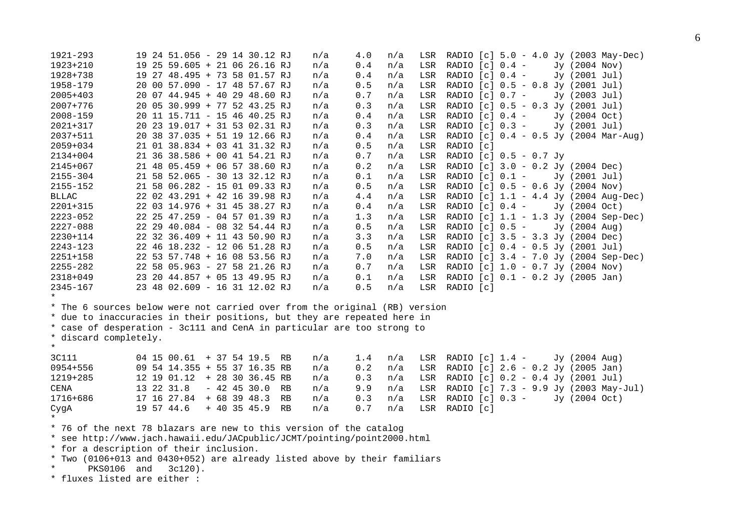```
1921-293 19 24 51.056 - 29 14 30.12 RJ n/a 4.0 n/a LSR RADIO [c] 5.0 - 4.0 Jy (2003 May-Dec) 
1923+210 19 25 59.605 + 21 06 26.16 RJ n/a 0.4 n/a LSR RADIO [c] 0.4 - Jy (2004 Nov) 
1928+738 19 27 48.495 + 73 58 01.57 RJ n/a 0.4 n/a LSR RADIO [c] 0.4 - Jy (2001 Jul) 
1958-179 20 00 57.090 - 17 48 57.67 RJ n/a 0.5 n/a LSR RADIO [c] 0.5 - 0.8 Jy (2001 Jul) 
2005+403 20 07 44.945 + 40 29 48.60 RJ n/a 0.7 n/a LSR RADIO [c] 0.7 - Jy (2003 Jul) 
2007+776 20 05 30.999 + 77 52 43.25 RJ n/a 0.3 n/a LSR RADIO [c] 0.5 - 0.3 Jy (2001 Jul) 
2008-159 20 11 15.711 - 15 46 40.25 RJ n/a 0.4 n/a LSR RADIO [c] 0.4 - Jy (2004 Oct) 
2021+317 20 23 19.017 + 31 53 02.31 RJ n/a 0.3 n/a LSR RADIO [c] 0.3 - Jy (2001 Jul) 
2037+511 20 38 37.035 + 51 19 12.66 RJ n/a 0.4 n/a LSR RADIO [c] 0.4 - 0.5 Jy (2004 Mar-Aug) 
2059+034 21 01 38.834 + 03 41 31.32 RJ n/a 0.5 n/a LSR RADIO [c] 
2134+004 21 36 38.586 + 00 41 54.21 RJ n/a 0.7 n/a LSR RADIO [c] 0.5 - 0.7 Jy 
2145+067 21 48 05.459 + 06 57 38.60 RJ n/a 0.2 n/a LSR RADIO [c] 3.0 - 0.2 Jy (2004 Dec) 
2155-304 21 58 52.065 - 30 13 32.12 RJ n/a 0.1 n/a LSR RADIO [c] 0.1 - Jy (2001 Jul) 
2155-152 21 58 06.282 - 15 01 09.33 RJ n/a 0.5 n/a LSR RADIO [c] 0.5 - 0.6 Jy (2004 Nov) 
BLLAC 22 02 43.291 + 42 16 39.98 RJ n/a 4.4 n/a LSR RADIO [c] 1.1 - 4.4 Jy (2004 Aug-Dec) 
2201+315 22 03 14.976 + 31 45 38.27 RJ n/a 0.4 n/a LSR RADIO [c] 0.4 - Jy (2004 Oct) 
2223-052 22 25 47.259 - 04 57 01.39 RJ n/a 1.3 n/a LSR RADIO [c] 1.1 - 1.3 Jy (2004 Sep-Dec) 
2227-088 22 29 40.084 - 08 32 54.44 RJ n/a 0.5 n/a LSR RADIO [c] 0.5 - Jy (2004 Aug) 
2230+114 22 32 36.409 + 11 43 50.90 RJ n/a 3.3 n/a LSR RADIO [c] 3.5 - 3.3 Jy (2004 Dec) 
2243-123 22 46 18.232 - 12 06 51.28 RJ n/a 0.5 n/a LSR RADIO [c] 0.4 - 0.5 Jy (2001 Jul) 
2251+158 22 53 57.748 + 16 08 53.56 RJ n/a 7.0 n/a LSR RADIO [c] 3.4 - 7.0 Jy (2004 Sep-Dec) 
2255-282 22 58 05.963 - 27 58 21.26 RJ n/a 0.7 n/a LSR RADIO [c] 1.0 - 0.7 Jy (2004 Nov) 
2318+049 23 20 44.857 + 05 13 49.95 RJ n/a 0.1 n/a LSR RADIO [c] 0.1 - 0.2 Jy (2005 Jan) 
2345-167 23 48 02.609 - 16 31 12.02 RJ n/a 0.5 n/a LSR RADIO [c] 
* * The 6 sources below were not carried over from the original (RB) version 
* due to inaccuracies in their positions, but they are repeated here in 
* case of desperation - 3c111 and CenA in particular are too strong to 
* discard completely. 
* 3C111 04 15 00.61 + 37 54 19.5 RB n/a 1.4 n/a LSR RADIO [c] 1.4 - Jy (2004 Aug) 
0954+556 09 54 14.355 + 55 37 16.35 RB n/a 0.2 n/a LSR RADIO [c] 2.6 - 0.2 Jy (2005 Jan) 
1219+285 12 19 01.12 + 28 30 36.45 RB n/a 0.3 n/a LSR RADIO [c] 0.2 - 0.4 Jy (2001 Jul) 
CENA 13 22 31.8 - 42 45 30.0 RB n/a 9.9 n/a LSR RADIO [c] 7.3 - 9.9 Jy (2003 May-Jul) 
1716+686 17 16 27.84 + 68 39 48.3 RB n/a 0.3 n/a LSR RADIO [c] 0.3 - Jy (2004 Oct) 
CygA 19 57 44.6 + 40 35 45.9 RB n/a 0.7 n/a LSR RADIO [c] 
* * 76 of the next 78 blazars are new to this version of the catalog 
* see http://www.jach.hawaii.edu/JACpublic/JCMT/pointing/point2000.html 
* for a description of their inclusion.
```
- \* Two (0106+013 and 0430+052) are already listed above by their familiars
- PKS0106 and 3c120).
- \* fluxes listed are either :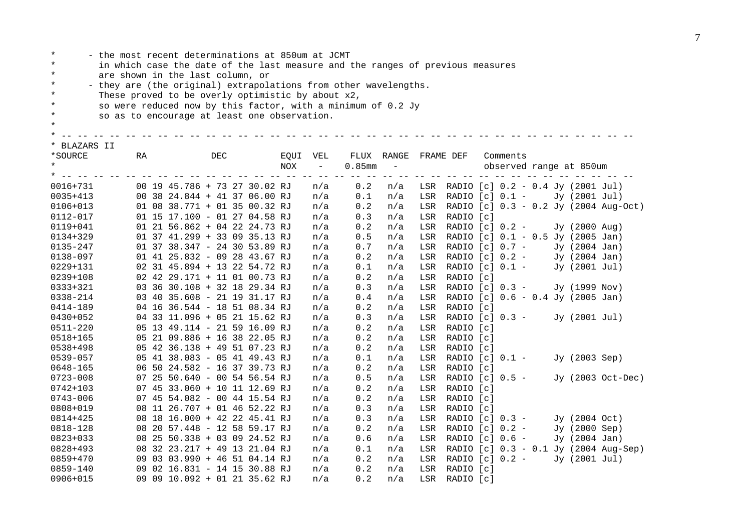| $\star$<br>- the most recent determinations at 850um at JCMT<br>$\star$<br>in which case the date of the last measure and the ranges of previous measures<br>are shown in the last column, or |                                                                  |  |                               |  |     |  |  |      |                                      |           |            |           |                                       |          |  |                         |                                       |
|-----------------------------------------------------------------------------------------------------------------------------------------------------------------------------------------------|------------------------------------------------------------------|--|-------------------------------|--|-----|--|--|------|--------------------------------------|-----------|------------|-----------|---------------------------------------|----------|--|-------------------------|---------------------------------------|
| $\star$                                                                                                                                                                                       |                                                                  |  |                               |  |     |  |  |      |                                      |           |            |           |                                       |          |  |                         |                                       |
| $\star$                                                                                                                                                                                       | - they are (the original) extrapolations from other wavelengths. |  |                               |  |     |  |  |      |                                      |           |            |           |                                       |          |  |                         |                                       |
| $\star$                                                                                                                                                                                       | These proved to be overly optimistic by about x2,                |  |                               |  |     |  |  |      |                                      |           |            |           |                                       |          |  |                         |                                       |
| $\star$                                                                                                                                                                                       | so were reduced now by this factor, with a minimum of 0.2 Jy     |  |                               |  |     |  |  |      |                                      |           |            |           |                                       |          |  |                         |                                       |
| $\star$                                                                                                                                                                                       | so as to encourage at least one observation.                     |  |                               |  |     |  |  |      |                                      |           |            |           |                                       |          |  |                         |                                       |
| $\star$                                                                                                                                                                                       |                                                                  |  |                               |  |     |  |  |      |                                      |           |            |           |                                       |          |  |                         |                                       |
|                                                                                                                                                                                               |                                                                  |  |                               |  |     |  |  |      |                                      |           |            |           |                                       |          |  |                         |                                       |
| * BLAZARS II                                                                                                                                                                                  |                                                                  |  |                               |  |     |  |  |      |                                      |           |            |           |                                       |          |  |                         |                                       |
| *SOURCE<br>$\star$                                                                                                                                                                            | RA                                                               |  |                               |  | DEC |  |  | EQUI | VEL                                  |           | FLUX RANGE | FRAME DEF |                                       | Comments |  |                         |                                       |
|                                                                                                                                                                                               |                                                                  |  |                               |  |     |  |  | NOX  | $\overline{\phantom{a}}$<br>-- -- -- | $0.85$ mm | $\equiv$   |           |                                       |          |  | observed range at 850um |                                       |
| $0016 + 731$                                                                                                                                                                                  |                                                                  |  | 00 19 45.786 + 73 27 30.02 RJ |  |     |  |  |      | n/a                                  | 0.2       | n/a        |           | LSR RADIO [c] 0.2 - 0.4 Jy (2001 Jul) |          |  |                         |                                       |
| $0035 + 413$                                                                                                                                                                                  |                                                                  |  | 00 38 24.844 + 41 37 06.00 RJ |  |     |  |  |      | n/a                                  | 0.1       | n/a        |           | LSR RADIO [c] 0.1 - Jy (2001 Jul)     |          |  |                         |                                       |
| $0106 + 013$                                                                                                                                                                                  |                                                                  |  | 01 08 38.771 + 01 35 00.32 RJ |  |     |  |  |      | n/a                                  | 0.2       | n/a        | LSR       |                                       |          |  |                         | RADIO [c] 0.3 - 0.2 Jy (2004 Aug-Oct) |
| 0112-017                                                                                                                                                                                      |                                                                  |  | 01 15 17.100 - 01 27 04.58 RJ |  |     |  |  |      | n/a                                  | 0.3       | n/a        | LSR       | RADIO [c]                             |          |  |                         |                                       |
| $0119 + 041$                                                                                                                                                                                  |                                                                  |  | 01 21 56.862 + 04 22 24.73 RJ |  |     |  |  |      | n/a                                  | 0.2       | n/a        | LSR       | RADIO $[c] 0.2 -$                     |          |  | Jy (2000 Aug)           |                                       |
| 0134+329                                                                                                                                                                                      |                                                                  |  | 01 37 41.299 + 33 09 35.13 RJ |  |     |  |  |      | n/a                                  | 0.5       | n/a        | LSR       | RADIO [c] 0.1 - 0.5 Jy (2005 Jan)     |          |  |                         |                                       |
| 0135-247                                                                                                                                                                                      |                                                                  |  | 01 37 38.347 - 24 30 53.89 RJ |  |     |  |  |      | n/a                                  | 0.7       | n/a        | LSR       | RADIO [c] 0.7 -                       |          |  | Jy (2004 Jan)           |                                       |
| 0138-097                                                                                                                                                                                      |                                                                  |  | 01 41 25.832 - 09 28 43.67 RJ |  |     |  |  |      | n/a                                  | 0.2       | n/a        | LSR       | RADIO $[c] 0.2 -$                     |          |  | Jy (2004 Jan)           |                                       |
| 0229+131                                                                                                                                                                                      |                                                                  |  | 02 31 45.894 + 13 22 54.72 RJ |  |     |  |  |      | n/a                                  | 0.1       | n/a        | LSR       | RADIO $[c] 0.1 -$                     |          |  | Jy (2001 Jul)           |                                       |
| 0239+108                                                                                                                                                                                      |                                                                  |  | 02 42 29.171 + 11 01 00.73 RJ |  |     |  |  |      | n/a                                  | 0.2       | n/a        | LSR       | RADIO [c]                             |          |  |                         |                                       |
| 0333+321                                                                                                                                                                                      |                                                                  |  | 03 36 30.108 + 32 18 29.34 RJ |  |     |  |  |      | n/a                                  | 0.3       | n/a        | LSR       | RADIO $[c]$ 0.3 -                     |          |  | Jy (1999 Nov)           |                                       |
| 0338-214                                                                                                                                                                                      |                                                                  |  | 03 40 35.608 - 21 19 31.17 RJ |  |     |  |  |      | n/a                                  | 0.4       | n/a        | LSR       | RADIO [c] 0.6 - 0.4 Jy (2005 Jan)     |          |  |                         |                                       |
| 0414-189                                                                                                                                                                                      |                                                                  |  | 04 16 36.544 - 18 51 08.34 RJ |  |     |  |  |      | n/a                                  | 0.2       | n/a        | LSR       | RADIO [c]                             |          |  |                         |                                       |
| 0430+052                                                                                                                                                                                      |                                                                  |  | 04 33 11.096 + 05 21 15.62 RJ |  |     |  |  |      | n/a                                  | 0.3       | n/a        | LSR       | RADIO [c] 0.3 -                       |          |  | Jy (2001 Jul)           |                                       |
| $0511 - 220$                                                                                                                                                                                  |                                                                  |  | 05 13 49.114 - 21 59 16.09 RJ |  |     |  |  |      | n/a                                  | 0.2       | n/a        | LSR       | RADIO [c]                             |          |  |                         |                                       |
| 0518+165                                                                                                                                                                                      |                                                                  |  | 05 21 09.886 + 16 38 22.05 RJ |  |     |  |  |      | n/a                                  | 0.2       | n/a        | LSR       | RADIO [c]                             |          |  |                         |                                       |
| 0538+498                                                                                                                                                                                      |                                                                  |  | 05 42 36.138 + 49 51 07.23 RJ |  |     |  |  |      | n/a                                  | 0.2       | n/a        | LSR       | RADIO [c]                             |          |  |                         |                                       |
| 0539-057                                                                                                                                                                                      |                                                                  |  | 05 41 38.083 - 05 41 49.43 RJ |  |     |  |  |      | n/a                                  | 0.1       | n/a        | LSR       | RADIO $[c] 0.1 -$                     |          |  | Jy (2003 Sep)           |                                       |
| 0648-165                                                                                                                                                                                      |                                                                  |  | 06 50 24.582 - 16 37 39.73 RJ |  |     |  |  |      | n/a                                  | 0.2       | n/a        | LSR       | RADIO [c]                             |          |  |                         |                                       |
| 0723-008                                                                                                                                                                                      |                                                                  |  | 07 25 50.640 - 00 54 56.54 RJ |  |     |  |  |      | n/a                                  | 0.5       | n/a        | LSR       | RADIO $[c] 0.5 -$                     |          |  |                         | Jy (2003 Oct-Dec)                     |
| 0742+103                                                                                                                                                                                      |                                                                  |  | 07 45 33.060 + 10 11 12.69 RJ |  |     |  |  |      | n/a                                  | 0.2       | n/a        | LSR       | RADIO [c]                             |          |  |                         |                                       |
| 0743-006                                                                                                                                                                                      |                                                                  |  | 07 45 54.082 - 00 44 15.54 RJ |  |     |  |  |      | n/a                                  | 0.2       | n/a        | LSR       | RADIO [c]                             |          |  |                         |                                       |
| 0808+019                                                                                                                                                                                      |                                                                  |  | 08 11 26.707 + 01 46 52.22 RJ |  |     |  |  |      | n/a                                  | 0.3       | n/a        | LSR       | RADIO [c]                             |          |  |                         |                                       |
| 0814+425                                                                                                                                                                                      |                                                                  |  | 08 18 16.000 + 42 22 45.41 RJ |  |     |  |  |      | n/a                                  | 0.3       | n/a        | LSR       | RADIO $[c] 0.3 -$                     |          |  | Jy (2004 Oct)           |                                       |
| 0818-128                                                                                                                                                                                      |                                                                  |  | 08 20 57.448 - 12 58 59.17 RJ |  |     |  |  |      | n/a                                  | 0.2       | n/a        | LSR       | RADIO $[c]$ 0.2 -                     |          |  | Jy (2000 Sep)           |                                       |

0823+033 08 25 50.338 + 03 09 24.52 RJ n/a 0.6 n/a LSR RADIO [c] 0.6 - Jy (2004 Jan) 0828+493 08 32 23.217 + 49 13 21.04 RJ n/a 0.1 n/a LSR RADIO [c] 0.3 - 0.1 Jy (2004 Aug-Sep) 0859+470 09 03 03.990 + 46 51 04.14 RJ n/a 0.2 n/a LSR RADIO [c] 0.2 - Jy (2001 Jul)

0859-140 09 02 16.831 - 14 15 30.88 RJ n/a 0.2 n/a LSR RADIO [c] 0906+015 09 09 10.092 + 01 21 35.62 RJ n/a 0.2 n/a LSR RADIO [c]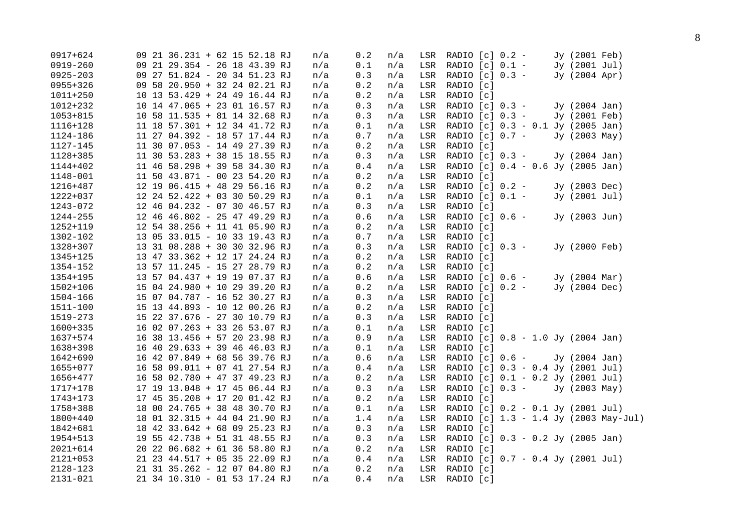| 0917+624     |                               | 09 21 36.231 + 62 15 52.18 RJ | n/a | 0.2     | n/a | LSR | RADIO [c] 0.2 -   |                                       | Jy (2001 Feb) |  |
|--------------|-------------------------------|-------------------------------|-----|---------|-----|-----|-------------------|---------------------------------------|---------------|--|
| $0919 - 260$ | 09 21 29.354 - 26 18 43.39 RJ |                               | n/a | 0.1     | n/a | LSR | RADIO $[c]$ 0.1 - |                                       | Jy (2001 Jul) |  |
| $0925 - 203$ | 09 27 51.824 - 20 34 51.23 RJ |                               | n/a | 0.3     | n/a | LSR | RADIO [c] 0.3 -   |                                       | Jy (2004 Apr) |  |
| 0955+326     | 09 58 20.950 + 32 24 02.21 RJ |                               | n/a | $0.2\,$ | n/a | LSR | RADIO [c]         |                                       |               |  |
| $1011 + 250$ | 10 13 53.429 + 24 49 16.44 RJ |                               | n/a | 0.2     | n/a | LSR | RADIO [c]         |                                       |               |  |
| 1012+232     | 10 14 47.065 + 23 01 16.57 RJ |                               | n/a | 0.3     | n/a | LSR | RADIO $[c] 0.3 -$ |                                       | Jy (2004 Jan) |  |
| $1053 + 815$ | 10 58 11.535 + 81 14 32.68 RJ |                               | n/a | $0.3$   | n/a | LSR | RADIO $[c]$ 0.3 - |                                       | Jy (2001 Feb) |  |
| 1116+128     | 11 18 57.301 + 12 34 41.72 RJ |                               | n/a | 0.1     | n/a | LSR |                   | RADIO [c] 0.3 - 0.1 Jy (2005 Jan)     |               |  |
| 1124-186     | 11 27 04.392 - 18 57 17.44 RJ |                               | n/a | 0.7     | n/a | LSR | RADIO $[c] 0.7 -$ |                                       | Jy (2003 May) |  |
| 1127-145     | 11 30 07.053 - 14 49 27.39 RJ |                               | n/a | 0.2     | n/a | LSR | RADIO [c]         |                                       |               |  |
| 1128+385     | 11 30 53.283 + 38 15 18.55 RJ |                               | n/a | $0.3$   | n/a | LSR | RADIO [c] 0.3 -   |                                       | Jy (2004 Jan) |  |
| 1144+402     | 11 46 58.298 + 39 58 34.30 RJ |                               | n/a | $0.4$   | n/a | LSR |                   | RADIO [c] 0.4 - 0.6 Jy (2005 Jan)     |               |  |
| 1148-001     | 11 50 43.871 - 00 23 54.20 RJ |                               | n/a | 0.2     | n/a | LSR | RADIO [c]         |                                       |               |  |
| 1216+487     | 12 19 06.415 + 48 29 56.16 RJ |                               | n/a | 0.2     | n/a | LSR | RADIO $[c]$ 0.2 - |                                       | Jy (2003 Dec) |  |
| 1222+037     | 12 24 52.422 + 03 30 50.29 RJ |                               | n/a | $0.1\,$ | n/a | LSR | RADIO $[c] 0.1 -$ |                                       | Jy (2001 Jul) |  |
| 1243-072     | 12 46 04.232 - 07 30 46.57 RJ |                               | n/a | 0.3     | n/a | LSR | RADIO [c]         |                                       |               |  |
| 1244-255     | 12 46 46.802 - 25 47 49.29 RJ |                               | n/a | 0.6     | n/a | LSR | RADIO $[c] 0.6 -$ |                                       | Jy (2003 Jun) |  |
| 1252+119     | 12 54 38.256 + 11 41 05.90 RJ |                               | n/a | 0.2     | n/a | LSR | RADIO [c]         |                                       |               |  |
| 1302-102     | 13 05 33.015 - 10 33 19.43 RJ |                               | n/a | $0.7\,$ | n/a | LSR | RADIO [c]         |                                       |               |  |
| 1328+307     | 13 31 08.288 + 30 30 32.96 RJ |                               | n/a | 0.3     | n/a | LSR | RADIO $[c] 0.3 -$ |                                       | Jy (2000 Feb) |  |
| 1345+125     | 13 47 33.362 + 12 17 24.24 RJ |                               | n/a | 0.2     | n/a | LSR | RADIO [c]         |                                       |               |  |
| 1354-152     | 13 57 11.245 - 15 27 28.79 RJ |                               | n/a | 0.2     | n/a | LSR | RADIO [c]         |                                       |               |  |
| 1354+195     | 13 57 04.437 + 19 19 07.37 RJ |                               | n/a | $0.6$   | n/a | LSR | RADIO $[c] 0.6 -$ |                                       | Jy (2004 Mar) |  |
| 1502+106     | 15 04 24.980 + 10 29 39.20 RJ |                               | n/a | 0.2     | n/a | LSR | RADIO [c] 0.2 -   |                                       | Jy (2004 Dec) |  |
| 1504-166     | 15 07 04.787 - 16 52 30.27 RJ |                               | n/a | $0.3$   | n/a | LSR | RADIO [c]         |                                       |               |  |
| 1511-100     | 15 13 44.893 - 10 12 00.26 RJ |                               | n/a | $0.2\,$ | n/a | LSR | RADIO [c]         |                                       |               |  |
| 1519-273     | 15 22 37.676 - 27 30 10.79 RJ |                               | n/a | $0.3$   | n/a | LSR | RADIO [c]         |                                       |               |  |
| 1600+335     | 16 02 07.263 + 33 26 53.07 RJ |                               | n/a | 0.1     | n/a | LSR | RADIO [c]         |                                       |               |  |
| 1637+574     | 16 38 13.456 + 57 20 23.98 RJ |                               | n/a | 0.9     | n/a | LSR |                   | RADIO [c] 0.8 - 1.0 Jy (2004 Jan)     |               |  |
| 1638+398     | 16 40 29.633 + 39 46 46.03 RJ |                               | n/a | 0.1     | n/a | LSR | RADIO [c]         |                                       |               |  |
| 1642+690     | 16 42 07.849 + 68 56 39.76 RJ |                               | n/a | $0.6$   | n/a | LSR |                   | RADIO [c] 0.6 -                       | Jy (2004 Jan) |  |
| 1655+077     | 16 58 09.011 + 07 41 27.54 RJ |                               | n/a | 0.4     | n/a | LSR |                   | RADIO [c] 0.3 - 0.4 Jy (2001 Jul)     |               |  |
| 1656+477     | 16 58 02.780 + 47 37 49.23 RJ |                               | n/a | 0.2     | n/a | LSR |                   | RADIO [c] 0.1 - 0.2 Jy (2001 Jul)     |               |  |
| 1717+178     | 17 19 13.048 + 17 45 06.44 RJ |                               | n/a | 0.3     | n/a | LSR | RADIO $[c]$ 0.3 - |                                       | Jy (2003 May) |  |
| 1743+173     | 17 45 35.208 + 17 20 01.42 RJ |                               | n/a | 0.2     | n/a | LSR | RADIO [c]         |                                       |               |  |
| 1758+388     | 18 00 24.765 + 38 48 30.70 RJ |                               | n/a | 0.1     | n/a | LSR |                   | RADIO [c] 0.2 - 0.1 Jy (2001 Jul)     |               |  |
| 1800+440     | 18 01 32.315 + 44 04 21.90 RJ |                               | n/a | 1.4     | n/a | LSR |                   | RADIO [c] 1.3 - 1.4 Jy (2003 May-Jul) |               |  |
| 1842+681     | 18 42 33.642 + 68 09 25.23 RJ |                               | n/a | 0.3     | n/a | LSR | RADIO [c]         |                                       |               |  |
| 1954+513     | 19 55 42.738 + 51 31 48.55 RJ |                               | n/a | 0.3     | n/a | LSR |                   | RADIO [c] 0.3 - 0.2 Jy (2005 Jan)     |               |  |
| $2021 + 614$ | 20 22 06.682 + 61 36 58.80 RJ |                               | n/a | 0.2     | n/a | LSR | RADIO [c]         |                                       |               |  |
| $2121 + 053$ | 21 23 44.517 + 05 35 22.09 RJ |                               | n/a | 0.4     | n/a | LSR |                   | RADIO $[c]$ 0.7 - 0.4 Jy (2001 Jul)   |               |  |
| 2128-123     | 21 31 35.262 - 12 07 04.80 RJ |                               | n/a | 0.2     | n/a | LSR | RADIO [c]         |                                       |               |  |
| $2131 - 021$ | 21 34 10.310 - 01 53 17.24 RJ |                               | n/a | 0.4     | n/a | LSR | RADIO [c]         |                                       |               |  |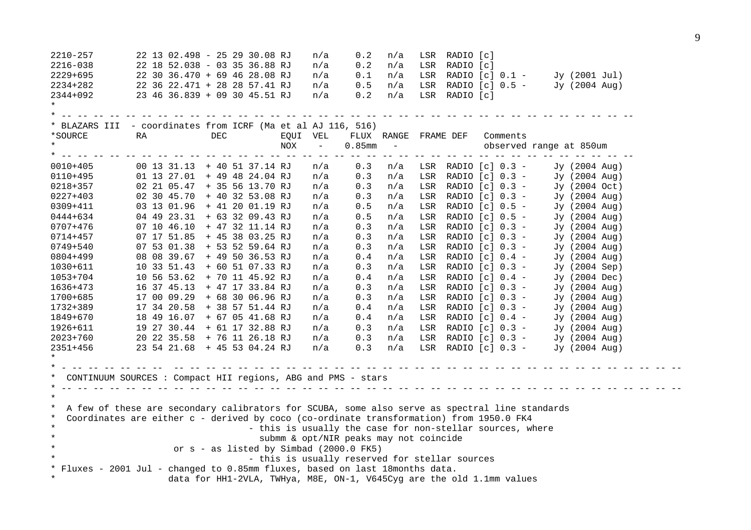| $2210 - 257$ |    | 22 13 02.498 - 25 29 30.08 RJ                                                                  | n/a                                                       | 0.2                                                                                                                                                                                                                                                                                                                                                                                          | n/a                                                                         |     | LSR RADIO [c]         |                       |                                         |  |
|--------------|----|------------------------------------------------------------------------------------------------|-----------------------------------------------------------|----------------------------------------------------------------------------------------------------------------------------------------------------------------------------------------------------------------------------------------------------------------------------------------------------------------------------------------------------------------------------------------------|-----------------------------------------------------------------------------|-----|-----------------------|-----------------------|-----------------------------------------|--|
| 2216-038     |    | 22 18 52.038 - 03 35 36.88 RJ                                                                  | n/a                                                       | 0.2                                                                                                                                                                                                                                                                                                                                                                                          | n/a                                                                         |     | LSR RADIO [c]         |                       |                                         |  |
| 2229+695     |    | 22 30 36.470 + 69 46 28.08 RJ                                                                  | n/a                                                       | 0.1                                                                                                                                                                                                                                                                                                                                                                                          | n/a                                                                         |     |                       |                       | LSR RADIO [c] 0.1 - Jy (2001 Jul)       |  |
| 2234+282     |    | 22 36 22.471 + 28 28 57.41 RJ                                                                  | n/a                                                       | $0.5\,$                                                                                                                                                                                                                                                                                                                                                                                      | n/a                                                                         |     |                       |                       | LSR RADIO [c] 0.5 - Jy (2004 Aug)       |  |
| 2344+092     |    | 23 46 36.839 + 09 30 45.51 RJ                                                                  | n/a                                                       | 0.2                                                                                                                                                                                                                                                                                                                                                                                          | n/a                                                                         |     | LSR RADIO [c]         |                       |                                         |  |
| $\star$      |    |                                                                                                |                                                           |                                                                                                                                                                                                                                                                                                                                                                                              |                                                                             |     |                       |                       |                                         |  |
|              |    |                                                                                                | <u> 22 22 22 22 22 22 22</u>                              | $\frac{1}{2} \frac{1}{2} \frac{1}{2} \frac{1}{2} \frac{1}{2} \frac{1}{2} \frac{1}{2} \frac{1}{2} \frac{1}{2} \frac{1}{2} \frac{1}{2} \frac{1}{2} \frac{1}{2} \frac{1}{2} \frac{1}{2} \frac{1}{2} \frac{1}{2} \frac{1}{2} \frac{1}{2} \frac{1}{2} \frac{1}{2} \frac{1}{2} \frac{1}{2} \frac{1}{2} \frac{1}{2} \frac{1}{2} \frac{1}{2} \frac{1}{2} \frac{1}{2} \frac{1}{2} \frac{1}{2} \frac{$ |                                                                             |     |                       |                       |                                         |  |
|              |    | * BLAZARS III - coordinates from ICRF (Ma et al AJ 116, 516)                                   |                                                           |                                                                                                                                                                                                                                                                                                                                                                                              |                                                                             |     |                       |                       |                                         |  |
| *SOURCE      | RA | DEC                                                                                            | EQUI VEL                                                  |                                                                                                                                                                                                                                                                                                                                                                                              | FLUX RANGE FRAME DEF                                                        |     |                       | Comments              |                                         |  |
| $\star$      |    |                                                                                                | NOX<br>$\sim$                                             | $0.85$ mm                                                                                                                                                                                                                                                                                                                                                                                    | $\mathcal{L}=\mathcal{L}^{\mathcal{L}}$ , where $\mathcal{L}^{\mathcal{L}}$ |     |                       |                       | observed range at 850um                 |  |
|              |    |                                                                                                |                                                           |                                                                                                                                                                                                                                                                                                                                                                                              |                                                                             |     |                       |                       |                                         |  |
| $0010 + 405$ |    | 00 13 31.13 + 40 51 37.14 RJ                                                                   | n/a                                                       | 0.3                                                                                                                                                                                                                                                                                                                                                                                          |                                                                             |     |                       |                       | $n/a$ LSR RADIO [c] 0.3 - Jy (2004 Aug) |  |
| $0110 + 495$ |    | 01 13 27.01 + 49 48 24.04 RJ                                                                   | n/a                                                       | 0.3                                                                                                                                                                                                                                                                                                                                                                                          | n/a                                                                         |     |                       | LSR RADIO $[c]$ 0.3 - | Jy (2004 Aug)                           |  |
| 0218+357     |    | 02 21 05.47 + 35 56 13.70 RJ                                                                   | n/a                                                       | 0.3                                                                                                                                                                                                                                                                                                                                                                                          | n/a                                                                         |     |                       | LSR RADIO [c] 0.3 -   | Jy (2004 Oct)                           |  |
| 0227+403     |    | 02 30 45.70 + 40 32 53.08 RJ                                                                   | n/a                                                       | 0.3                                                                                                                                                                                                                                                                                                                                                                                          | n/a                                                                         |     |                       | LSR RADIO $[c]$ 0.3 - | Jy (2004 Aug)                           |  |
| 0309+411     |    | 03 13 01.96 + 41 20 01.19 RJ                                                                   | n/a                                                       | 0.5                                                                                                                                                                                                                                                                                                                                                                                          | n/a                                                                         |     | LSR RADIO $[c]$ 0.5 - |                       | Jy (2004 Aug)                           |  |
| 0444+634     |    | 04 49 23.31 + 63 32 09.43 RJ                                                                   | n/a                                                       | 0.5                                                                                                                                                                                                                                                                                                                                                                                          | n/a                                                                         |     | LSR RADIO $[c]$ 0.5 - |                       | Jy (2004 Aug)                           |  |
| 0707+476     |    | 07 10 46.10 + 47 32 11.14 RJ                                                                   | n/a                                                       | 0.3                                                                                                                                                                                                                                                                                                                                                                                          | n/a                                                                         | LSR | RADIO $[c] 0.3 -$     |                       | Jy (2004 Aug)                           |  |
| 0714+457     |    | 07 17 51.85 + 45 38 03.25 RJ                                                                   | n/a                                                       | 0.3                                                                                                                                                                                                                                                                                                                                                                                          | n/a                                                                         | LSR | RADIO [c] 0.3 -       |                       | Jy (2004 Aug)                           |  |
| 0749+540     |    | 07 53 01.38 + 53 52 59.64 RJ                                                                   | n/a                                                       | 0.3                                                                                                                                                                                                                                                                                                                                                                                          | n/a                                                                         |     | LSR RADIO $[c]$ 0.3 - |                       | Jy (2004 Aug)                           |  |
| 0804+499     |    | 08 08 39.67 + 49 50 36.53 RJ                                                                   | n/a                                                       | 0.4                                                                                                                                                                                                                                                                                                                                                                                          | n/a                                                                         |     | LSR RADIO $[c]$ 0.4 - |                       | $Jy$ (2004 Aug)                         |  |
| 1030+611     |    | 10 33 51.43 + 60 51 07.33 RJ                                                                   | n/a                                                       | 0.3                                                                                                                                                                                                                                                                                                                                                                                          | n/a                                                                         |     | LSR RADIO $[c]$ 0.3 - |                       | Jy (2004 Sep)                           |  |
| 1053+704     |    | 10 56 53.62 + 70 11 45.92 RJ                                                                   | n/a                                                       | 0.4                                                                                                                                                                                                                                                                                                                                                                                          | n/a                                                                         | LSR | RADIO $[c]$ 0.4 -     |                       | Jy (2004 Dec)                           |  |
| 1636+473     |    | 16 37 45.13 + 47 17 33.84 RJ                                                                   | n/a                                                       | 0.3                                                                                                                                                                                                                                                                                                                                                                                          | n/a                                                                         |     | LSR RADIO $[c]$ 0.3 - |                       | Jy (2004 Aug)                           |  |
| 1700+685     |    | 17 00 09.29 + 68 30 06.96 RJ                                                                   | n/a                                                       | 0.3                                                                                                                                                                                                                                                                                                                                                                                          | n/a                                                                         | LSR | RADIO $[c] 0.3 -$     |                       | Jy (2004 Aug)                           |  |
| 1732+389     |    | 17 34 20.58 + 38 57 51.44 RJ                                                                   | n/a                                                       | 0.4                                                                                                                                                                                                                                                                                                                                                                                          | n/a                                                                         | LSR | RADIO [c] 0.3 -       |                       | Jy (2004 Aug)                           |  |
| 1849+670     |    | 18 49 16.07 + 67 05 41.68 RJ                                                                   | n/a                                                       | 0.4                                                                                                                                                                                                                                                                                                                                                                                          | n/a                                                                         | LSR | RADIO [c] 0.4 -       |                       | Jy (2004 Aug)                           |  |
| 1926+611     |    | 19 27 30.44 + 61 17 32.88 RJ                                                                   | n/a                                                       | 0.3                                                                                                                                                                                                                                                                                                                                                                                          | n/a                                                                         |     | LSR RADIO $[c]$ 0.3 - |                       | Jy (2004 Aug)                           |  |
| 2023+760     |    | 20 22 35.58 + 76 11 26.18 RJ                                                                   | n/a                                                       | 0.3                                                                                                                                                                                                                                                                                                                                                                                          | n/a                                                                         |     |                       | LSR RADIO $[c]$ 0.3 - | Jy (2004 Aug)                           |  |
| 2351+456     |    | 23 54 21.68 + 45 53 04.24 RJ                                                                   | n/a                                                       | 0.3                                                                                                                                                                                                                                                                                                                                                                                          | n/a                                                                         |     |                       | LSR RADIO $[c]$ 0.3 - | Jy (2004 Aug)                           |  |
|              |    |                                                                                                |                                                           |                                                                                                                                                                                                                                                                                                                                                                                              |                                                                             |     |                       |                       |                                         |  |
|              |    |                                                                                                |                                                           |                                                                                                                                                                                                                                                                                                                                                                                              |                                                                             |     |                       |                       |                                         |  |
| $\star$      |    | CONTINUUM SOURCES : Compact HII regions, ABG and PMS - stars                                   |                                                           |                                                                                                                                                                                                                                                                                                                                                                                              |                                                                             |     |                       |                       |                                         |  |
|              |    |                                                                                                |                                                           |                                                                                                                                                                                                                                                                                                                                                                                              |                                                                             |     |                       |                       |                                         |  |
| $\star$      |    |                                                                                                |                                                           |                                                                                                                                                                                                                                                                                                                                                                                              |                                                                             |     |                       |                       |                                         |  |
| $\star$      |    | A few of these are secondary calibrators for SCUBA, some also serve as spectral line standards |                                                           |                                                                                                                                                                                                                                                                                                                                                                                              |                                                                             |     |                       |                       |                                         |  |
| $\star$      |    | Coordinates are either c - derived by coco (co-ordinate transformation) from 1950.0 FK4        |                                                           |                                                                                                                                                                                                                                                                                                                                                                                              |                                                                             |     |                       |                       |                                         |  |
| $\star$      |    |                                                                                                | - this is usually the case for non-stellar sources, where |                                                                                                                                                                                                                                                                                                                                                                                              |                                                                             |     |                       |                       |                                         |  |
| $\star$      |    |                                                                                                | submm & opt/NIR peaks may not coincide                    |                                                                                                                                                                                                                                                                                                                                                                                              |                                                                             |     |                       |                       |                                         |  |
| $^\star$     |    | or $s - as$ listed by Simbad (2000.0 FK5)                                                      |                                                           |                                                                                                                                                                                                                                                                                                                                                                                              |                                                                             |     |                       |                       |                                         |  |
|              |    |                                                                                                | - this is usually reserved for stellar sources            |                                                                                                                                                                                                                                                                                                                                                                                              |                                                                             |     |                       |                       |                                         |  |
|              |    | * Fluxes - 2001 Jul - changed to 0.85mm fluxes, based on last 18months data.                   |                                                           |                                                                                                                                                                                                                                                                                                                                                                                              |                                                                             |     |                       |                       |                                         |  |
| $\star$      |    | data for HH1-2VLA, TWHya, M8E, ON-1, V645Cyg are the old 1.1mm values                          |                                                           |                                                                                                                                                                                                                                                                                                                                                                                              |                                                                             |     |                       |                       |                                         |  |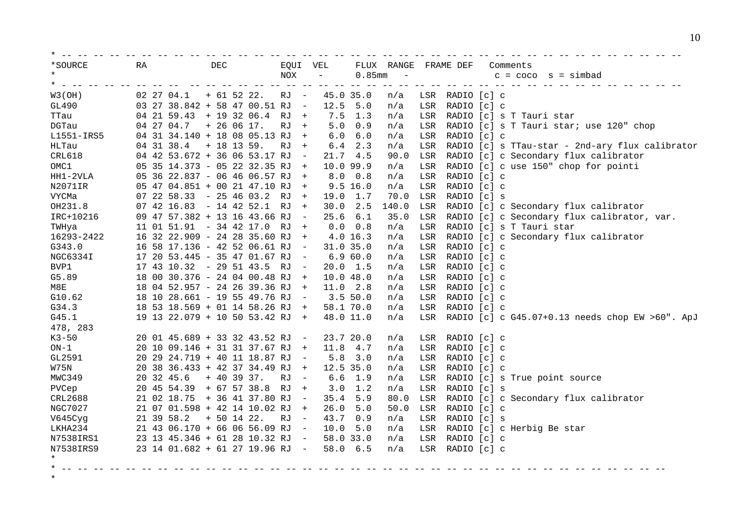| *SOURCE<br>$\star$   | RA         | DEC                             | EQUI VEL<br>NOX                | $\overline{\phantom{a}}$ | $0.85$ mm       | FLUX RANGE FRAME DEF<br>$\sim$ |               |                 | Comments<br>s = simbad<br>$c = coco$                |
|----------------------|------------|---------------------------------|--------------------------------|--------------------------|-----------------|--------------------------------|---------------|-----------------|-----------------------------------------------------|
| $\star$ $-$          |            |                                 |                                |                          | $- -$           | $- - - - -$                    | $\frac{1}{2}$ |                 |                                                     |
| W3(OH)               | 02 27 04.1 | $+ 61 52 22.$                   | RJ -                           | 45.0 35.0                |                 | n/a                            |               | LSR RADIO [c] c |                                                     |
| GL490                |            | 03 27 38.842 + 58 47 00.51 RJ - |                                | 12.5                     | 5.0             | n/a                            | LSR           | RADIO [c] c     |                                                     |
| TTau                 |            | 04 21 59.43 + 19 32 06.4 RJ +   |                                |                          | $7.5$ 1.3       | n/a                            | LSR           |                 | RADIO [c] s T Tauri star                            |
| DGTau                | 04 27 04.7 | $+ 26 06 17.$                   | RJ +                           | 5.0                      | 0.9             | n/a                            | LSR           |                 | RADIO [c] s T Tauri star; use 120" chop             |
| L1551-IRS5           |            | 04 31 34.140 + 18 08 05.13 RJ + |                                | 6.0                      | 6.0             | n/a                            | LSR           | RADIO [c] c     |                                                     |
| HLTau                |            | $04$ 31 38.4 + 18 13 59.        | RJ<br>$+$                      |                          | $6.4$ 2.3       | n/a                            | LSR           |                 | RADIO [c] s TTau-star - 2nd-ary flux calibrator     |
| CRL618               |            | 04 42 53.672 + 36 06 53.17 RJ - |                                | 21.74.5                  |                 | 90.0                           | LSR           |                 | RADIO [c] c Secondary flux calibrator               |
| OMC1                 |            | 05 35 14.373 - 05 22 32.35 RJ + |                                | 10.0 99.9                |                 | n/a                            | LSR           |                 | RADIO [c] c use 150" chop for pointi                |
| $HH1-2VLA$           |            | 05 36 22.837 - 06 46 06.57 RJ + |                                |                          | $8.0 \t 0.8$    | n/a                            | LSR           | RADIO [c] c     |                                                     |
| N2071IR              |            | 05 47 04.851 + 00 21 47.10 RJ + |                                |                          | 9.5 16.0        | n/a                            | LSR           | RADIO [c] c     |                                                     |
| VYCMa                |            | 07 22 58.33 - 25 46 03.2 RJ +   |                                | 19.0 1.7                 |                 | 70.0                           | LSR           | RADIO [c] s     |                                                     |
| OH231.8              |            | $07$ 42 16.83 - 14 42 52.1 RJ + |                                |                          | 30.0 2.5        | 140.0                          | LSR           |                 | RADIO [c] c Secondary flux calibrator               |
| IRC+10216            |            | 09 47 57.382 + 13 16 43.66 RJ   | $\sim$                         | $25.6$ $6.1$             |                 | 35.0                           | LSR           |                 | RADIO [c] c Secondary flux calibrator, var.         |
| TWHya                |            | 11 01 51.91 - 34 42 17.0 RJ +   |                                |                          | 0.0 0.8         | n/a                            | LSR           |                 | RADIO [c] s T Tauri star                            |
| 16293-2422           |            | 16 32 22.909 - 24 28 35.60 RJ + |                                |                          | 4.0 16.3        | n/a                            | LSR           |                 | RADIO [c] c Secondary flux calibrator               |
| G343.0               |            | 16 58 17.136 - 42 52 06.61 RJ   | $\overline{a}$                 | $31.0$ $35.0$            |                 | n/a                            | LSR           | RADIO [c] c     |                                                     |
| NGC6334I             |            | 17 20 53.445 - 35 47 01.67 RJ   | $\overline{\phantom{0}}$       |                          | 6.960.0         | n/a                            | LSR           | RADIO [c] c     |                                                     |
| BVP1                 |            | 17 43 10.32 - 29 51 43.5 RJ     | $\sim$ $-$                     | $20.0$ 1.5               |                 | n/a                            | LSR           | RADIO [c] c     |                                                     |
| G5.89                |            | 18 00 30.376 - 24 04 00.48 RJ   | $+$                            | 10.0 48.0                |                 | n/a                            | LSR           | RADIO [c] c     |                                                     |
| M8E                  |            | 18 04 52.957 - 24 26 39.36 RJ + |                                | 11.0 2.8                 |                 | n/a                            | LSR           | RADIO [c] c     |                                                     |
| G10.62               |            | 18 10 28.661 - 19 55 49.76 RJ - |                                | 3.550.0                  |                 | n/a                            | LSR           | RADIO [c] c     |                                                     |
| G34.3                |            | 18 53 18.569 + 01 14 58.26 RJ + |                                |                          | 58.1 70.0       | n/a                            | LSR           | RADIO [c] c     |                                                     |
| G45.1                |            | 19 13 22.079 + 10 50 53.42 RJ + |                                | 48.0 11.0                |                 | n/a                            |               |                 | LSR RADIO [c] c G45.07+0.13 needs chop EW >60". ApJ |
| 478, 283             |            |                                 |                                |                          |                 |                                |               |                 |                                                     |
| $K3-50$              |            | 20 01 45.689 + 33 32 43.52 RJ - |                                | 23.7 20.0                |                 | n/a                            |               | LSR RADIO [c] c |                                                     |
| $ON-1$               |            | 20 10 09.146 + 31 31 37.67 RJ + |                                | 11.8 4.7                 |                 | n/a                            | LSR           | RADIO [c] c     |                                                     |
| GL2591               |            | 20 29 24.719 + 40 11 18.87 RJ - |                                |                          | $5.8$ 3.0       | n/a                            | LSR           | RADIO [c] c     |                                                     |
| W75N                 |            | 20 38 36.433 + 42 37 34.49 RJ   | $+$                            | 12.5 35.0                |                 | n/a                            | LSR           | RADIO [c] c     |                                                     |
| MWC349               | 20 32 45.6 | $+ 40 39 37.$                   | RJ<br>$\overline{\phantom{0}}$ |                          | $6.6$ 1.9       | n/a                            | LSR           |                 | RADIO [c] s True point source                       |
| PVCep                |            | 20 45 54.39 + 67 57 38.8 RJ +   |                                |                          | $3.0 \quad 1.2$ | n/a                            | LSR           | RADIO [c] s     |                                                     |
| CRL2688              |            | 21 02 18.75 + 36 41 37.80 RJ    | $\overline{\phantom{0}}$       | 35.4                     | 5.9             | 80.0                           | LSR           |                 | RADIO [c] c Secondary flux calibrator               |
| NGC7027              |            | 21 07 01.598 + 42 14 10.02 RJ   | $+$                            | 26.0                     | 5.0             | 50.0                           | LSR           | RADIO [c] c     |                                                     |
| V645Cyg              | 21 39 58.2 | $+ 50 14 22.$                   | RJ –                           | 43.7                     | 0.9             | n/a                            | LSR           | RADIO [c] s     |                                                     |
| LKHA234              |            | 21 43 06.170 + 66 06 56.09 RJ - |                                | 10.0                     | 5.0             | n/a                            | LSR           |                 | RADIO [c] c Herbig Be star                          |
| N7538IRS1            |            | 23 13 45.346 + 61 28 10.32 RJ - |                                | 58.0 33.0                |                 | n/a                            | LSR           | RADIO [c] c     |                                                     |
| N7538IRS9<br>$\star$ |            | 23 14 01.682 + 61 27 19.96 RJ - |                                |                          | 58.0 6.5        | n/a                            |               | LSR RADIO [c] c |                                                     |
| $*$ $--$             |            |                                 |                                |                          |                 |                                |               |                 |                                                     |

\*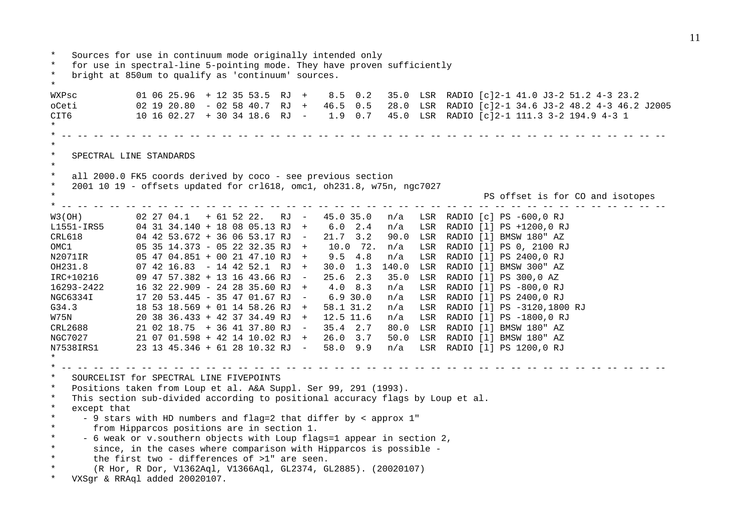\* Sources for use in continuum mode originally intended only \* for use in spectral-line 5-pointing mode. They have proven sufficiently \* bright at 850um to qualify as 'continuum' sources. \* WXPsc 01 06 25.96 + 12 35 53.5 RJ + 8.5 0.2 35.0 LSR RADIO [c]2-1 41.0 J3-2 51.2 4-3 23.2 oCeti 02 19 20.80 - 02 58 40.7 RJ + 46.5 0.5 28.0 LSR RADIO [c]2-1 34.6 J3-2 48.2 4-3 46.2 J2005 CIT6 10 16 02.27 + 30 34 18.6 RJ - 1.9 0.7 45.0 LSR RADIO [c]2-1 111.3 3-2 194.9 4-3 1 \* \* -- -- -- -- -- -- -- -- -- -- -- -- -- -- -- -- -- -- -- -- -- -- -- -- -- -- -- -- -- -- -- -- -- -- -- -- -- -- \* \* SPECTRAL LINE STANDARDS \* \* all 2000.0 FK5 coords derived by coco - see previous section \* 2001 10 19 - offsets updated for crl618, omc1, oh231.8, w75n, ngc7027 PS offset is for CO and isotopes \* -- -- -- -- -- -- -- -- -- -- -- -- -- -- -- -- -- -- -- -- -- -- -- -- -- -- -- -- -- -- -- -- -- -- -- -- -- -- W3(OH) 02 27 04.1 + 61 52 22. RJ - 45.0 35.0 n/a LSR RADIO [c] PS -600,0 RJ L1551-IRS5 04 31 34.140 + 18 08 05.13 RJ + 6.0 2.4 n/a LSR RADIO [l] PS +1200,0 RJ CRL618 04 42 53.672 + 36 06 53.17 RJ - 21.7 3.2 90.0 LSR RADIO [l] BMSW 180" AZ OMC1 05 35 14.373 - 05 22 32.35 RJ + 10.0 72. n/a LSR RADIO [l] PS 0, 2100 RJ N2071IR 05 47 04.851 + 00 21 47.10 RJ + 9.5 4.8 n/a LSR RADIO [l] PS 2400,0 RJ OH231.8 07 42 16.83 - 14 42 52.1 RJ + 30.0 1.3 140.0 LSR RADIO [l] BMSW 300" AZ IRC+10216 09 47 57.382 + 13 16 43.66 RJ - 25.6 2.3 35.0 LSR RADIO [l] PS 300,0 AZ 16293-2422 16 32 22.909 - 24 28 35.60 RJ + 4.0 8.3 n/a LSR RADIO [l] PS -800,0 RJ NGC6334I 17 20 53.445 - 35 47 01.67 RJ - 6.9 30.0 n/a LSR RADIO [l] PS 2400,0 RJ G34.3 18 53 18.569 + 01 14 58.26 RJ + 58.1 31.2 n/a LSR RADIO [l] PS -3120,1800 RJ W75N 20 38 36.433 + 42 37 34.49 RJ + 12.5 11.6 n/a LSR RADIO [l] PS -1800,0 RJ CRL2688 21 02 18.75 + 36 41 37.80 RJ - 35.4 2.7 80.0 LSR RADIO [l] BMSW 180" AZ NGC7027 21 07 01.598 + 42 14 10.02 RJ + 26.0 3.7 50.0 LSR RADIO [l] BMSW 180" AZ N7538IRS1 23 13 45.346 + 61 28 10.32 RJ - 58.0 9.9 n/a LSR RADIO [l] PS 1200,0 RJ \* \* -- -- -- -- -- -- -- -- -- -- -- -- -- -- -- -- -- -- -- -- -- -- -- -- -- -- -- -- -- -- -- -- -- -- -- -- -- -- SOURCELIST for SPECTRAL LINE FIVEPOINTS \* Positions taken from Loup et al. A&A Suppl. Ser 99, 291 (1993). This section sub-divided according to positional accuracy flags by Loup et al. \* except that \* - 9 stars with HD numbers and flag=2 that differ by < approx 1" \* from Hipparcos positions are in section 1. \* - 6 weak or v.southern objects with Loup flags=1 appear in section 2, \* since, in the cases where comparison with Hipparcos is possible - \* the first two - differences of >1" are seen. \* (R Hor, R Dor, V1362Aql, V1366Aql, GL2374, GL2885). (20020107) \* VXSgr & RRAql added 20020107.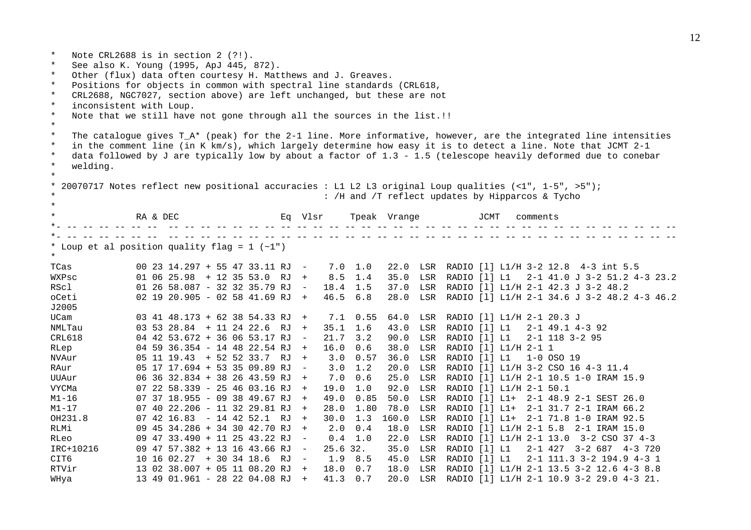\* Note CRL2688 is in section 2 (?!). \* See also K. Young (1995, ApJ 445, 872). \* Other (flux) data often courtesy H. Matthews and J. Greaves. \* Positions for objects in common with spectral line standards (CRL618, \* CRL2688, NGC7027, section above) are left unchanged, but these are not \* inconsistent with Loup. \* Note that we still have not gone through all the sources in the list.!! \* \* The catalogue gives T\_A\* (peak) for the 2-1 line. More informative, however, are the integrated line intensities \* in the comment line (in K km/s), which largely determine how easy it is to detect a line. Note that JCMT 2-1 \* data followed by J are typically low by about a factor of 1.3 - 1.5 (telescope heavily deformed due to conebar \* welding. \* 20070717 Notes reflect new positional accuracies : L1 L2 L3 original Loup qualities  $\left($  <1", 1-5", >5"); : /H and /T reflect updates by Hipparcos & Tycho \* \* RA & DEC Eq Vlsr Tpeak Vrange JCMT comments \*- -- -- -- -- -- -- -- -- -- -- -- -- -- -- -- -- -- -- -- -- -- -- -- -- -- -- -- -- -- -- -- -- -- -- -- -- -- -- \*- -- -- -- -- -- -- -- -- -- -- -- -- -- -- -- -- -- -- -- -- -- -- -- -- -- -- -- -- -- -- -- -- -- -- -- -- -- -- \* Loup et al position quality flag =  $1$  (~1") \* TCas 00 23 14.297 + 55 47 33.11 RJ - 7.0 1.0 22.0 LSR RADIO [l] L1/H 3-2 12.8 4-3 int 5.5 WXPsc 01 06 25.98 + 12 35 53.0 RJ + 8.5 1.4 35.0 LSR RADIO [l] L1 2-1 41.0 J 3-2 51.2 4-3 23.2 RScl 01 26 58.087 - 32 32 35.79 RJ - 18.4 1.5 37.0 LSR RADIO [l] L1/H 2-1 42.3 J 3-2 48.2 oCeti 02 19 20.905 - 02 58 41.69 RJ + 46.5 6.8 28.0 LSR RADIO [l] L1/H 2-1 34.6 J 3-2 48.2 4-3 46.2 J2005 UCam 03 41 48.173 + 62 38 54.33 RJ + 7.1 0.55 64.0 LSR RADIO [l] L1/H 2-1 20.3 J NMLTau 03 53 28.84 + 11 24 22.6 RJ + 35.1 1.6 43.0 LSR RADIO [l] L1 2-1 49.1 4-3 92 CRL618 04 42 53.672 + 36 06 53.17 RJ - 21.7 3.2 90.0 LSR RADIO [l] L1 2-1 118 3-2 95 RLep 04 59 36.354 - 14 48 22.54 RJ + 16.0 0.6 38.0 LSR RADIO [l] L1/H 2-1 1 NVAur 05 11 19.43 + 52 52 33.7 RJ + 3.0 0.57 36.0 LSR RADIO [l] L1 1-0 OSO 19 RAur 05 17 17.694 + 53 35 09.89 RJ - 3.0 1.2 20.0 LSR RADIO [l] L1/H 3-2 CSO 16 4-3 11.4 UUAur 06 36 32.834 + 38 26 43.59 RJ + 7.0 0.6 25.0 LSR RADIO [l] L1/H 2-1 10.5 1-0 IRAM 15.9 VYCMa 07 22 58.339 - 25 46 03.16 RJ + 19.0 1.0 92.0 LSR RADIO [l] L1/H 2-1 50.1 M1-16 07 37 18.955 - 09 38 49.67 RJ + 49.0 0.85 50.0 LSR RADIO [l] L1+ 2-1 48.9 2-1 SEST 26.0 M1-17 07 40 22.206 - 11 32 29.81 RJ + 28.0 1.80 78.0 LSR RADIO [l] L1+ 2-1 31.7 2-1 IRAM 66.2 OH231.8 07 42 16.83 - 14 42 52.1 RJ + 30.0 1.3 160.0 LSR RADIO [l] L1+ 2-1 71.8 1-0 IRAM 92.5 RLMi 09 45 34.286 + 34 30 42.70 RJ + 2.0 0.4 18.0 LSR RADIO [l] L1/H 2-1 5.8 2-1 IRAM 15.0 RLeo 09 47 33.490 + 11 25 43.22 RJ - 0.4 1.0 22.0 LSR RADIO [l] L1/H 2-1 13.0 3-2 CSO 37 4-3 IRC+10216 09 47 57.382 + 13 16 43.66 RJ - 25.6 32. 35.0 LSR RADIO [l] L1 2-1 427 3-2 687 4-3 720 CIT6 10 16 02.27 + 30 34 18.6 RJ - 1.9 8.5 45.0 LSR RADIO [l] L1 2-1 111.3 3-2 194.9 4-3 1 RTVir 13 02 38.007 + 05 11 08.20 RJ + 18.0 0.7 18.0 LSR RADIO [l] L1/H 2-1 13.5 3-2 12.6 4-3 8.8 WHya 13 49 01.961 - 28 22 04.08 RJ + 41.3 0.7 20.0 LSR RADIO [l] L1/H 2-1 10.9 3-2 29.0 4-3 21.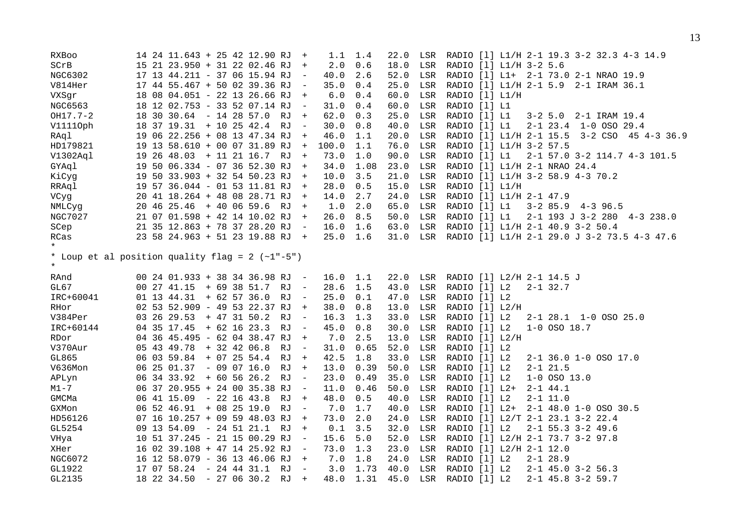| RXBoo                                                      |  |                            |  | 14 24 11.643 + 25 42 12.90 RJ        | $+$                      | 1.1   | 1.4   | 22.0 | LSR | RADIO [1] L1/H 2-1 19.3 3-2 32.3 4-3 14.9       |
|------------------------------------------------------------|--|----------------------------|--|--------------------------------------|--------------------------|-------|-------|------|-----|-------------------------------------------------|
| SCrB                                                       |  |                            |  | 15 21 23.950 + 31 22 02.46 RJ        | $+$                      | 2.0   | 0.6   | 18.0 | LSR | RADIO [1] L1/H 3-2 5.6                          |
| NGC6302                                                    |  |                            |  | 17 13 44.211 - 37 06 15.94 RJ        | $\sim$                   | 40.0  | 2.6   | 52.0 | LSR | RADIO [1] L1+ 2-1 73.0 2-1 NRAO 19.9            |
| V814Her                                                    |  |                            |  | 17 44 55.467 + 50 02 39.36 RJ        |                          | 35.0  | 0.4   | 25.0 | LSR | RADIO [1] L1/H 2-1 5.9 2-1 IRAM 36.1            |
| VXSgr                                                      |  |                            |  | 18 08 04.051 - 22 13 26.66 RJ        | $+$                      | $6.0$ | 0.4   | 60.0 | LSR | RADIO [1] L1/H                                  |
| NGC6563                                                    |  |                            |  | 18 12 02.753 - 33 52 07.14 RJ        | $\sim$                   | 31.0  | 0.4   | 60.0 | LSR | RADIO [1] L1                                    |
| OH17.7-2                                                   |  |                            |  | 18 30 30.64 - 14 28 57.0 RJ          | $+$                      | 62.0  | 0.3   | 25.0 | LSR | RADIO [1] L1<br>3-2 5.0 2-1 IRAM 19.4           |
| V11110ph                                                   |  |                            |  | 18 37 19.31 + 10 25 42.4 RJ          | $\overline{a}$           | 30.0  | 0.8   | 40.0 | LSR | RADIO [1] L1<br>2-1 23.4 1-0 OSO 29.4           |
| RAql                                                       |  |                            |  | 19 06 22.256 + 08 13 47.34 RJ        | $+$                      | 46.0  | 1.1   | 20.0 | LSR | RADIO [1] L1/H 2-1 15.5 3-2 CSO 45 4-3 36.9     |
| HD179821                                                   |  |                            |  | 19 13 58.610 + 00 07 31.89 RJ        | $+$                      | 100.0 | 1.1   | 76.0 | LSR | RADIO [1] L1/H 3-2 57.5                         |
| V1302Aql                                                   |  |                            |  | 19 26 48.03 + 11 21 16.7 RJ +        |                          | 73.0  | $1.0$ | 90.0 | LSR | RADIO [1] L1<br>2-1 57.0 3-2 114.7 4-3 101.5    |
| GYAql                                                      |  |                            |  | 19 50 06.334 - 07 36 52.30 RJ        | $+$                      | 34.0  | 1.08  | 23.0 | LSR | RADIO [1] L1/H 2-1 NRAO 24.4                    |
| KiCyg                                                      |  |                            |  | 19 50 33.903 + 32 54 50.23 RJ        | $+$                      | 10.0  | 3.5   | 21.0 | LSR | RADIO [1] L1/H 3-2 58.9 4-3 70.2                |
| RRAql                                                      |  |                            |  | 19 57 36.044 - 01 53 11.81 RJ        | $+$                      | 28.0  | 0.5   | 15.0 | LSR | RADIO [1] L1/H                                  |
| VCyg                                                       |  |                            |  | 20 41 18.264 + 48 08 28.71 RJ        | $+$                      | 14.0  | 2.7   | 24.0 | LSR | RADIO [1] L1/H 2-1 47.9                         |
| NMLCyq                                                     |  |                            |  | 20 46 25.46 + 40 06 59.6 RJ          | $+$                      | 1.0   | 2.0   | 65.0 | LSR | RADIO [1] L1<br>$3-2$ 85.9 $4-3$ 96.5           |
| NGC7027                                                    |  |                            |  | 21 07 01.598 + 42 14 10.02 RJ        | $+$                      | 26.0  | 8.5   | 50.0 | LSR | RADIO [1] L1<br>2-1 193 J 3-2 280 4-3 238.0     |
| SCep                                                       |  |                            |  | 21 35 12.863 + 78 37 28.20 RJ        | $\overline{\phantom{0}}$ | 16.0  | 1.6   | 63.0 | LSR | RADIO [1] L1/H 2-1 40.9 3-2 50.4                |
| RCas<br>$\star$                                            |  |                            |  | 23 58 24.963 + 51 23 19.88 RJ +      |                          | 25.0  | 1.6   | 31.0 |     | LSR RADIO [1] L1/H 2-1 29.0 J 3-2 73.5 4-3 47.6 |
| * Loup et al position quality flag = 2 (~1"-5")<br>$\star$ |  |                            |  |                                      |                          |       |       |      |     |                                                 |
| RAnd                                                       |  |                            |  | 00 24 01.933 + 38 34 36.98 RJ        | $\sim$ $-$               | 16.0  | 1.1   | 22.0 | LSR | RADIO [1] L2/H 2-1 14.5 J                       |
| GL67                                                       |  |                            |  | $00\ 27\ 41.15\ +\ 69\ 38\ 51.7\ RJ$ | $\overline{\phantom{0}}$ | 28.6  | 1.5   | 43.0 | LSR | RADIO [1] L2<br>$2 - 1$ 32.7                    |
| IRC+60041                                                  |  | $01$ 13 44.31 + 62 57 36.0 |  | RJ                                   | $\overline{\phantom{0}}$ | 25.0  | 0.1   | 47.0 | LSR | RADIO [1] L2                                    |
| RHor                                                       |  |                            |  | 02 53 52.909 - 49 53 22.37 RJ        | $+$                      | 38.0  | 0.8   | 13.0 | LSR | RADIO [1] L2/H                                  |
| V384Per                                                    |  | 03 26 29.53                |  | + 47 31 50.2<br>RJ                   | $\sim$                   | 16.3  | 1.3   | 33.0 | LSR | RADIO [1] L2<br>2-1 28.1 1-0 OSO 25.0           |
| IRC+60144                                                  |  | 04 35 17.45 + 62 16 23.3   |  | RJ                                   | $\overline{\phantom{0}}$ | 45.0  | 0.8   | 30.0 | LSR | RADIO [1] L2<br>$1 - 0$ OSO $18.7$              |
| RDor                                                       |  |                            |  | 04 36 45.495 - 62 04 38.47 RJ        | $+$                      | 7.0   | 2.5   | 13.0 | LSR | RADIO [1] L2/H                                  |
| V370Aur                                                    |  | 05 43 49.78                |  | $+32$ 42 06.8<br>RJ                  | $\overline{\phantom{0}}$ | 31.0  | 0.65  | 52.0 | LSR | RADIO [1] L2                                    |
| GL865                                                      |  | 06 03 59.84                |  | $+ 07 25 54.4$<br>RJ                 | $+$                      | 42.5  | 1.8   | 33.0 | LSR | RADIO [1] L2<br>2-1 36.0 1-0 OSO 17.0           |
| V636Mon                                                    |  | $062501.37 - 090716.0$     |  | RJ                                   | $+$                      | 13.0  | 0.39  | 50.0 | LSR | RADIO [1] L2<br>$2 - 1$ $21.5$                  |
| APLyn                                                      |  | 06 34 33.92 + 60 56 26.2   |  | RJ                                   | $\overline{\phantom{0}}$ | 23.0  | 0.49  | 35.0 | LSR | RADIO [1] L2<br>$1 - 0$ OSO 13.0                |
| $M1 - 7$                                                   |  |                            |  | 06 37 20.955 + 24 00 35.38 RJ        | $\overline{\phantom{0}}$ | 11.0  | 0.46  | 50.0 | LSR | RADIO [1] L2+<br>$2 - 1$ 44.1                   |
| GMCMa                                                      |  |                            |  | 06 41 15.09 - 22 16 43.8 RJ          | $+$                      | 48.0  | 0.5   | 40.0 | LSR | RADIO [1] L2<br>$2 - 1$ 11.0                    |
| GXMon                                                      |  | 06 52 46.91 + 08 25 19.0   |  | RJ                                   | $\sim$ $-$               | 7.0   | 1.7   | 40.0 | LSR | RADIO [1] L2+ 2-1 48.0 1-0 OSO 30.5             |
| HD56126                                                    |  |                            |  | 07 16 10.257 + 09 59 48.03 RJ        | $+$                      | 73.0  | 2.0   | 24.0 | LSR | RADIO [1] L2/T 2-1 23.1 3-2 22.4                |
| GL5254                                                     |  |                            |  | 09 13 54.09 - 24 51 21.1 RJ          | $+$                      | 0.1   | 3.5   | 32.0 | LSR | RADIO [1] L2<br>$2 - 1$ 55.3 3-2 49.6           |
| VHya                                                       |  |                            |  | 10 51 37.245 - 21 15 00.29 RJ        | $\overline{\phantom{0}}$ | 15.6  | 5.0   | 52.0 | LSR | RADIO [1] L2/H 2-1 73.7 3-2 97.8                |
| XHer                                                       |  |                            |  | 16 02 39.108 + 47 14 25.92 RJ        | $\overline{\phantom{0}}$ | 73.0  | 1.3   | 23.0 | LSR | RADIO [1] L2/H 2-1 12.0                         |
| NGC6072                                                    |  |                            |  | 16 12 58.079 - 36 13 46.06 RJ        | $+$                      | 7.0   | 1.8   | 24.0 | LSR | RADIO [1] L2<br>$2 - 1$ 28.9                    |
| GL1922                                                     |  | 17 07 58.24                |  | - 24 44 31.1 RJ                      | $\overline{\phantom{0}}$ | 3.0   | 1.73  | 40.0 | LSR | RADIO [1] L2<br>$2 - 1$ 45.0 3-2 56.3           |
| GL2135                                                     |  | 18 22 34.50                |  | $-270630.2$<br>RJ                    | $+$                      | 48.0  | 1.31  | 45.0 | LSR | $2 - 1$ 45.8 3-2 59.7<br>RADIO [1] L2           |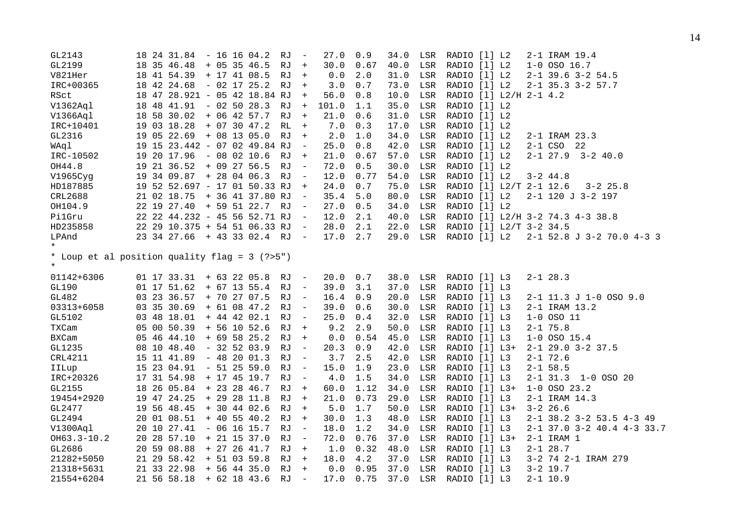| GL2143                                                   |  | 18 24 31.84 - 16 16 04.2        |  |                | RJ   | $\sim$                   | 27.0  | 0.9  | 34.0 | LSR          | RADIO [1] L2                     | 2-1 IRAM 19.4                 |
|----------------------------------------------------------|--|---------------------------------|--|----------------|------|--------------------------|-------|------|------|--------------|----------------------------------|-------------------------------|
| GL2199                                                   |  | 18 35 46.48 + 05 35 46.5        |  |                | RJ + |                          | 30.0  | 0.67 | 40.0 | $_{\rm LSR}$ | RADIO [1] L2                     | $1 - 0$ OSO $16.7$            |
| V821Her                                                  |  | 18 41 54.39 + 17 41 08.5        |  |                | RJ   | $+$                      | 0.0   | 2.0  | 31.0 | LSR          | RADIO [1] L2                     | $2 - 1$ 39.6 3-2 54.5         |
| IRC+00365                                                |  | 18 42 24.68 - 02 17 25.2        |  |                | RJ   | $+$                      | 3.0   | 0.7  | 73.0 | LSR          | RADIO [1] L2                     | $2 - 1$ 35.3 3-2 57.7         |
| RSct                                                     |  | 18 47 28.921 - 05 42 18.84 RJ   |  |                |      | $+$                      | 56.0  | 0.8  | 10.0 | LSR          | RADIO [1] L2/H 2-1 4.2           |                               |
| V1362Aql                                                 |  | 18 48 41.91 - 02 50 28.3 RJ     |  |                |      | $+$                      | 101.0 | 1.1  | 35.0 | LSR          | RADIO [1] L2                     |                               |
| V1366Aql                                                 |  | 18 58 30.02 + 06 42 57.7        |  |                | RJ   | $+$                      | 21.0  | 0.6  | 31.0 | LSR          | RADIO [1] L2                     |                               |
| IRC+10401                                                |  | 19 03 18.28                     |  | $+$ 07 30 47.2 | RL   | $+$                      | 7.0   | 0.3  | 17.0 | LSR          | RADIO [1] L2                     |                               |
| GL2316                                                   |  | 19 05 22.69 + 08 13 05.0        |  |                | RJ   | $+$                      | 2.0   | 1.0  | 34.0 | LSR          | RADIO [1] L2                     | 2-1 IRAM 23.3                 |
| WAql                                                     |  | 19 15 23.442 - 07 02 49.84 RJ   |  |                |      | $\sim$ $-$               | 25.0  | 0.8  | 42.0 | LSR          | RADIO [1] L2                     | 2-1 CSO 22                    |
| IRC-10502                                                |  | 19 20 17.96 - 08 02 10.6        |  |                | RJ + |                          | 21.0  | 0.67 | 57.0 | LSR          | RADIO [1] L2                     | $2 - 1$ 27.9 $3 - 2$ 40.0     |
| OH44.8                                                   |  | 19 21 36.52 + 09 27 56.5        |  |                | RJ   | $\overline{\phantom{0}}$ | 72.0  | 0.5  | 30.0 | LSR          | RADIO [1] L2                     |                               |
| V1965Cyg                                                 |  | 19 34 09.87 + 28 04 06.3        |  |                | RJ   | $\sim$ $-$               | 12.0  | 0.77 | 54.0 | LSR          | RADIO [1] L2                     | $3 - 2$ 44.8                  |
| HD187885                                                 |  | 19 52 52.697 - 17 01 50.33 RJ   |  |                |      | $+$                      | 24.0  | 0.7  | 75.0 | LSR          | RADIO [1] L2/T 2-1 12.6          | $3 - 2$ 25.8                  |
| CRL2688                                                  |  | 21 02 18.75 + 36 41 37.80 RJ    |  |                |      | $\overline{\phantom{0}}$ | 35.4  | 5.0  | 80.0 | LSR          | RADIO [1] L2                     | 2-1 120 J 3-2 197             |
| OH104.9                                                  |  | 22 19 27.40 + 59 51 22.7 RJ     |  |                |      | $\sim$ $-$               | 27.0  | 0.5  | 34.0 | LSR          | RADIO [1] L2                     |                               |
| PilGru                                                   |  | 22 22 44.232 - 45 56 52.71 RJ   |  |                |      | $\overline{\phantom{0}}$ | 12.0  | 2.1  | 40.0 | LSR          | RADIO [1] L2/H 3-2 74.3 4-3 38.8 |                               |
| HD235858                                                 |  | 22 29 10.375 + 54 51 06.33 RJ - |  |                |      |                          | 28.0  | 2.1  | 22.0 | LSR          | RADIO [1] L2/T 3-2 34.5          |                               |
| LPAnd<br>$\star$                                         |  | 23 34 27.66 + 43 33 02.4 RJ -   |  |                |      |                          | 17.0  | 2.7  | 29.0 | LSR          | RADIO [1] L2                     | $2 - 1$ 52.8 J 3-2 70.0 4-3 3 |
| * Loup et al position quality flag = 3 (?>5")<br>$\star$ |  |                                 |  |                |      |                          |       |      |      |              |                                  |                               |
| 01142+6306                                               |  | $01 17 33.31 + 63 22 05.8 RJ -$ |  |                |      |                          | 20.0  | 0.7  | 38.0 | LSR          | RADIO [1] L3                     | $2 - 1$ 28.3                  |
| GL190                                                    |  | $01$ 17 51.62 + 67 13 55.4 RJ - |  |                |      |                          | 39.0  | 3.1  | 37.0 | LSR          | RADIO [1] L3                     |                               |
| GL482                                                    |  | 03 23 36.57 + 70 27 07.5        |  |                | RJ   | $\sim$ $-$               | 16.4  | 0.9  | 20.0 | LSR          | RADIO [1] L3                     | 2-1 11.3 J 1-0 OSO 9.0        |
| 03313+6058                                               |  | 03 35 30.69 + 61 08 47.2        |  |                | RJ   | $\sim$                   | 39.0  | 0.6  | 30.0 | LSR          | RADIO [1] L3                     | 2-1 IRAM 13.2                 |
| GL5102                                                   |  | 03 48 18.01                     |  | $+ 44 42 02.1$ | RJ   | $\overline{a}$           | 25.0  | 0.4  | 32.0 | LSR          | RADIO [1] L3                     | $1 - 0$ OSO $11$              |
| TXCam                                                    |  | 05 00 50.39 + 56 10 52.6        |  |                | RJ   | $+$                      | 9.2   | 2.9  | 50.0 | LSR          | RADIO [1] L3                     | $2 - 1$ 75.8                  |
| BXCam                                                    |  | 05 46 44.10                     |  | $+ 69 58 25.2$ | RJ   | $+$                      | 0.0   | 0.54 | 45.0 | LSR          | RADIO [1] L3                     | $1 - 0$ OSO $15.4$            |
| GL1235                                                   |  | 08 10 48.40                     |  | $-32$ 52 03.9  | RJ   | $\overline{\phantom{0}}$ | 20.3  | 0.9  | 42.0 | LSR          | RADIO [1] L3+                    | $2 - 1$ 29.0 3-2 37.5         |
| CRL4211                                                  |  | 15 11 41.89 - 48 20 01.3        |  |                | RJ   | $\overline{\phantom{0}}$ | 3.7   | 2.5  | 42.0 | LSR          | RADIO [1] L3                     | $2 - 1$ 72.6                  |
| IILup                                                    |  | 15 23 04.91 - 51 25 59.0        |  |                | RJ   | $\sim$                   | 15.0  | 1.9  | 23.0 | LSR          | RADIO [1] L3                     | $2 - 1$ 58.5                  |
| IRC+20326                                                |  | 17 31 54.98                     |  | $+ 17 45 19.7$ | RJ   | $\sim$ $-$               | $4.0$ | 1.5  | 34.0 | LSR          | RADIO [1] L3                     | 2-1 31.3 1-0 OSO 20           |
| GL2155                                                   |  | 18 26 05.84 + 23 28 46.7        |  |                | RJ   | $+$                      | 60.0  | 1.12 | 34.0 | LSR          | RADIO [1] L3+                    | $1 - 0$ OSO 23.2              |
| 19454+2920                                               |  | 19 47 24.25                     |  | $+ 29 28 11.8$ | RJ   | $+$                      | 21.0  | 0.73 | 29.0 | LSR          | RADIO [1] L3                     | 2-1 IRAM 14.3                 |
| GL2477                                                   |  | 19 56 48.45 + 30 44 02.6        |  |                | RJ   | $+$                      | 5.0   | 1.7  | 50.0 | LSR          | RADIO [1] L3+                    | $3 - 2$ 26.6                  |
| GL2494                                                   |  | 20 01 08.51                     |  | $+405540.2$    | RJ   | $+$                      | 30.0  | 1.3  | 48.0 | LSR          | RADIO [1] L3                     | $2-1$ 38.2 3-2 53.5 4-3 49    |
| V1300Aql                                                 |  | 20 10 27.41                     |  | $-06$ 16 15.7  | RJ   | $\sim$                   | 18.0  | 1.2  | 34.0 | LSR          | RADIO [1] L3                     | $2-1$ 37.0 3-2 40.4 4-3 33.7  |
| OH63.3-10.2                                              |  | 20 28 57.10                     |  | $+ 21 15 37.0$ | RJ   | $\overline{\phantom{0}}$ | 72.0  | 0.76 | 37.0 | LSR          | RADIO [1] L3+                    | $2-1$ IRAM $1$                |
| GL2686                                                   |  | 20 59 08.88                     |  | $+ 27 26 41.7$ | RJ   | $+$                      | 1.0   | 0.32 | 48.0 | LSR          | RADIO [1] L3                     | $2 - 1$ 28.7                  |
| 21282+5050                                               |  | 21 29 58.42                     |  | $+ 51 03 59.8$ | RJ   | $+$                      | 18.0  | 4.2  | 37.0 | LSR          | RADIO [1] L3                     | 3-2 74 2-1 IRAM 279           |
| 21318+5631                                               |  | 21 33 22.98                     |  | $+ 56 44 35.0$ | RJ   | $+$                      | 0.0   | 0.95 | 37.0 | LSR          | RADIO [1] L3                     | $3 - 2$ 19.7                  |
| 21554+6204                                               |  | 21 56 58.18                     |  | + 62 18 43.6   | RJ   | $\overline{a}$           | 17.0  | 0.75 | 37.0 | LSR          | RADIO [1] L3                     | $2 - 1$ 10.9                  |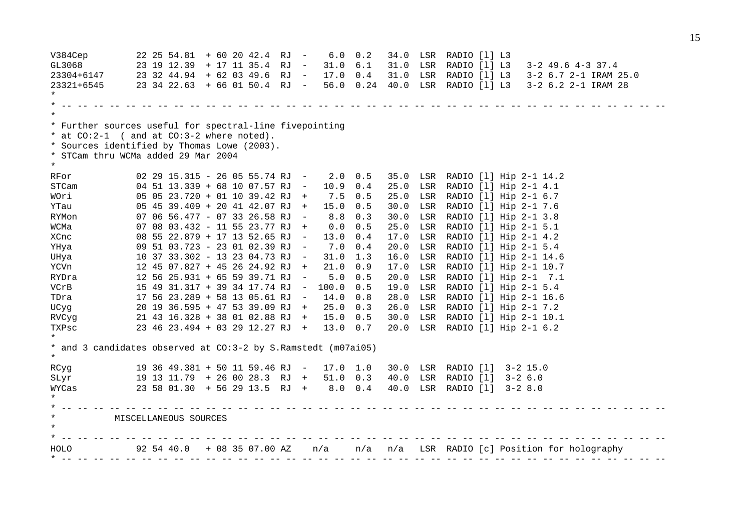V384Cep 22 25 54.81 + 60 20 42.4 RJ - 6.0 0.2 34.0 LSR RADIO [l] L3 GL3068 23 19 12.39 + 17 11 35.4 RJ - 31.0 6.1 31.0 LSR RADIO [l] L3 3-2 49.6 4-3 37.4 23304+6147 23 32 44.94 + 62 03 49.6 RJ - 17.0 0.4 31.0 LSR RADIO [l] L3 3-2 6.7 2-1 IRAM 25.0 23321+6545 23 34 22.63 + 66 01 50.4 RJ - 56.0 0.24 40.0 LSR RADIO [l] L3 3-2 6.2 2-1 IRAM 28 \* \* -- -- -- -- -- -- -- -- -- -- -- -- -- -- -- -- -- -- -- -- -- -- -- -- -- -- -- -- -- -- -- -- -- -- -- -- -- -- \* \* Further sources useful for spectral-line fivepointing \* at CO:2-1 ( and at CO:3-2 where noted). \* Sources identified by Thomas Lowe (2003). \* STCam thru WCMa added 29 Mar 2004 \* RFor 02 29 15.315 - 26 05 55.74 RJ - 2.0 0.5 35.0 LSR RADIO [l] Hip 2-1 14.2 STCam 04 51 13.339 + 68 10 07.57 RJ - 10.9 0.4 25.0 LSR RADIO [l] Hip 2-1 4.1 WOri 05 05 23.720 + 01 10 39.42 RJ + 7.5 0.5 25.0 LSR RADIO [l] Hip 2-1 6.7 YTau 05 45 39.409 + 20 41 42.07 RJ + 15.0 0.5 30.0 LSR RADIO [l] Hip 2-1 7.6 RYMon 07 06 56.477 - 07 33 26.58 RJ - 8.8 0.3 30.0 LSR RADIO [l] Hip 2-1 3.8 WCMa 07 08 03.432 - 11 55 23.77 RJ + 0.0 0.5 25.0 LSR RADIO [l] Hip 2-1 5.1 XCnc 08 55 22.879 + 17 13 52.65 RJ - 13.0 0.4 17.0 LSR RADIO [l] Hip 2-1 4.2 YHya 09 51 03.723 - 23 01 02.39 RJ - 7.0 0.4 20.0 LSR RADIO [l] Hip 2-1 5.4 UHya 10 37 33.302 - 13 23 04.73 RJ - 31.0 1.3 16.0 LSR RADIO [l] Hip 2-1 14.6 YCVn 12 45 07.827 + 45 26 24.92 RJ + 21.0 0.9 17.0 LSR RADIO [l] Hip 2-1 10.7 RYDra 12 56 25.931 + 65 59 39.71 RJ - 5.0 0.5 20.0 LSR RADIO [l] Hip 2-1 7.1 VCrB 15 49 31.317 + 39 34 17.74 RJ - 100.0 0.5 19.0 LSR RADIO [l] Hip 2-1 5.4 TDra 17 56 23.289 + 58 13 05.61 RJ - 14.0 0.8 28.0 LSR RADIO [l] Hip 2-1 16.6 UCyg 20 19 36.595 + 47 53 39.09 RJ + 25.0 0.3 26.0 LSR RADIO [l] Hip 2-1 7.2 RVCyg 21 43 16.328 + 38 01 02.88 RJ + 15.0 0.5 30.0 LSR RADIO [l] Hip 2-1 10.1 TXPsc 23 46 23.494 + 03 29 12.27 RJ + 13.0 0.7 20.0 LSR RADIO [l] Hip 2-1 6.2 \* \* and 3 candidates observed at CO:3-2 by S.Ramstedt (m07ai05) \* RCyg 19 36 49.381 + 50 11 59.46 RJ - 17.0 1.0 30.0 LSR RADIO [l] 3-2 15.0 SLyr 19 13 11.79 + 26 00 28.3 RJ + 51.0 0.3 40.0 LSR RADIO [l] 3-2 6.0 WYCas 23 58 01.30 + 56 29 13.5 RJ + 8.0 0.4 40.0 LSR RADIO [l] 3-2 8.0 \* \* -- -- -- -- -- -- -- -- -- -- -- -- -- -- -- -- -- -- -- -- -- -- -- -- -- -- -- -- -- -- -- -- -- -- -- -- -- -- \* MISCELLANEOUS SOURCES \* \* -- -- -- -- -- -- -- -- -- -- -- -- -- -- -- -- -- -- -- -- -- -- -- -- -- -- -- -- -- -- -- -- -- -- -- -- -- -- HOLO 92 54 40.0 + 08 35 07.00 AZ n/a n/a n/a LSR RADIO [c] Position for holography \* -- -- -- -- -- -- -- -- -- -- -- -- -- -- -- -- -- -- -- -- -- -- -- -- -- -- -- -- -- -- -- -- -- -- -- -- -- --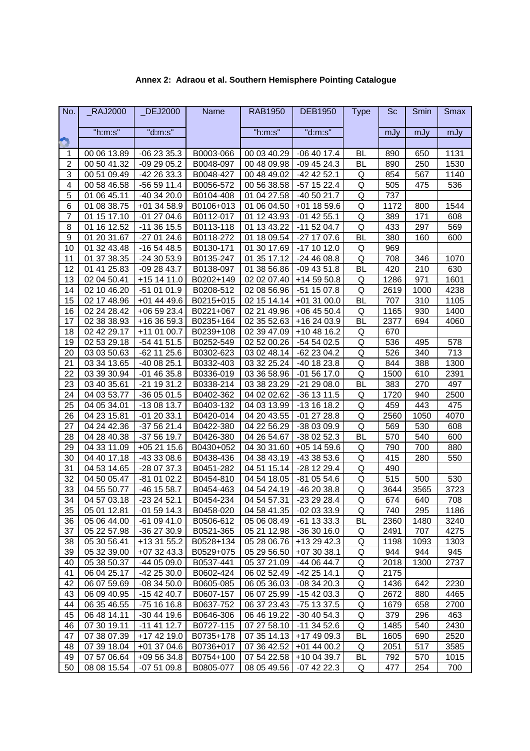| No.            | <b>RAJ2000</b> | _DEJ2000       | Name      | <b>RAB1950</b> | <b>DEB1950</b> | <b>Type</b> | Sc   | Smin | <b>Smax</b> |
|----------------|----------------|----------------|-----------|----------------|----------------|-------------|------|------|-------------|
|                | "h:m:s"        | "d:m:s"        |           | "h:m:s"        | "d:m:s"        |             | mJy  | mJy  | mJy         |
|                |                |                |           |                |                |             |      |      |             |
| 1              | 00 06 13.89    | $-062335.3$    | B0003-066 | 00 03 40.29    | $-06$ 40 17.4  | <b>BL</b>   | 890  | 650  | 1131        |
| $\overline{2}$ | 00 50 41.32    | $-092905.2$    | B0048-097 | 00 48 09.98    | $-094524.3$    | BL          | 890  | 250  | 1530        |
| 3              | 00 51 09.49    | -42 26 33.3    | B0048-427 | 00 48 49.02    | -42 42 52.1    | Q           | 854  | 567  | 1140        |
| 4              | 00 58 46.58    | -56 59 11.4    | B0056-572 | 00 56 38.58    | -57 15 22.4    | Q           | 505  | 475  | 536         |
| 5              | 01 06 45.11    | $-403420.0$    | B0104-408 | 01 04 27.58    | -40 50 21.7    | Q           | 737  |      |             |
| 6              | 01 08 38.75    | +01 34 58.9    | B0106+013 | 01 06 04.50    | $+01$ 18 59.6  | Q           | 1172 | 800  | 1544        |
| $\overline{7}$ | 01 15 17.10    | $-012704.6$    | B0112-017 | 01 12 43.93    | $-01$ 42 55.1  | Q           | 389  | 171  | 608         |
| 8              | 01 16 12.52    | $-11$ 36 15.5  | B0113-118 | 01 13 43.22    | $-115204.7$    | Q           | 433  | 297  | 569         |
| 9              | 01 20 31.67    | $-270124.6$    | B0118-272 | 01 18 09.54    | -27 17 07.6    | <b>BL</b>   | 380  | 160  | 600         |
| 10             | 01 32 43.48    | $-165448.5$    | B0130-171 | 01 30 17.69    | -17 10 12.0    | Q           | 969  |      |             |
| 11             | 01 37 38.35    | $-243053.9$    | B0135-247 | 01 35 17.12    | -24 46 08.8    | Q           | 708  | 346  | 1070        |
| 12             | 01 41 25.83    | $-092843.7$    | B0138-097 | 01 38 56.86    | $-094351.8$    | <b>BL</b>   | 420  | 210  | 630         |
| 13             | 02 04 50.41    | +15 14 11.0    | B0202+149 | 02 02 07.40    | +14 59 50.8    | Q           | 1286 | 971  | 1601        |
| 14             | 02 10 46.20    | -51 01 01.9    | B0208-512 | 02 08 56.96    | -51 15 07.8    | Q           | 2619 | 1000 | 4238        |
| 15             | 02 17 48.96    | +01 44 49.6    | B0215+015 | 02 15 14.14    | $+013100.0$    | BL          | 707  | 310  | 1105        |
| 16             | 02 24 28.42    | +06 59 23.4    | B0221+067 | 02 21 49.96    | $+064550.4$    | Q           | 1165 | 930  | 1400        |
| 17             | 02 38 38.93    | +16 36 59.3    | B0235+164 | 02 35 52.63    | +16 24 03.9    | <b>BL</b>   | 2377 | 694  | 4060        |
| 18             | 02 42 29.17    | +11 01 00.7    | B0239+108 | 02 39 47.09    | $+104816.2$    | Q           | 670  |      |             |
| 19             | 02 53 29.18    | -54 41 51.5    | B0252-549 | 02 52 00.26    | -54 54 02.5    | Q           | 536  | 495  | 578         |
| 20             | 03 03 50.63    | $-62$ 11 25.6  | B0302-623 | 03 02 48.14    | -62 23 04.2    | Q           | 526  | 340  | 713         |
| 21             | 03 34 13.65    | -40 08 25.1    | B0332-403 | 03 32 25.24    | -40 18 23.8    | Q           | 844  | 388  | 1300        |
| 22             | 03 39 30.94    | $-014635.8$    | B0336-019 | 03 36 58.96    | $-015617.0$    | Q           | 1500 | 610  | 2391        |
| 23             | 03 40 35.61    | 19 31.2<br>-21 | B0338-214 | 03 38 23.29    | -21 29 08.0    | <b>BL</b>   | 383  | 270  | 497         |
| 24             | 04 03 53.77    | $-360501.5$    | B0402-362 | 04 02 02.62    | -36 13 11.5    | Q           | 1720 | 940  | 2500        |
| 25             | 04 05 34.01    | -13 08 13.7    | B0403-132 | 04 03 13.99    | -13 16 18.2    | Q           | 459  | 443  | 475         |
| 26             | 04 23 15.81    | $-012033.1$    | B0420-014 | 04 20 43.55    | $-012728.8$    | Q           | 2560 | 1050 | 4070        |
| 27             | 04 24 42.36    | $-375621.4$    | B0422-380 | 04 22 56.29    | -38 03 09.9    | Q           | 569  | 530  | 608         |
| 28             | 04 28 40.38    | -37 56 19.7    | B0426-380 | 04 26 54.67    | -38 02 52.3    | BL          | 570  | 540  | 600         |
| 29             | 04 33 11.09    | +05 21 15.6    | B0430+052 | 04 30 31.60    | $+05$ 14 59.6  | Q           | 790  | 700  | 880         |
| 30             | 04 40 17.18    | -43 33 08.6    | B0438-436 | 04 38 43.19    | -43 38 53.6    | Q           | 415  | 280  | 550         |
| 31             | 04 53 14.65    | -28 07 37.3    | B0451-282 | 04 51 15.14    | -28 12 29.4    | Q           | 490  |      |             |
| 32             | 04 50 05.47    | $-810102.2$    | B0454-810 | 04 54 18.05    | -81 05 54.6    | Q           | 515  | 500  | 530         |
| 33             | 04 55 50.77    | -46 15 58.7    | B0454-463 | 04 54 24.19    | -46 20 38.8    | Q           | 3644 | 3565 | 3723        |
| 34             | 04 57 03.18    | $-232452.1$    | B0454-234 | 04 54 57.31    | -23 29 28.4    | Q           | 674  | 640  | 708         |
| 35             | 05 01 12.81    | $-015914.3$    | B0458-020 | 04 58 41.35    | -02 03 33.9    | Q           | 740  | 295  | 1186        |
| 36             | 05 06 44.00    | $-610941.0$    | B0506-612 | 05 06 08.49    | $-61$ 13 33.3  | BL          | 2360 | 1480 | 3240        |
| 37             | 05 22 57.98    | -36 27 30.9    | B0521-365 | 05 21 12.98    | $-363016.0$    | Q           | 2491 | 707  | 4275        |
| 38             | 05 30 56.41    | +13 31 55.2    | B0528+134 | 05 28 06.76    | +13 29 42.3    | Q           | 1198 | 1093 | 1303        |
| 39             | 05 32 39.00    | $+073243.3$    | B0529+075 | 05 29 56.50    | +07 30 38.1    | Q           | 944  | 944  | 945         |
| 40             | 05 38 50.37    | -44 05 09.0    | B0537-441 | 05 37 21.09    | -44 06 44.7    | Q           | 2018 | 1300 | 2737        |
| 41             | 06 04 25.17    | $-422530.0$    | B0602-424 | 06 02 52.49    | -42 25 14.1    | Q           | 2175 |      |             |
| 42             | 06 07 59.69    | $-083450.0$    | B0605-085 | 06 05 36.03    | $-083420.3$    | Q           | 1436 | 642  | 2230        |
| 43             | 06 09 40.95    | $-154240.7$    | B0607-157 | 06 07 25.99    | $-154203.3$    | Q           | 2672 | 880  | 4465        |
| 44             | 06 35 46.55    | -75 16 16.8    | B0637-752 | 06 37 23.43    | -75 13 37.5    | Q           | 1679 | 658  | 2700        |
| 45             | 06 48 14.11    | $-304419.6$    | B0646-306 | 06 46 19.22    | $-30$ 40 54.3  | Q           | 379  | 296  | 463         |
| 46             | 07 30 19.11    | $-11$ 41 12.7  | B0727-115 | 07 27 58.10    | $-11$ 34 52.6  | Q           | 1485 | 540  | 2430        |
| 47             | 07 38 07.39    | +17 42 19.0    | B0735+178 | 07 35 14.13    | +17 49 09.3    | <b>BL</b>   | 1605 | 690  | 2520        |
| 48             | 07 39 18.04    | +01 37 04.6    | B0736+017 | 07 36 42.52    | +01 44 00.2    | Q           | 2051 | 517  | 3585        |
| 49             | 07 57 06.64    | $+095634.8$    | B0754+100 | 07 54 22.58    | +10 04 39.7    | <b>BL</b>   | 792  | 570  | 1015        |
| 50             | 08 08 15.54    | $-075109.8$    | B0805-077 | 08 05 49.56    | $-07$ 42 22.3  | Q           | 477  | 254  | 700         |

### **Annex 2: Adraou et al. Southern Hemisphere Pointing Catalogue**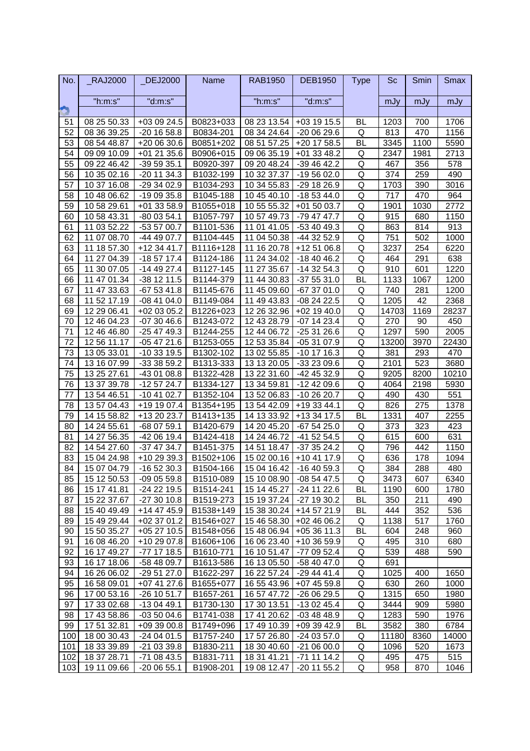| No. | <b>RAJ2000</b> | <b>DEJ2000</b> | <b>Name</b>           | <b>RAB1950</b> | <b>DEB1950</b> | <b>Type</b> | Sc    | Smin | <b>Smax</b> |
|-----|----------------|----------------|-----------------------|----------------|----------------|-------------|-------|------|-------------|
|     | "h:m:s"        | "d:m:s"        |                       | "h:m:s"        | "d:m:s"        |             | mJy   | mJy  | mJy         |
|     |                |                |                       |                |                |             |       |      |             |
| 51  | 08 25 50.33    | +03 09 24.5    | B0823+033             | 08 23 13.54    | +03 19 15.5    | <b>BL</b>   | 1203  | 700  | 1706        |
| 52  | 08 36 39.25    | $-20$ 16 58.8  | B0834-201             | 08 34 24.64    | -20 06 29.6    | Q           | 813   | 470  | 1156        |
| 53  | 08 54 48.87    | +20 06 30.6    | B0851+202             | 08 51 57.25    | +20 17 58.5    | <b>BL</b>   | 3345  | 1100 | 5590        |
| 54  | 09 09 10.09    | +01 21 35.6    | B0906+015             | 09 06 35.19    | +01 33 48.2    | Q           | 2347  | 1981 | 2713        |
| 55  | 09 22 46.42    | $-395935.1$    | B0920-397             | 09 20 48.24    | $-394642.2$    | Q           | 467   | 356  | 578         |
| 56  | 10 35 02.16    | $-20$ 11 34.3  | B1032-199             | 10 32 37.37    | -19 56 02.0    | Q           | 374   | 259  | 490         |
| 57  | 10 37 16.08    | $-293402.9$    | B1034-293             | 10 34 55.83    | -29 18 26.9    | Q           | 1703  | 390  | 3016        |
| 58  | 10 48 06.62    | $-190935.8$    | B1045-188             | 10 45 40.10    | $-185344.0$    | Q           | 717   | 470  | 964         |
| 59  | 10 58 29.61    | $+01$ 33 58.9  | B1055+018             | 10 55 55.32    | +01 50 03.7    | Q           | 1901  | 1030 | 2772        |
| 60  | 10 58 43.31    | $-800354.1$    | B1057-797             | 10 57 49.73    | -79 47 47.7    | Q           | 915   | 680  | 1150        |
| 61  | 11 03 52.22    | -53 57 00.7    | B1101-536             | 11 01 41.05    | -53 40 49.3    | Q           | 863   | 814  | 913         |
| 62  | 11 07 08.70    | -44 49 07.7    | B1104-445             | 11 04 50.38    | -44 32 52.9    | Q           | 751   | 502  | 1000        |
| 63  | 11 18 57.30    | +12 34 41.7    | B1116+128             | 11 16 20.78    | +12 51 06.8    | Q           | 3237  | 254  | 6220        |
| 64  | 27 04.39<br>11 | $-185717.4$    | B1124-186             | 24 34.02<br>11 | $-184046.2$    | Q           | 464   | 291  | 638         |
| 65  | 30 07.05<br>11 | $-144927.4$    | B1127-145             | 27 35.67<br>11 | $-143254.3$    | Q           | 910   | 601  | 1220        |
| 66  | 11 47 01.34    | $-38$ 12 11.5  | B1144-379             | 11 44 30.83    | $-375531.0$    | <b>BL</b>   | 1133  | 1067 | 1200        |
| 67  | 11 47 33.63    | $-675341.8$    | B1145-676             | 11 45 09.60    | -67 37 01.0    | Q           | 740   | 281  | 1200        |
| 68  | 11 52 17.19    | $-084104.0$    | B1149-084             | 11 49 43.83    | $-082422.5$    | Q           | 1205  | 42   | 2368        |
| 69  | 12 29 06.41    | +02 03 05.2    | B1226+023             | 12 26 32.96    | +02 19 40.0    | Q           | 14703 | 1169 | 28237       |
| 70  | 12 46 04.23    | $-073046.6$    | B1243-072             | 12 43 28.79    | $-07$ 14 23.4  | Q           | 270   | 90   | 450         |
| 71  | 12 46 46.80    | $-254749.3$    | B1244-255             | 12 44 06.72    | $-253126.6$    | Q           | 1297  | 590  | 2005        |
| 72  | 12 56 11.17    | $-054721.6$    | B1253-055             | 12 53 35.84    | $-053107.9$    | Q           | 13200 | 3970 | 22430       |
| 73  | 13 05 33.01    | $-103319.5$    | B1302-102             | 13 02 55.85    | $-10$ 17 16.3  | Q           | 381   | 293  | 470         |
| 74  | 13 16 07.99    | $-333859.2$    | B1313-333             | 13 13 20.05    | -33 23 09.6    | Q           | 2101  | 523  | 3680        |
| 75  | 13 25 27.61    | -43 01 08.8    | B1322-428             | 13 22 31.60    | -42 45 32.9    | Q           | 9205  | 8200 | 10210       |
| 76  | 13 37 39.78    | $-125724.7$    | B1334-127             | 13 34 59.81    | -12 42 09.6    | Q           | 4064  | 2198 | 5930        |
| 77  | 13 54 46.51    | $-10$ 41 02.7  | B1352-104             | 13 52 06.83    | -10 26 20.7    | Q           | 490   | 430  | 551         |
| 78  | 13 57 04.43    | +19 19 07.4    | B1354+195             | 13 54 42.09    | +19 33 44.1    | Q           | 826   | 275  | 1378        |
| 79  | 14 15 58.82    | +13 20 23.7    | B1413+135             | 14 13 33.92    | +13 34 17.5    | <b>BL</b>   | 1331  | 407  | 2255        |
| 80  | 14 24 55.61    | -68 07 59.1    | B1420-679             | 14 20 45.20    | $-675425.0$    | Q           | 373   | 323  | 423         |
| 81  | 14 27 56.35    | -42 06 19.4    | B1424-418             | 14 24 46.72    | -41 52 54.5    | Q           | 615   | 600  | 631         |
| 82  | 14 54 27.60    | $-374734.7$    | B1451-375             | 14 51 18.47    | $-373524.2$    | Q           | 796   | 442  | 1150        |
| 83  | 15 04 24.98    | +10 29 39.3    | B <sub>1502+106</sub> | 15 02 00.16    | +10 41 17.9    | Q           | 636   | 178  | 1094        |
| 84  | 15 07 04.79    | $-165230.3$    | B1504-166             | 15 04 16.42    | $-164059.3$    | Q           | 384   | 288  | 480         |
| 85  | 15 12 50.53    | $-090559.8$    | B1510-089             | 15 10 08.90    | -08 54 47.5    | Q           | 3473  | 607  | 6340        |
| 86  | 15 17 41.81    | $-242219.5$    | B1514-241             | 15 14 45.27    | $-24$ 11 22.6  | <b>BL</b>   | 1190  | 600  | 1780        |
| 87  | 15 22 37.67    | $-273010.8$    | B1519-273             | 15 19 37.24    | -27 19 30.2    | <b>BL</b>   | 350   | 211  | 490         |
| 88  | 15 40 49.49    | +14 47 45.9    | B1538+149             | 15 38 30.24    | +14 57 21.9    | <b>BL</b>   | 444   | 352  | 536         |
| 89  | 15 49 29.44    | $+023701.2$    | B1546+027             | 15 46 58.30    | $+024606.2$    | Q           | 1138  | 517  | 1760        |
| 90  | 15 50 35.27    | $+052710.5$    | B1548+056             | 15 48 06.94    | $+053611.3$    | <b>BL</b>   | 604   | 248  | 960         |
| 91  | 16 08 46.20    | +10 29 07.8    | B1606+106             | 16 06 23.40    | +10 36 59.9    | Q           | 495   | 310  | 680         |
| 92  | 16 17 49.27    | -77 17 18.5    | B1610-771             | 16 10 51.47    | -77 09 52.4    | Q           | 539   | 488  | 590         |
| 93  | 16 17 18.06    | -58 48 09.7    | B1613-586             | 16 13 05.50    | -58 40 47.0    | Q           | 691   |      |             |
| 94  | 16 26 06.02    | $-295127.0$    | B1622-297             | 16 22 57.24    | -29 44 41.4    | Q           | 1025  | 400  | 1650        |
| 95  | 16 58 09.01    | +07 41 27.6    | B1655+077             | 16 55 43.96    | $+074559.8$    | Q           | 630   | 260  | 1000        |
| 96  | 17 00 53.16    | $-26$ 10 51.7  | B1657-261             | 16 57 47.72    | -26 06 29.5    | Q           | 1315  | 650  | 1980        |
| 97  | 17 33 02.68    | -13 04 49.1    | B1730-130             | 17 30 13.51    | $-130245.4$    | Q           | 3444  | 909  | 5980        |
| 98  | 17 43 58.86    | $-035004.6$    | B1741-038             | 17 41 20.62    | $-034848.9$    | Q           | 1283  | 590  | 1976        |
| 99  | 17 51 32.81    | +09 39 00.8    | B1749+096             | 17 49 10.39    | +09 39 42.9    | <b>BL</b>   | 3582  | 380  | 6784        |
| 100 | 18 00 30.43    | -24 04 01.5    | B1757-240             | 17 57 26.80    | -24 03 57.0    | Q           | 11180 | 8360 | 14000       |
| 101 | 18 33 39.89    | -21 03 39.8    | B1830-211             | 18 30 40.60    | $-210600.0$    | Q           | 1096  | 520  | 1673        |
| 102 | 18 37 28.71    | -71 08 43.5    | B1831-711             | 18 31 41.21    | -71 11 14.2    | Q           | 495   | 475  | 515         |
| 103 | 19 11 09.66    | $-200655.1$    | B1908-201             | 19 08 12.47    | $-20$ 11 55.2  | Q           | 958   | 870  | 1046        |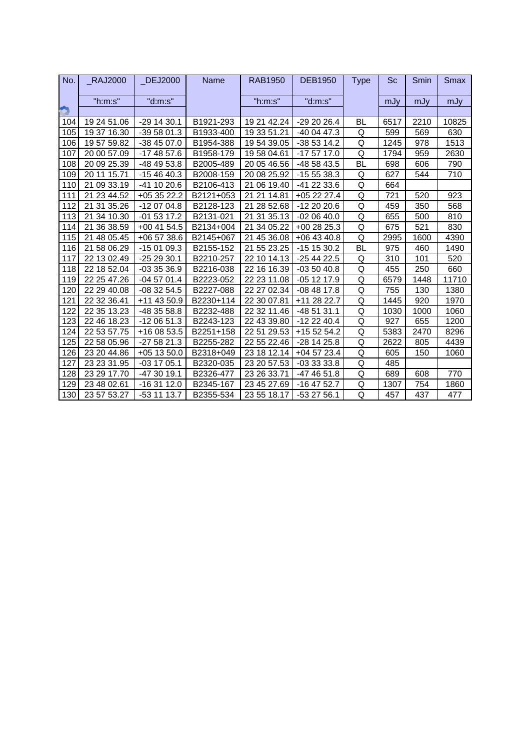| No. | <b>RAJ2000</b> | <b>DEJ2000</b> | Name      | <b>RAB1950</b>    | <b>DEB1950</b> | Type      | Sc   | Smin | Smax  |
|-----|----------------|----------------|-----------|-------------------|----------------|-----------|------|------|-------|
|     | "h:m:s"        | "d:m:s"        |           | "h:m:s"           | "d:m:s"        |           | mJy  | mJy  | mJy   |
|     |                |                |           |                   |                |           |      |      |       |
| 104 | 19 24 51.06    | $-291430.1$    | B1921-293 | 19 21 42.24       | -29 20 26.4    | BL        | 6517 | 2210 | 10825 |
| 105 | 19 37 16.30    | $-395801.3$    | B1933-400 | 19 33 51.21       | -40 04 47.3    | Q         | 599  | 569  | 630   |
| 106 | 19 57 59.82    | $-384507.0$    | B1954-388 | 19 54 39.05       | -38 53 14.2    | Q         | 1245 | 978  | 1513  |
| 107 | 20 00 57.09    | $-174857.6$    | B1958-179 | 19 58 04.61       | -17 57 17.0    | Q         | 1794 | 959  | 2630  |
| 108 | 20 09 25.39    | -48 49 53.8    | B2005-489 | 20 05 46.56       | -48 58 43.5    | <b>BL</b> | 698  | 606  | 790   |
| 109 | 20 11 15.71    | $-154640.3$    | B2008-159 | 20 08 25.92       | $-155538.3$    | Q         | 627  | 544  | 710   |
| 110 | 21 09 33.19    | $-41$ 10 20.6  | B2106-413 | 21 06 19.40       | -41 22 33.6    | Q         | 664  |      |       |
| 111 | 21 23 44.52    | $+053522.2$    | B2121+053 | 21<br>14.81<br>21 | $+052227.4$    | Q         | 721  | 520  | 923   |
| 112 | 21 31 35.26    | $-120704.8$    | B2128-123 | 21 28 52.68       | $-122020.6$    | Q         | 459  | 350  | 568   |
| 113 | 21 34 10.30    | $-015317.2$    | B2131-021 | 21 31 35.13       | $-020640.0$    | Q         | 655  | 500  | 810   |
| 114 | 21 36 38.59    | $+00$ 41 54.5  | B2134+004 | 21 34 05.22       | $+002825.3$    | Q         | 675  | 521  | 830   |
| 115 | 21 48 05.45    | $+065738.6$    | B2145+067 | 21 45 36.08       | $+06$ 43 40.8  | Q         | 2995 | 1600 | 4390  |
| 116 | 21 58 06.29    | $-150109.3$    | B2155-152 | 21 55 23.25       | $-151530.2$    | <b>BL</b> | 975  | 460  | 1490  |
| 117 | 22 13 02.49    | $-252930.1$    | B2210-257 | 22 10 14.13       | $-254422.5$    | Q         | 310  | 101  | 520   |
| 118 | 22 18 52.04    | $-033536.9$    | B2216-038 | 22 16 16.39       | $-035040.8$    | Q         | 455  | 250  | 660   |
| 119 | 22 25 47.26    | $-045701.4$    | B2223-052 | 22 23 11.08       | $-051217.9$    | Q         | 6579 | 1448 | 11710 |
| 120 | 22 29 40.08    | $-083254.5$    | B2227-088 | 22 27 02.34       | $-084817.8$    | Q         | 755  | 130  | 1380  |
| 121 | 22 32 36.41    | +11 43 50.9    | B2230+114 | 22 30 07.81       | +11 28 22.7    | Q         | 1445 | 920  | 1970  |
| 122 | 22 35 13.23    | -48 35 58.8    | B2232-488 | 22 32 11.46       | -48 51 31.1    | Q         | 1030 | 1000 | 1060  |
| 123 | 22 46 18.23    | $-120651.3$    | B2243-123 | 22 43 39.80       | $-122240.4$    | Q         | 927  | 655  | 1200  |
| 124 | 22 53 57.75    | +16 08 53.5    | B2251+158 | 22 51 29.53       | +15 52 54.2    | Q         | 5383 | 2470 | 8296  |
| 125 | 22 58 05.96    | $-275821.3$    | B2255-282 | 22 55 22.46       | $-28$ 14 25.8  | Q         | 2622 | 805  | 4439  |
| 126 | 23 20 44.86    | $+05$ 13 50.0  | B2318+049 | 23 18 12.14       | $+045723.4$    | Q         | 605  | 150  | 1060  |
| 127 | 23 23 31.95    | $-03$ 17 05.1  | B2320-035 | 23 20 57.53       | -03 33 33.8    | Q         | 485  |      |       |
| 128 | 23 29 17.70    | $-473019.1$    | B2326-477 | 23 26 33.71       | -47 46 51.8    | Q         | 689  | 608  | 770   |
| 129 | 23 48 02.61    | $-163112.0$    | B2345-167 | 23 45 27.69       | $-16$ 47 52.7  | Q         | 1307 | 754  | 1860  |
| 130 | 23 57 53.27    | $-53$ 11 13.7  | B2355-534 | 23 55 18.17       | $-532756.1$    | Q         | 457  | 437  | 477   |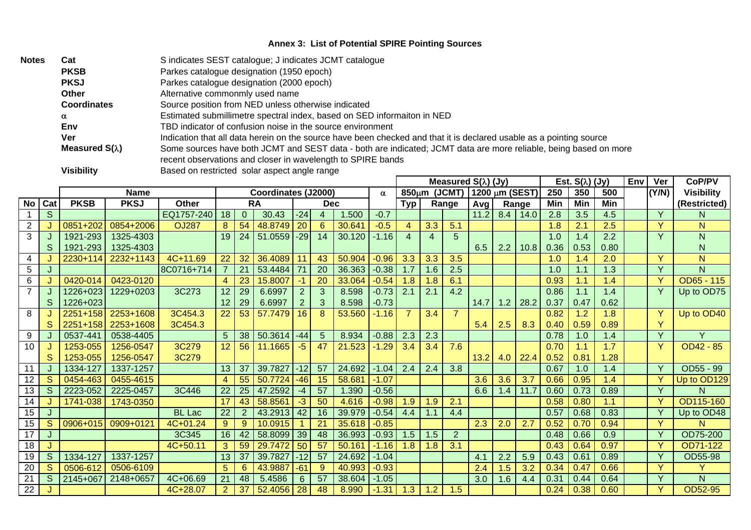### **Annex 3: List of Potential SPIRE Pointing Sources**

| <b>Notes</b> | Cat                   | S indicates SEST catalogue; J indicates JCMT catalogue                                                                                                                          |
|--------------|-----------------------|---------------------------------------------------------------------------------------------------------------------------------------------------------------------------------|
|              | <b>PKSB</b>           | Parkes catalogue designation (1950 epoch)                                                                                                                                       |
|              | <b>PKSJ</b>           | Parkes catalogue designation (2000 epoch)                                                                                                                                       |
|              | Other                 | Alternative commonmly used name                                                                                                                                                 |
|              | <b>Coordinates</b>    | Source position from NED unless otherwise indicated                                                                                                                             |
|              | α                     | Estimated submillimetre spectral index, based on SED informaiton in NED                                                                                                         |
|              | Env                   | TBD indicator of confusion noise in the source environment                                                                                                                      |
|              | Ver                   | Indication that all data herein on the source have been checked and that it is declared usable as a pointing source                                                             |
|              | Measured $S(\lambda)$ | Some sources have both JCMT and SEST data - both are indicated; JCMT data are more reliable, being based on more<br>recent observations and closer in wavelength to SPIRE bands |
|              | <b>Visibility</b>     | Based on restricted solar aspect angle range<br>Envi<br>Moogurad $C(1)$ (b)<br>$E_{\alpha}$ $E_{\alpha}$ $\lambda$ $\lambda$ $\mu$                                              |

|                |     |             |             |               |                |          |                     | Measured $S(\lambda)$ (Jy) |                |        |          |                    | Est. $S(\lambda)$ (Jy) |                | Env            | Ver | CoP/PV |      |      |      |  |              |                   |
|----------------|-----|-------------|-------------|---------------|----------------|----------|---------------------|----------------------------|----------------|--------|----------|--------------------|------------------------|----------------|----------------|-----|--------|------|------|------|--|--------------|-------------------|
|                |     |             | <b>Name</b> |               |                |          | Coordinates (J2000) |                            |                |        | $\alpha$ | 850 <sub>µ</sub> m |                        | (JCMT)         | 1200 μm (SEST) |     |        | 250  | 350  | 500  |  | (Y/N)        | <b>Visibility</b> |
| No             | Cat | <b>PKSB</b> | <b>PKSJ</b> | <b>Other</b>  |                |          | <b>RA</b>           |                            | <b>Dec</b>     |        |          | <b>Typ</b>         |                        | Range          | Ava            |     | Range  | Min  | Min  | Min  |  |              | (Restricted)      |
|                | S.  |             |             | EQ1757-240    | 18             | $\Omega$ | 30.43               | $-24$                      | $\overline{4}$ | 1.500  | $-0.7$   |                    |                        |                | 11.2           | 8.4 | 14.0   | 2.8  | 3.5  | 4.5  |  | Y            | N.                |
| $\overline{2}$ |     | 0851+202    | 0854+2006   | <b>OJ287</b>  | 8              | 54       | 48.8749             | 20                         | 6              | 30.641 | $-0.5$   | 4                  | 3.3                    | 5.1            |                |     |        | 1.8  | 2.1  | 2.5  |  | $\vee$       | N                 |
| 3              |     | 1921-293    | 1325-4303   |               | 19             | 24       | 51.0559             | $-29$                      | 14             | 30.120 | $-1.16$  | $\overline{4}$     | $\overline{4}$         | 5              |                |     |        | 1.0  | 1.4  | 2.2  |  | Y            | N                 |
|                | S   | 1921-293    | 1325-4303   |               |                |          |                     |                            |                |        |          |                    |                        |                | 6.5            | 2.2 | 10.8   | 0.36 | 0.53 | 0.80 |  |              | $\mathsf{N}$      |
| 4              |     | 2230+114    | 2232+1143   | 4C+11.69      | 22             | 32       | 36.4089             |                            | 43             | 50.904 | $-0.96$  | 3.3                | 3.3                    | 3.5            |                |     |        | 1.0  | 1.4  | 2.0  |  | $\vee$       | N                 |
| 5              |     |             |             | 8C0716+714    |                | 21       | 53.4484             |                            | 20             | 36.363 | $-0.38$  | 1.7                | 1.6                    | 2.5            |                |     |        | 1.0  | 1.1  | 1.3  |  | v            | N.                |
| 6              |     | 0420-014    | 0423-0120   |               | 4              | 23       | 15.8007             | $-1$                       | 20             | 33.064 | $-0.54$  | 1.8                | 1.8                    | 6.1            |                |     |        | 0.93 | 1.1  | 1.4  |  | Ÿ            | OD65 - 115        |
| $\overline{7}$ |     | 1226+023    | 1229+0203   | 3C273         | 12             | 29       | 6.6997              | 2                          | 3              | 8.598  | $-0.73$  | 2.1                | 2.1                    | 4.2            |                |     |        | 0.86 | 1.1  | 1.4  |  | Y            | Up to OD75        |
|                | S   | 1226+023    |             |               | 12             | 29       | 6.6997              | 2                          |                | 8.598  | $-0.73$  |                    |                        |                | 14.7           | 1.2 | 28.2   | 0.37 | 0.47 | 0.62 |  |              |                   |
| 8              |     | 2251+158    | 2253+1608   | 3C454.3       | 22             | 53       | 57.7479             | 16                         |                | 53.560 | $-1.16$  |                    | 3.4                    | $\overline{7}$ |                |     |        | 0.82 | 1.2  | 1.8  |  | Y            | Up to OD40        |
|                | S   | 2251+158    | 2253+1608   | 3C454.3       |                |          |                     |                            |                |        |          |                    |                        |                | 5.4            | 2.5 | 8.3    | 0.40 | 0.59 | 0.89 |  | Y            |                   |
| 9              |     | 0537-441    | 0538-4405   |               | 5              | 38       | 50.3614             | -44                        | 5 <sup>1</sup> | 8.934  | $-0.88$  | $\overline{2.3}$   | $\overline{2.3}$       |                |                |     |        | 0.78 | 1.0  | 1.4  |  | Y            | $\vee$            |
| 10             |     | 1253-055    | 1256-0547   | 3C279         | 12             | 56       | 11.1665             | -5                         | 47             | 21.523 | $-1.29$  | 3.4                | 3.4                    | 7.6            |                |     |        | 0.70 | 1.1  | 1.7  |  | Υ            | OD42 - 85         |
|                | S   | 1253-055    | 1256-0547   | 3C279         |                |          |                     |                            |                |        |          |                    |                        |                | 13.2           | 4.0 | 22.4   | 0.52 | 0.81 | 1.28 |  |              |                   |
| 11             |     | 1334-127    | 1337-1257   |               | 13             | 37       | 39.7827             | $-12$                      | 57             | 24.692 | $-1.04$  | 2.4                | 2.4                    | 3.8            |                |     |        | 0.67 | 1.0  | 1.4  |  | Y            | OD55 - 99         |
| 12             | S   | 0454-463    | 0455-4615   |               |                | 55       | 50.7724             | $-46$                      | 15             | 58.681 | $-1.07$  |                    |                        |                | 3.6            | 3.6 | 3.7    | 0.66 | 0.95 | 1.4  |  | Y            | Up to OD129       |
| 13             | S   | 2223-052    | 2225-0457   | 3C446         | 22             | 25       | 47.2592             | -4                         | 57             | 1.390  | $-0.56$  |                    |                        |                | 6.6            | 1.4 | 11.7   | 0.60 | 0.73 | 0.89 |  | Y            | N.                |
| 14             |     | 1741-038    | 1743-0350   |               | 17             | 43       | 58.8561             | $-3$                       | 50             | 4.616  | $-0.98$  | 1.9                | 1.9                    | 2.1            |                |     |        | 0.58 | 0.80 | 1.1  |  | $\checkmark$ | OD115-160         |
| 15             |     |             |             | <b>BL</b> Lac | 22             |          | 43.2913             | -42                        | 16             | 39.979 | $-0.54$  | 4.4                | 1.1                    | 4.4            |                |     |        | 0.57 | 0.68 | 0.83 |  | Y            | Up to OD48        |
| 15             | S.  | 0906+015    | 0909+0121   | $4C + 01.24$  | 9              | 9        | 10.0915             |                            | 21             | 35.618 | $-0.85$  |                    |                        |                | 2.3            | 2.0 | 2.7    | 0.52 | 0.70 | 0.94 |  | Y            | N.                |
| 17             | J   |             |             | 3C345         | 16             | 42       | 58.8099             | 39                         | 48             | 36.993 | $-0.93$  | 1.5                | 1.5                    | $\overline{2}$ |                |     |        | 0.48 | 0.66 | 0.9  |  | $\vee$       | OD75-200          |
| 18             | J   |             |             | $4C+50.11$    | 3              | 59       | 29.7472             | 50                         | 57             | 50.161 | $-1.16$  | 1.8                | 1.8                    | 3.1            |                |     |        | 0.43 | 0.64 | 0.97 |  | Y            | OD71-122          |
| 19             | S   | 1334-127    | 1337-1257   |               | 13             | 37       | 39.7827             | $-12$                      | 57             | 24.692 | $-1.04$  |                    |                        |                | 4.1            | 2.2 | 5.9    | 0.43 | 0.61 | 0.89 |  | $\checkmark$ | OD55-98           |
| 20             | S   | 0506-612    | 0506-6109   |               | 5              | 6        | 43.9887             | $-61$                      | q              | 40.993 | $-0.93$  |                    |                        |                | 2.4            | 1.5 | 3.2    | 0.34 | 0.47 | 0.66 |  | $\vee$       | v                 |
| 21             | S.  | 2145+067    | 2148+0657   | 4C+06.69      | 21             | 48       | 5.4586              | 6                          | 57             | 38.604 | $-1.05$  |                    |                        |                | 3.0            | 1.6 | 4.4    | 0.31 | 0.44 | 0.64 |  | v            | N.                |
| 22             |     |             |             | 4C+28.07      | $\overline{2}$ | 37       | 52.4056             | 28                         | 48             | 8.990  | $-1.31$  | 1.3                | 1.2                    | .5             |                |     |        | 0.24 | 0.38 | 0.60 |  | $\vee$       | <b>OD52-95</b>    |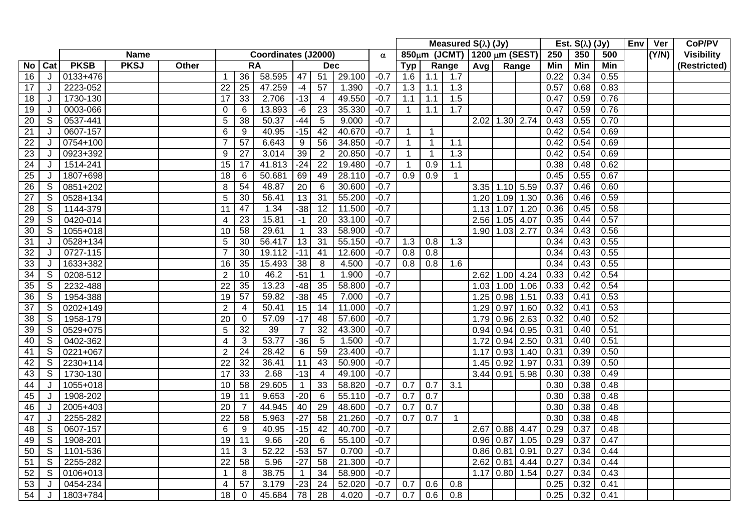|                 |                |             |             |       |                 |                 |                     |                 |                         |        |          |                  |                | Measured $S(\lambda)$ (Jy)  |             |                |      |      | Est. $S(\lambda)$ (Jy) |      | Env | Ver   | CoP/PV            |
|-----------------|----------------|-------------|-------------|-------|-----------------|-----------------|---------------------|-----------------|-------------------------|--------|----------|------------------|----------------|-----------------------------|-------------|----------------|------|------|------------------------|------|-----|-------|-------------------|
|                 |                |             | <b>Name</b> |       |                 |                 | Coordinates (J2000) |                 |                         |        | $\alpha$ |                  |                | 850μm (JCMT) 1200 μm (SEST) |             |                |      | 250  | 350                    | 500  |     | (Y/N) | <b>Visibility</b> |
| No.             | Cat            | <b>PKSB</b> | <b>PKSJ</b> | Other |                 |                 | <b>RA</b>           |                 | <b>Dec</b>              |        |          | Typ              |                | Range                       | Avq         | Range          |      | Min  | <b>Min</b>             | Min  |     |       | (Restricted)      |
| 16              | J              | 0133+476    |             |       | $\overline{1}$  | 36              | 58.595              | 47              | 51                      | 29.100 | $-0.7$   | 1.6              | 1.1            | 1.7                         |             |                |      | 0.22 | 0.34                   | 0.55 |     |       |                   |
| 17              | J              | 2223-052    |             |       | $\overline{22}$ | $\overline{25}$ | 47.259              | $-4$            | 57                      | 1.390  | $-0.7$   | 1.3              | 1.1            | 1.3                         |             |                |      | 0.57 | 0.68                   | 0.83 |     |       |                   |
| 18              | J              | 1730-130    |             |       | $\overline{17}$ | 33              | 2.706               | $-13$           | $\overline{4}$          | 49.550 | $-0.7$   | 1.1              | 1.1            | 1.5                         |             |                |      | 0.47 | 0.59                   | 0.76 |     |       |                   |
| 19              | J              | 0003-066    |             |       | $\mathbf 0$     | 6               | 13.893              | -6              | 23                      | 35.330 | $-0.7$   | $\mathbf{1}$     | 1.1            | 1.7                         |             |                |      | 0.47 | 0.59                   | 0.76 |     |       |                   |
| 20              | S              | 0537-441    |             |       | 5               | 38              | 50.37               | $-44$           | 5                       | 9.000  | $-0.7$   |                  |                |                             | $2.02$ 1.30 |                | 2.74 | 0.43 | 0.55                   | 0.70 |     |       |                   |
| 21              | J              | 0607-157    |             |       | $6\phantom{1}6$ | 9               | 40.95               | $-15$           | 42                      | 40.670 | $-0.7$   | $\mathbf 1$      | $\overline{1}$ |                             |             |                |      | 0.42 | 0.54                   | 0.69 |     |       |                   |
| 22              | J              | 0754+100    |             |       |                 | $\overline{57}$ | 6.643               | 9               | 56                      | 34.850 | $-0.7$   | $\mathbf 1$      | $\overline{1}$ | 1.1                         |             |                |      | 0.42 | 0.54                   | 0.69 |     |       |                   |
| 23              | J              | 0923+392    |             |       | 9               | 27              | 3.014               | 39              | 2                       | 20.850 | $-0.7$   | $\overline{1}$   | $\overline{1}$ | 1.3                         |             |                |      | 0.42 | 0.54                   | 0.69 |     |       |                   |
| $\overline{24}$ | J              | 1514-241    |             |       | $\overline{15}$ | 17              | 41.813              | $-24$           | $\overline{22}$         | 19.480 | $-0.7$   |                  | 0.9            | 1.1                         |             |                |      | 0.38 | 0.48                   | 0.62 |     |       |                   |
| $\overline{25}$ | J              | 1807+698    |             |       | 18              | 6               | 50.681              | 69              | 49                      | 28.110 | $-0.7$   | $\overline{0.9}$ | 0.9            | $\mathbf{1}$                |             |                |      | 0.45 | 0.55                   | 0.67 |     |       |                   |
| $\overline{26}$ | S              | 0851+202    |             |       | 8               | 54              | 48.87               | $\overline{20}$ | 6                       | 30.600 | $-0.7$   |                  |                |                             |             | $3.35$ 1.10    | 5.59 | 0.37 | 0.46                   | 0.60 |     |       |                   |
| $\overline{27}$ | S              | 0528+134    |             |       | 5               | 30              | 56.41               | 13              | $\overline{31}$         | 55.200 | $-0.7$   |                  |                |                             | 1.20        | 1.09           | 1.30 | 0.36 | 0.46                   | 0.59 |     |       |                   |
| $\overline{28}$ | S              | 1144-379    |             |       | 11              | 47              | 1.34                | $-38$           | 12                      | 11.500 | $-0.7$   |                  |                |                             | 1.13        | 1.07           | 1.20 | 0.36 | 0.45                   | 0.58 |     |       |                   |
| 29              | S              | 0420-014    |             |       | $\overline{4}$  | 23              | 15.81               | $-1$            | 20                      | 33.100 | $-0.7$   |                  |                |                             | 2.56        | 1.05           | 4.07 | 0.35 | 0.44                   | 0.57 |     |       |                   |
| 30              | $\overline{S}$ | 1055+018    |             |       | 10              | $\overline{58}$ | 29.61               | $\mathbf 1$     | 33                      | 58.900 | $-0.7$   |                  |                |                             | 1.90        | 1.03           | 2.77 | 0.34 | 0.43                   | 0.56 |     |       |                   |
| 31              | J              | 0528+134    |             |       | 5               | 30              | 56.417              | 13              | 31                      | 55.150 | $-0.7$   | 1.3              | 0.8            | 1.3                         |             |                |      | 0.34 | 0.43                   | 0.55 |     |       |                   |
| 32              | J              | 0727-115    |             |       | $\overline{7}$  | 30              | 19.112              | $-11$           | 41                      | 12.600 | $-0.7$   | $\overline{0.8}$ | 0.8            |                             |             |                |      | 0.34 | 0.43                   | 0.55 |     |       |                   |
| 33              | J              | 1633+382    |             |       | 16              | 35              | 15.493              | 38              | 8                       | 4.500  | $-0.7$   | 0.8              | 0.8            | 1.6                         |             |                |      | 0.34 | 0.43                   | 0.55 |     |       |                   |
| 34              | S              | 0208-512    |             |       | $\overline{2}$  | 10              | 46.2                | $-51$           |                         | 1.900  | $-0.7$   |                  |                |                             | $2.62$ 1.00 |                | 4.24 | 0.33 | 0.42                   | 0.54 |     |       |                   |
| 35              | S              | 2232-488    |             |       | 22              | 35              | 13.23               | $-48$           | 35                      | 58.800 | $-0.7$   |                  |                |                             | 1.03        | 1.00           | 1.06 | 0.33 | 0.42                   | 0.54 |     |       |                   |
| 36              | S              | 1954-388    |             |       | 19              | 57              | 59.82               | $-38$           | 45                      | 7.000  | $-0.7$   |                  |                |                             | $1.25$ 0.98 |                | 1.51 | 0.33 | 0.41                   | 0.53 |     |       |                   |
| 37              | S              | 0202+149    |             |       | $\overline{2}$  | 4               | 50.41               | 15              | 14                      | 11.000 | $-0.7$   |                  |                |                             | 1.29        | 0.97           | 1.60 | 0.32 | 0.41                   | 0.53 |     |       |                   |
| 38              | S              | 1958-179    |             |       | 20              | 0               | 57.09               | -17             | 48                      | 57.600 | $-0.7$   |                  |                |                             | 1.79        | 0.96           | 2.63 | 0.32 | 0.40                   | 0.52 |     |       |                   |
| 39              | S              | 0529+075    |             |       | 5               | 32              | 39                  | $\overline{7}$  | 32                      | 43.300 | $-0.7$   |                  |                |                             | $0.94$ 0.94 |                | 0.95 | 0.31 | 0.40                   | 0.51 |     |       |                   |
| 40              | S              | 0402-362    |             |       | 4               | 3               | 53.77               | $-36$           | $\overline{5}$          | 1.500  | $-0.7$   |                  |                |                             | 1.72        | 0.94           | 2.50 | 0.31 | 0.40                   | 0.51 |     |       |                   |
| 41              | S              | 0221+067    |             |       | $\overline{2}$  | 24              | 28.42               | $\,6\,$         | 59                      | 23.400 | $-0.7$   |                  |                |                             | 1.17        | 0.93           | 1.40 | 0.31 | 0.39                   | 0.50 |     |       |                   |
| 42              | S              | 2230+114    |             |       | 22              | $\overline{32}$ | 36.41               | 11              | 43                      | 50.900 | $-0.7$   |                  |                |                             | 1.45        | 0.92           | 1.97 | 0.31 | 0.39                   | 0.50 |     |       |                   |
| 43              | S              | 1730-130    |             |       | 17              | 33              | 2.68                | $-13$           | $\overline{\mathbf{4}}$ | 49.100 | $-0.7$   |                  |                |                             | $3.44$ 0.91 |                | 5.98 | 0.30 | 0.38                   | 0.49 |     |       |                   |
| 44              | J              | 1055+018    |             |       | 10              | $\overline{58}$ | 29.605              | $\mathbf{1}$    | 33                      | 58.820 | $-0.7$   | 0.7              | 0.7            | 3.1                         |             |                |      | 0.30 | 0.38                   | 0.48 |     |       |                   |
| 45              | J              | 1908-202    |             |       | 19              | 11              | 9.653               | $-20$           | 6                       | 55.110 | $-0.7$   | 0.7              | 0.7            |                             |             |                |      | 0.30 | 0.38                   | 0.48 |     |       |                   |
| 46              | J              | 2005+403    |             |       | 20              | $\overline{7}$  | 44.945              | 40              | 29                      | 48.600 | $-0.7$   | 0.7              | 0.7            |                             |             |                |      | 0.30 | 0.38                   | 0.48 |     |       |                   |
| 47              | J              | 2255-282    |             |       | 22              | 58              | 5.963               | $-27$           | 58                      | 21.260 | $-0.7$   | 0.7              | 0.7            | $\mathbf{1}$                |             |                |      | 0.30 | 0.38                   | 0.48 |     |       |                   |
| 48              | S              | 0607-157    |             |       | 6               | 9               | 40.95               | $-15$           | 42                      | 40.700 | $-0.7$   |                  |                |                             |             | 2.67 0.88 4.47 |      | 0.29 | 0.37                   | 0.48 |     |       |                   |
| 49              | S              | 1908-201    |             |       | 19              | 11              | 9.66                | $-20$           | 6                       | 55.100 | $-0.7$   |                  |                |                             | $0.96$ 0.87 |                | 1.05 | 0.29 | 0.37                   | 0.47 |     |       |                   |
| 50              | $\mathsf{S}$   | 1101-536    |             |       | 11              | 3               | 52.22               | $-53$           | $\overline{57}$         | 0.700  | $-0.7$   |                  |                |                             | 0.86        | 0.81           | 0.91 | 0.27 | 0.34                   | 0.44 |     |       |                   |
| 51              | S              | 2255-282    |             |       | 22              | 58              | 5.96                | $-27$           | 58                      | 21.300 | $-0.7$   |                  |                |                             | 2.62        | 0.81           | 4.44 | 0.27 | 0.34                   | 0.44 |     |       |                   |
| 52              | S              | 0106+013    |             |       | -1              | 8               | 38.75               | $\overline{1}$  | 34                      | 58.900 | $-0.7$   |                  |                |                             | 1.17        | 0.80           | 1.54 | 0.27 | 0.34                   | 0.43 |     |       |                   |
| 53              | J              | 0454-234    |             |       | 4               | 57              | 3.179               | $-23$           | 24                      | 52.020 | $-0.7$   | 0.7              | 0.6            | 0.8                         |             |                |      | 0.25 | 0.32                   | 0.41 |     |       |                   |
| 54              | J              | 1803+784    |             |       | 18              | 0               | 45.684              | 78              | 28                      | 4.020  | $-0.7$   | 0.7              | 0.6            | 0.8                         |             |                |      | 0.25 | 0.32                   | 0.41 |     |       |                   |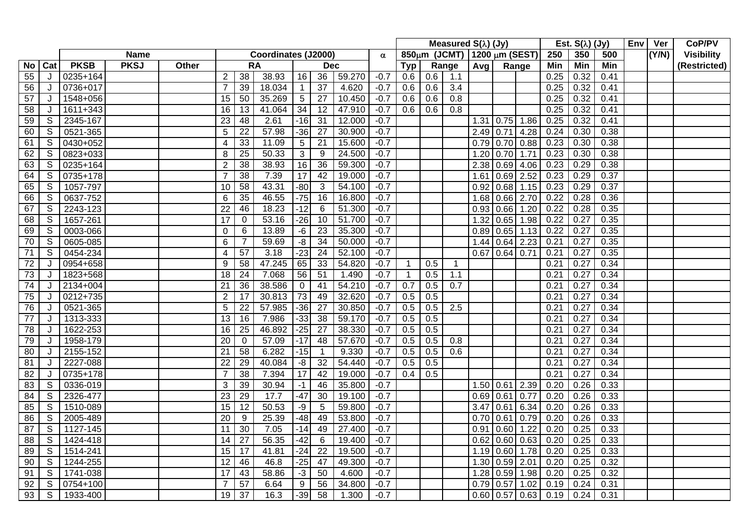|                 |                |             |             |       |                 |                 |                     |                 |                 |        |          |             |     | Measured $S(\lambda)$ (Jy)  |             |                  |      |      | Est. $S(\lambda)$ (Jy) |      | <b>Env</b> | Ver   | CoP/PV            |
|-----------------|----------------|-------------|-------------|-------|-----------------|-----------------|---------------------|-----------------|-----------------|--------|----------|-------------|-----|-----------------------------|-------------|------------------|------|------|------------------------|------|------------|-------|-------------------|
|                 |                |             | <b>Name</b> |       |                 |                 | Coordinates (J2000) |                 |                 |        | $\alpha$ |             |     | 850μm (JCMT) 1200 μm (SEST) |             |                  |      | 250  | 350                    | 500  |            | (Y/N) | <b>Visibility</b> |
| <b>No</b>       | Cat            | <b>PKSB</b> | <b>PKSJ</b> | Other |                 |                 | <b>RA</b>           |                 | <b>Dec</b>      |        |          | Tvp         |     | Range                       | Avq         | Range            |      | Min  | <b>Min</b>             | Min  |            |       | (Restricted)      |
| 55              | J              | 0235+164    |             |       | $\overline{2}$  | 38              | 38.93               | 16              | 36              | 59.270 | $-0.7$   | 0.6         | 0.6 | 1.1                         |             |                  |      | 0.25 | 0.32                   | 0.41 |            |       |                   |
| 56              | J              | 0736+017    |             |       | $\overline{7}$  | 39              | 18.034              | $\overline{1}$  | $\overline{37}$ | 4.620  | $-0.7$   | 0.6         | 0.6 | 3.4                         |             |                  |      | 0.25 | 0.32                   | 0.41 |            |       |                   |
| 57              | J              | 1548+056    |             |       | 15              | 50              | 35.269              | 5               | 27              | 10.450 | $-0.7$   | 0.6         | 0.6 | 0.8                         |             |                  |      | 0.25 | $0.\overline{32}$      | 0.41 |            |       |                   |
| 58              | J              | 1611+343    |             |       | 16              | 13              | $41.\overline{064}$ | $\overline{34}$ | 12              | 47.910 | $-0.7$   | 0.6         | 0.6 | 0.8                         |             |                  |      | 0.25 | 0.32                   | 0.41 |            |       |                   |
| 59              | S              | 2345-167    |             |       | 23              | 48              | 2.61                | $-16$           | 31              | 12.000 | $-0.7$   |             |     |                             | 1.31   0.75 |                  | 1.86 | 0.25 | 0.32                   | 0.41 |            |       |                   |
| 60              | S              | 0521-365    |             |       | 5               | $\overline{22}$ | 57.98               | $-36$           | $\overline{27}$ | 30.900 | $-0.7$   |             |     |                             | $2.49$ 0.71 |                  | 4.28 | 0.24 | 0.30                   | 0.38 |            |       |                   |
| 61              | S              | 0430+052    |             |       | 4               | 33              | 11.09               | $\sqrt{5}$      | 21              | 15.600 | $-0.7$   |             |     |                             | $0.79$ 0.70 |                  | 0.88 | 0.23 | 0.30                   | 0.38 |            |       |                   |
| 62              | $\mathsf S$    | 0823+033    |             |       | 8               | 25              | 50.33               | 3               | 9               | 24.500 | $-0.7$   |             |     |                             | 1.20        | 0.70             | 1.71 | 0.23 | 0.30                   | 0.38 |            |       |                   |
| 63              | S              | 0235+164    |             |       | $\overline{2}$  | 38              | 38.93               | 16              | $\overline{36}$ | 59.300 | $-0.7$   |             |     |                             | 2.38        | 0.69             | 4.06 | 0.23 | 0.29                   | 0.38 |            |       |                   |
| 64              | S              | 0735+178    |             |       | $\overline{7}$  | $\overline{38}$ | 7.39                | 17              | 42              | 19.000 | $-0.7$   |             |     |                             | 1.61        | 0.69             | 2.52 | 0.23 | 0.29                   | 0.37 |            |       |                   |
| 65              | S              | 1057-797    |             |       | 10              | 58              | 43.31               | $-80$           | 3               | 54.100 | $-0.7$   |             |     |                             | 0.92        | 0.68             | 1.15 | 0.23 | 0.29                   | 0.37 |            |       |                   |
| 66              | $\overline{s}$ | 0637-752    |             |       | 6               | $\overline{35}$ | 46.55               | $-75$           | 16              | 16.800 | $-0.7$   |             |     |                             | 1.68        | 0.66             | 2.70 | 0.22 | 0.28                   | 0.36 |            |       |                   |
| 67              | S              | 2243-123    |             |       | 22              | 46              | 18.23               | $-12$           | 6               | 51.300 | $-0.7$   |             |     |                             | 0.93        | 0.66             | 1.20 | 0.22 | 0.28                   | 0.35 |            |       |                   |
| 68              | S              | 1657-261    |             |       | 17              | 0               | 53.16               | $-26$           | 10              | 51.700 | $-0.7$   |             |     |                             | 1.32        | 0.65             | 1.98 | 0.22 | 0.27                   | 0.35 |            |       |                   |
| 69              | S              | 0003-066    |             |       | $\mathbf 0$     | 6               | 13.89               | $-6$            | $\overline{23}$ | 35.300 | $-0.7$   |             |     |                             | 0.89        | 0.65             | 1.13 | 0.22 | 0.27                   | 0.35 |            |       |                   |
| 70              | ${\mathsf S}$  | 0605-085    |             |       | $6\phantom{1}6$ |                 | 59.69               | $-\frac{8}{5}$  | $\overline{34}$ | 50.000 | $-0.7$   |             |     |                             |             | $1.44 \mid 0.64$ | 2.23 | 0.21 | 0.27                   | 0.35 |            |       |                   |
| 71              | S              | 0454-234    |             |       | $\overline{4}$  | 57              | 3.18                | $-23$           | 24              | 52.100 | $-0.7$   |             |     |                             | 0.67        | 0.64             | 0.71 | 0.21 | 0.27                   | 0.35 |            |       |                   |
| 72              | J              | 0954+658    |             |       | 9               | $\overline{58}$ | 47.245              | 65              | 33              | 54.820 | $-0.7$   |             | 0.5 | $\mathbf 1$                 |             |                  |      | 0.21 | 0.27                   | 0.34 |            |       |                   |
| 73              | J              | 1823+568    |             |       | 18              | 24              | 7.068               | 56              | 51              | 1.490  | $-0.7$   | $\mathbf 1$ | 0.5 | 1.1                         |             |                  |      | 0.21 | 0.27                   | 0.34 |            |       |                   |
| 74              | J              | 2134+004    |             |       | $\overline{21}$ | $\overline{36}$ | 38.586              | $\mathbf 0$     | 41              | 54.210 | $-0.7$   | 0.7         | 0.5 | 0.7                         |             |                  |      | 0.21 | 0.27                   | 0.34 |            |       |                   |
| 75              | J              | 0212+735    |             |       | $\overline{2}$  | 17              | 30.813              | 73              | 49              | 32.620 | $-0.7$   | 0.5         | 0.5 |                             |             |                  |      | 0.21 | 0.27                   | 0.34 |            |       |                   |
| 76              | J              | 0521-365    |             |       | 5               | $\overline{22}$ | 57.985              | $-36$           | $\overline{27}$ | 30.850 | $-0.7$   | 0.5         | 0.5 | 2.5                         |             |                  |      | 0.21 | 0.27                   | 0.34 |            |       |                   |
| 77              | J              | 1313-333    |             |       | 13              | 16              | 7.986               | $-33$           | 38              | 59.170 | $-0.7$   | 0.5         | 0.5 |                             |             |                  |      | 0.21 | 0.27                   | 0.34 |            |       |                   |
| 78              | J              | 1622-253    |             |       | 16              | $\overline{25}$ | 46.892              | $-25$           | $\overline{27}$ | 38.330 | $-0.7$   | 0.5         | 0.5 |                             |             |                  |      | 0.21 | 0.27                   | 0.34 |            |       |                   |
| 79              | J              | 1958-179    |             |       | 20              | $\mathbf 0$     | 57.09               | $-17$           | 48              | 57.670 | $-0.7$   | 0.5         | 0.5 | 0.8                         |             |                  |      | 0.21 | 0.27                   | 0.34 |            |       |                   |
| 80              | J              | 2155-152    |             |       | 21              | 58              | 6.282               | $-15$           | $\overline{1}$  | 9.330  | $-0.7$   | 0.5         | 0.5 | 0.6                         |             |                  |      | 0.21 | 0.27                   | 0.34 |            |       |                   |
| 81              | J              | 2227-088    |             |       | 22              | 29              | 40.084              | -8              | 32              | 54.440 | $-0.7$   | 0.5         | 0.5 |                             |             |                  |      | 0.21 | 0.27                   | 0.34 |            |       |                   |
| 82              | J              | 0735+178    |             |       | $\overline{7}$  | 38              | 7.394               | 17              | 42              | 19.000 | $-0.7$   | 0.4         | 0.5 |                             |             |                  |      | 0.21 | 0.27                   | 0.34 |            |       |                   |
| 83              | S              | 0336-019    |             |       | 3               | 39              | 30.94               | $-1$            | 46              | 35.800 | $-0.7$   |             |     |                             | 1.50   0.61 |                  | 2.39 | 0.20 | 0.26                   | 0.33 |            |       |                   |
| 84              | S              | 2326-477    |             |       | 23              | 29              | 17.7                | $-47$           | 30              | 19.100 | $-0.7$   |             |     |                             | $0.69$ 0.61 |                  | 0.77 | 0.20 | 0.26                   | 0.33 |            |       |                   |
| 85              | S              | 1510-089    |             |       | 15              | 12              | 50.53               | $-9$            | 5               | 59.800 | $-0.7$   |             |     |                             | 3.47        | 0.61             | 6.34 | 0.20 | 0.26                   | 0.33 |            |       |                   |
| 86              | S              | 2005-489    |             |       | $\overline{20}$ | 9               | 25.39               | $-48$           | 49              | 53.800 | $-0.7$   |             |     |                             | 0.70        | 0.61             | 0.79 | 0.20 | 0.26                   | 0.33 |            |       |                   |
| 87              | S              | 1127-145    |             |       | 11              | 30              | 7.05                | $-14$           | 49              | 27.400 | $-0.7$   |             |     |                             | 0.91        | 0.60             | 1.22 | 0.20 | 0.25                   | 0.33 |            |       |                   |
| $\overline{88}$ | S              | 1424-418    |             |       | 14              | $\overline{27}$ | 56.35               | $-42$           | 6               | 19.400 | $-0.7$   |             |     |                             | 0.62        | 0.60             | 0.63 | 0.20 | 0.25                   | 0.33 |            |       |                   |
| 89              | S              | 1514-241    |             |       | 15              | 17              | 41.81               | $-24$           | $\overline{22}$ | 19.500 | $-0.7$   |             |     |                             | 1.19        | 0.60             | 1.78 | 0.20 | 0.25                   | 0.33 |            |       |                   |
| 90              | S              | 1244-255    |             |       | $\overline{12}$ | 46              | 46.8                | $-25$           | 47              | 49.300 | $-0.7$   |             |     |                             | 1.30        | 0.59             | 2.01 | 0.20 | 0.25                   | 0.32 |            |       |                   |
| 91              | S              | 1741-038    |             |       | 17              | 43              | 58.86               | $-3$            | 50              | 4.600  | $-0.7$   |             |     |                             | 1.28        | 0.59             | 1.98 | 0.20 | 0.25                   | 0.32 |            |       |                   |
| 92              | $\overline{s}$ | 0754+100    |             |       | $\overline{7}$  | $\overline{57}$ | 6.64                | 9               | $\overline{56}$ | 34.800 | $-0.7$   |             |     |                             | 0.79        | 0.57             | 1.02 | 0.19 | 0.24                   | 0.31 |            |       |                   |
| 93              | $\mathsf{S}$   | 1933-400    |             |       | 19              | 37              | 16.3                | $-39$           | $\overline{58}$ | 1.300  | $-0.7$   |             |     |                             | 0.60   0.57 |                  | 0.63 | 0.19 | 0.24                   | 0.31 |            |       |                   |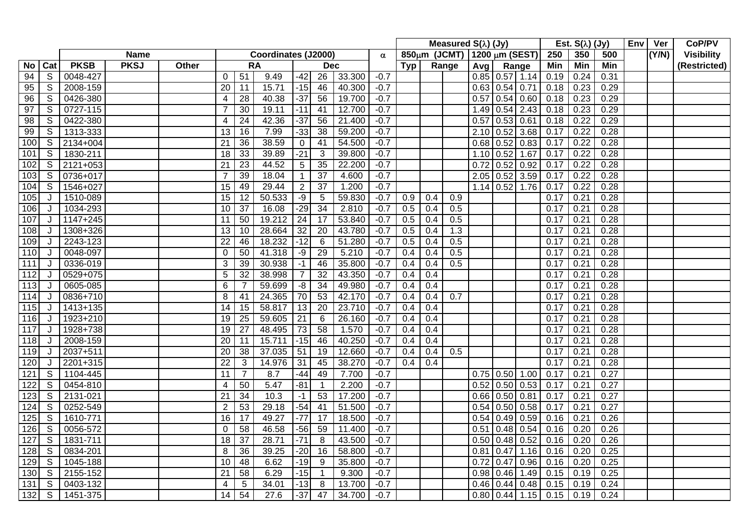|                  |                |             |             |       |                 |                 | Measured $S(\lambda)$ (Jy) |                  |                 |        |          | Est. $S(\lambda)$ (Jy) |                  | Env                         | Ver           | CoP/PV       |                  |      |            |      |  |       |                   |
|------------------|----------------|-------------|-------------|-------|-----------------|-----------------|----------------------------|------------------|-----------------|--------|----------|------------------------|------------------|-----------------------------|---------------|--------------|------------------|------|------------|------|--|-------|-------------------|
|                  |                |             | <b>Name</b> |       |                 |                 | Coordinates (J2000)        |                  |                 |        | $\alpha$ |                        |                  | 850μm (JCMT) 1200 μm (SEST) |               |              |                  | 250  | 350        | 500  |  | (Y/N) | <b>Visibility</b> |
| No.              | Cat            | <b>PKSB</b> | <b>PKSJ</b> | Other |                 |                 | <b>RA</b>                  |                  | <b>Dec</b>      |        |          | Typ                    |                  | Range                       | Avg           |              | Range            | Min  | <b>Min</b> | Min  |  |       | (Restricted)      |
| 94               | S              | 0048-427    |             |       | 0               | 51              | 9.49                       | $-42$            | 26              | 33.300 | $-0.7$   |                        |                  |                             |               |              | $0.85$ 0.57 1.14 | 0.19 | 0.24       | 0.31 |  |       |                   |
| 95               | $\overline{s}$ | 2008-159    |             |       | $\overline{20}$ | $\overline{11}$ | 15.71                      | $-15$            | 46              | 40.300 | $-0.7$   |                        |                  |                             | $0.63$ 0.54   |              | 0.71             | 0.18 | 0.23       | 0.29 |  |       |                   |
| 96               | S              | 0426-380    |             |       | 4               | 28              | 40.38                      | $-37$            | 56              | 19.700 | $-0.7$   |                        |                  |                             | 0.57          | 0.54         | 0.60             | 0.18 | 0.23       | 0.29 |  |       |                   |
| 97               | S              | 0727-115    |             |       | $\overline{7}$  | 30              | 19.11                      | $-11$            | 41              | 12.700 | $-0.7$   |                        |                  |                             | 1.49          | 0.54         | 2.43             | 0.18 | 0.23       | 0.29 |  |       |                   |
| 98               | S              | 0422-380    |             |       | 4               | 24              | 42.36                      | $-37$            | 56              | 21.400 | $-0.7$   |                        |                  |                             | 0.57          | 0.53         | 0.61             | 0.18 | 0.22       | 0.29 |  |       |                   |
| 99               | S              | 1313-333    |             |       | 13              | 16              | 7.99                       | $-33$            | 38              | 59.200 | $-0.7$   |                        |                  |                             | 2.10          | 0.52         | 3.68             | 0.17 | 0.22       | 0.28 |  |       |                   |
| 100              | S              | 2134+004    |             |       | 21              | 36              | 38.59                      | $\boldsymbol{0}$ | 41              | 54.500 | $-0.7$   |                        |                  |                             | 0.68          | 0.52         | 0.83             | 0.17 | 0.22       | 0.28 |  |       |                   |
| 101              | S              | 1830-211    |             |       | 18              | 33              | 39.89                      | $-21$            | 3               | 39.800 | $-0.7$   |                        |                  |                             | 1.10          | 0.52         | 1.67             | 0.17 | 0.22       | 0.28 |  |       |                   |
| 102              | S              | 2121+053    |             |       | 21              | $\overline{23}$ | 44.52                      | $5\phantom{.0}$  | 35              | 22.200 | $-0.7$   |                        |                  |                             | 0.72          | 0.52         | 0.92             | 0.17 | 0.22       | 0.28 |  |       |                   |
| 103              | S              | 0736+017    |             |       | $\overline{7}$  | 39              | 18.04                      | $\mathbf 1$      | $\overline{37}$ | 4.600  | $-0.7$   |                        |                  |                             | 2.05          | 0.52         | 3.59             | 0.17 | 0.22       | 0.28 |  |       |                   |
| 104              | $\overline{s}$ | 1546+027    |             |       | $\overline{15}$ | 49              | 29.44                      | $\sqrt{2}$       | $\overline{37}$ | 1.200  | $-0.7$   |                        |                  |                             | 1.14          | 0.52         | 1.76             | 0.17 | 0.22       | 0.28 |  |       |                   |
| 105              | J              | 1510-089    |             |       | $\overline{15}$ | 12              | 50.533                     | -9               | 5               | 59.830 | $-0.7$   | 0.9                    | 0.4              | 0.9                         |               |              |                  | 0.17 | 0.21       | 0.28 |  |       |                   |
| 106              | J              | 1034-293    |             |       | $\overline{10}$ | $\overline{37}$ | 16.08                      | $-29$            | 34              | 2.810  | $-0.7$   | 0.5                    | $\overline{0.4}$ | 0.5                         |               |              |                  | 0.17 | 0.21       | 0.28 |  |       |                   |
| 107              | J              | 1147+245    |             |       | 11              | 50              | 19.212                     | $\overline{24}$  | $\overline{17}$ | 53.840 | $-0.7$   | 0.5                    | 0.4              | 0.5                         |               |              |                  | 0.17 | 0.21       | 0.28 |  |       |                   |
| 108              | J              | 1308+326    |             |       | $\overline{13}$ | $\overline{10}$ | 28.664                     | 32               | 20              | 43.780 | $-0.7$   | 0.5                    | 0.4              | $\overline{1.3}$            |               |              |                  | 0.17 | 0.21       | 0.28 |  |       |                   |
| 109              | J              | 2243-123    |             |       | 22              | 46              | 18.232                     | $-12$            | 6               | 51.280 | $-0.7$   | 0.5                    | 0.4              | 0.5                         |               |              |                  | 0.17 | 0.21       | 0.28 |  |       |                   |
| 110              | J              | 0048-097    |             |       | $\Omega$        | 50              | 41.318                     | $-9$             | 29              | 5.210  | $-0.7$   | 0.4                    | 0.4              | 0.5                         |               |              |                  | 0.17 | 0.21       | 0.28 |  |       |                   |
| 111              | J              | 0336-019    |             |       | 3               | 39              | 30.938                     | $-1$             | 46              | 35.800 | $-0.7$   | 0.4                    | 0.4              | 0.5                         |               |              |                  | 0.17 | 0.21       | 0.28 |  |       |                   |
| 112              | J              | 0529+075    |             |       | 5               | 32              | 38.998                     | $\overline{7}$   | $\overline{32}$ | 43.350 | $-0.7$   | 0.4                    | 0.4              |                             |               |              |                  | 0.17 | 0.21       | 0.28 |  |       |                   |
| 113              | J              | 0605-085    |             |       | $6\phantom{1}6$ | 7               | 59.699                     | -8               | $\overline{34}$ | 49.980 | $-0.7$   | 0.4                    | 0.4              |                             |               |              |                  | 0.17 | 0.21       | 0.28 |  |       |                   |
| 114              | J              | 0836+710    |             |       | 8               | 41              | 24.365                     | 70               | 53              | 42.170 | $-0.7$   | 0.4                    | 0.4              | 0.7                         |               |              |                  | 0.17 | 0.21       | 0.28 |  |       |                   |
| 115              | J              | 1413+135    |             |       | 14              | 15              | 58.817                     | 13               | 20              | 23.710 | $-0.7$   | 0.4                    | 0.4              |                             |               |              |                  | 0.17 | 0.21       | 0.28 |  |       |                   |
| 116              | J              | 1923+210    |             |       | 19              | $\overline{25}$ | 59.605                     | $\overline{21}$  | 6               | 26.160 | $-0.7$   | 0.4                    | 0.4              |                             |               |              |                  | 0.17 | 0.21       | 0.28 |  |       |                   |
| 117              | J              | 1928+738    |             |       | 19              | 27              | 48.495                     | 73               | $\overline{58}$ | 1.570  | $-0.7$   | 0.4                    | 0.4              |                             |               |              |                  | 0.17 | 0.21       | 0.28 |  |       |                   |
| 118              | J              | 2008-159    |             |       | 20              | 11              | 15.711                     | $-15$            | 46              | 40.250 | $-0.7$   | 0.4                    | 0.4              |                             |               |              |                  | 0.17 | 0.21       | 0.28 |  |       |                   |
| 119              | J              | 2037+511    |             |       | 20              | 38              | 37.035                     | 51               | 19              | 12.660 | $-0.7$   | 0.4                    | 0.4              | 0.5                         |               |              |                  | 0.17 | 0.21       | 0.28 |  |       |                   |
| 120              | J              | 2201+315    |             |       | 22              | 3               | 14.976                     | 31               | 45              | 38.270 | $-0.7$   | 0.4                    | 0.4              |                             |               |              |                  | 0.17 | 0.21       | 0.28 |  |       |                   |
| 121              | S              | 1104-445    |             |       | 11              | $\overline{7}$  | 8.7                        | $-44$            | 49              | 7.700  | $-0.7$   |                        |                  |                             | $0.75$ 0.50   |              | 1.00             | 0.17 | 0.21       | 0.27 |  |       |                   |
| 122              | S              | 0454-810    |             |       | $\overline{4}$  | 50              | 5.47                       | $-81$            | $\mathbf 1$     | 2.200  | $-0.7$   |                        |                  |                             | 0.52          | 0.50         | 0.53             | 0.17 | 0.21       | 0.27 |  |       |                   |
| 123              | S              | 2131-021    |             |       | 21              | 34              | 10.3                       | $-1$             | 53              | 17.200 | $-0.7$   |                        |                  |                             | 0.66          | 0.50         | 0.81             | 0.17 | 0.21       | 0.27 |  |       |                   |
| 124              | S              | 0252-549    |             |       | $\overline{2}$  | 53              | 29.18                      | $-54$            | 41              | 51.500 | $-0.7$   |                        |                  |                             | 0.54          | $\vert$ 0.50 | 0.58             | 0.17 | 0.21       | 0.27 |  |       |                   |
| 125              | S              | 1610-771    |             |       | $\overline{16}$ | $\overline{17}$ | 49.27                      | $-77$            | $\overline{17}$ | 18.500 | $-0.7$   |                        |                  |                             | $0.54$ 0.49   |              | 0.59             | 0.16 | 0.21       | 0.26 |  |       |                   |
| 126              | S              | 0056-572    |             |       | $\mathbf 0$     | 58              | 46.58                      | $-56$            | 59              | 11.400 | $-0.7$   |                        |                  |                             | 0.51          | 0.48         | 0.54             | 0.16 | 0.20       | 0.26 |  |       |                   |
| 127              | S              | 1831-711    |             |       | 18              | 37              | 28.71                      | $-71$            | 8               | 43.500 | $-0.7$   |                        |                  |                             | $0.50 \ 0.48$ |              | 0.52             | 0.16 | 0.20       | 0.26 |  |       |                   |
| 128              | $\mathsf{S}$   | 0834-201    |             |       | 8               | 36              | 39.25                      | $-20$            | 16              | 58.800 | $-0.7$   |                        |                  |                             | 0.81          | 0.47         | 1.16             | 0.16 | 0.20       | 0.25 |  |       |                   |
| $\overline{129}$ | S              | 1045-188    |             |       | $\overline{10}$ | 48              | 6.62                       | $-19$            | 9               | 35.800 | $-0.7$   |                        |                  |                             | 0.72          | 0.47         | 0.96             | 0.16 | 0.20       | 0.25 |  |       |                   |
| 130              | S              | 2155-152    |             |       | 21              | 58              | 6.29                       | $-15$            | 1               | 9.300  | $-0.7$   |                        |                  |                             | $0.98$ 0.46   |              | 1.49             | 0.15 | 0.19       | 0.25 |  |       |                   |
| 131              | $\overline{s}$ | 0403-132    |             |       | 4               | 5               | 34.01                      | $-13$            | 8               | 13.700 | $-0.7$   |                        |                  |                             | 0.46          | 0.44         | 0.48             | 0.15 | 0.19       | 0.24 |  |       |                   |
| 132              | $\overline{s}$ | 1451-375    |             |       | 14              | 54              | 27.6                       | $-37$            | 47              | 34.700 | $-0.7$   |                        |                  |                             | 0.80   0.44   |              | 1.15             | 0.15 | 0.19       | 0.24 |  |       |                   |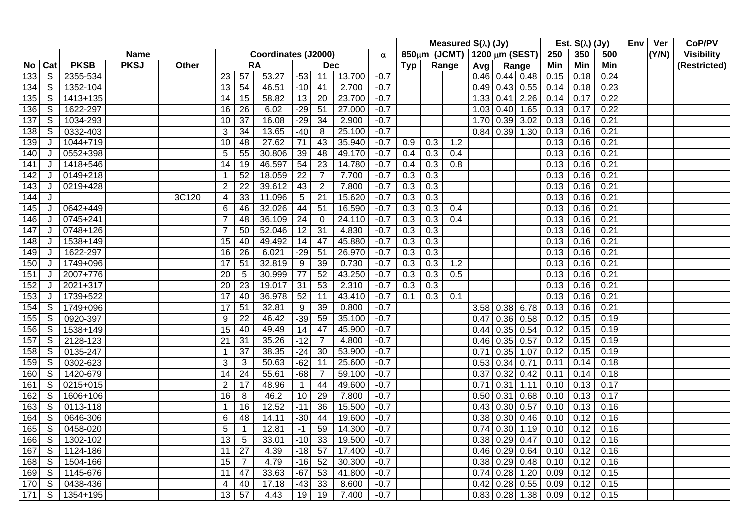|                  |                |              |             |       |                         |                 |                     |                  |                 |        |          |                  |     | Measured $S(\lambda)$ (Jy)  |             |                  |                  |      | Est. $S(\lambda)$ (Jy) |      | Env Ver | CoP/PV            |
|------------------|----------------|--------------|-------------|-------|-------------------------|-----------------|---------------------|------------------|-----------------|--------|----------|------------------|-----|-----------------------------|-------------|------------------|------------------|------|------------------------|------|---------|-------------------|
|                  |                |              | <b>Name</b> |       |                         |                 | Coordinates (J2000) |                  |                 |        | $\alpha$ |                  |     | 850μm (JCMT) 1200 μm (SEST) |             |                  |                  | 250  | 350                    | 500  | (Y/N)   | <b>Visibility</b> |
| No               | Cat            | <b>PKSB</b>  | <b>PKSJ</b> | Other |                         |                 | <b>RA</b>           |                  | <b>Dec</b>      |        |          | Tvp              |     | Range                       | Avg         |                  | Range            | Min  | Min                    | Min  |         | (Restricted)      |
| 133              | S              | 2355-534     |             |       | 23                      | 57              | 53.27               | $-53$            | 11              | 13.700 | $-0.7$   |                  |     |                             |             |                  | $0.46$ 0.44 0.48 | 0.15 | 0.18                   | 0.24 |         |                   |
| 134              | S              | 1352-104     |             |       | 13                      | 54              | 46.51               | $-10$            | 41              | 2.700  | $-0.7$   |                  |     |                             |             |                  | $0.49$ 0.43 0.55 | 0.14 | 0.18                   | 0.23 |         |                   |
| 135              | S              | 1413+135     |             |       | 14                      | 15              | 58.82               | 13               | 20              | 23.700 | $-0.7$   |                  |     |                             |             | 1.33   0.41      | 2.26             | 0.14 | 0.17                   | 0.22 |         |                   |
| 136              | S              | 1622-297     |             |       | 16                      | 26              | 6.02                | $-29$            | $\overline{51}$ | 27.000 | $-0.7$   |                  |     |                             |             | 1.03   0.40      | 1.65             | 0.13 | 0.17                   | 0.22 |         |                   |
| 137              | S              | 1034-293     |             |       | 10                      | 37              | 16.08               | $-29$            | 34              | 2.900  | $-0.7$   |                  |     |                             |             | $1.70$ 0.39      | 3.02             | 0.13 | 0.16                   | 0.21 |         |                   |
| 138              | ${\mathbb S}$  | 0332-403     |             |       | $\sqrt{3}$              | 34              | 13.65               | $-40$            | 8               | 25.100 | $-0.7$   |                  |     |                             |             | $0.84$ 0.39      | 1.30             | 0.13 | 0.16                   | 0.21 |         |                   |
| 139              | J              | 1044+719     |             |       | 10                      | 48              | 27.62               | 71               | 43              | 35.940 | $-0.7$   | 0.9              | 0.3 | 1.2                         |             |                  |                  | 0.13 | 0.16                   | 0.21 |         |                   |
| 140              | J              | 0552+398     |             |       | 5                       | 55              | 30.806              | 39               | 48              | 49.170 | $-0.7$   | 0.4              | 0.3 | 0.4                         |             |                  |                  | 0.13 | 0.16                   | 0.21 |         |                   |
| 141              | J              | 1418+546     |             |       | 14                      | 19              | 46.597              | 54               | $\overline{23}$ | 14.780 | $-0.7$   | 0.4              | 0.3 | 0.8                         |             |                  |                  | 0.13 | 0.16                   | 0.21 |         |                   |
| $\overline{142}$ | J              | $0149 + 218$ |             |       | -1                      | $\overline{52}$ | 18.059              | $\overline{22}$  | $\overline{7}$  | 7.700  | $-0.7$   | 0.3              | 0.3 |                             |             |                  |                  | 0.13 | 0.16                   | 0.21 |         |                   |
| 143              | J              | 0219+428     |             |       | $\overline{2}$          | $\overline{22}$ | 39.612              | 43               | $\overline{2}$  | 7.800  | $-0.7$   | $\overline{0.3}$ | 0.3 |                             |             |                  |                  | 0.13 | 0.16                   | 0.21 |         |                   |
| 144              | J              |              |             | 3C120 | 4                       | 33              | 11.096              | 5                | $\overline{21}$ | 15.620 | $-0.7$   | $\overline{0.3}$ | 0.3 |                             |             |                  |                  | 0.13 | 0.16                   | 0.21 |         |                   |
| 145              | J              | 0642+449     |             |       | $6\phantom{1}6$         | 46              | 32.026              | 44               | $\overline{51}$ | 16.590 | $-0.7$   | $\overline{0.3}$ | 0.3 | 0.4                         |             |                  |                  | 0.13 | 0.16                   | 0.21 |         |                   |
| 146              | J              | 0745+241     |             |       | $\overline{7}$          | 48              | 36.109              | 24               | $\mathbf 0$     | 24.110 | $-0.7$   | 0.3              | 0.3 | 0.4                         |             |                  |                  | 0.13 | 0.16                   | 0.21 |         |                   |
| $\overline{147}$ | J              | 0748+126     |             |       | $\overline{7}$          | 50              | 52.046              | $\overline{12}$  | $\overline{31}$ | 4.830  | $-0.7$   | 0.3              | 0.3 |                             |             |                  |                  | 0.13 | 0.16                   | 0.21 |         |                   |
| 148              | J              | 1538+149     |             |       | $\overline{15}$         | 40              | 49.492              | 14               | 47              | 45.880 | $-0.7$   | 0.3              | 0.3 |                             |             |                  |                  | 0.13 | 0.16                   | 0.21 |         |                   |
| 149              | J              | 1622-297     |             |       | 16                      | 26              | 6.021               | $-29$            | 51              | 26.970 | $-0.7$   | 0.3              | 0.3 |                             |             |                  |                  | 0.13 | 0.16                   | 0.21 |         |                   |
| 150              | J              | 1749+096     |             |       | 17                      | 51              | 32.819              | $\boldsymbol{9}$ | 39              | 0.730  | $-0.7$   | 0.3              | 0.3 | 1.2                         |             |                  |                  | 0.13 | 0.16                   | 0.21 |         |                   |
| 151              | J              | 2007+776     |             |       | 20                      | 5               | 30.999              | 77               | 52              | 43.250 | $-0.7$   | 0.3              | 0.3 | 0.5                         |             |                  |                  | 0.13 | 0.16                   | 0.21 |         |                   |
| 152              | J              | 2021+317     |             |       | $\overline{20}$         | 23              | 19.017              | $\overline{31}$  | 53              | 2.310  | $-0.7$   | 0.3              | 0.3 |                             |             |                  |                  | 0.13 | 0.16                   | 0.21 |         |                   |
| 153              | J              | 1739+522     |             |       | 17                      | 40              | 36.978              | 52               | 11              | 43.410 | $-0.7$   | 0.1              | 0.3 | 0.1                         |             |                  |                  | 0.13 | 0.16                   | 0.21 |         |                   |
| 154              | S              | 1749+096     |             |       | 17                      | 51              | 32.81               | 9                | 39              | 0.800  | $-0.7$   |                  |     |                             | 3.58 0.38   |                  | 6.78             | 0.13 | 0.16                   | 0.21 |         |                   |
| 155              | S              | 0920-397     |             |       | 9                       | 22              | 46.42               | $-39$            | 59              | 35.100 | $-0.7$   |                  |     |                             | 0.47        | 0.36             | 0.58             | 0.12 | 0.15                   | 0.19 |         |                   |
| 156              | ${\mathbb S}$  | 1538+149     |             |       | 15                      | 40              | 49.49               | 14               | 47              | 45.900 | $-0.7$   |                  |     |                             |             |                  | $0.44$ 0.35 0.54 | 0.12 | 0.15                   | 0.19 |         |                   |
| 157              | ${\mathbb S}$  | 2128-123     |             |       | 21                      | 31              | 35.26               | $-12$            | $\overline{7}$  | 4.800  | $-0.7$   |                  |     |                             |             |                  | $0.46$ 0.35 0.57 | 0.12 | 0.15                   | 0.19 |         |                   |
| 158              | ${\mathbb S}$  | 0135-247     |             |       | 1                       | 37              | 38.35               | $-24$            | 30              | 53.900 | $-0.7$   |                  |     |                             |             | $0.71$ 0.35      | 1.07             | 0.12 | 0.15                   | 0.19 |         |                   |
| 159              | S              | 0302-623     |             |       | 3                       | 3               | 50.63               | $-62$            | 11              | 25.600 | $-0.7$   |                  |     |                             | 0.53   0.34 |                  | 0.71             | 0.11 | 0.14                   | 0.18 |         |                   |
| 160              | S              | 1420-679     |             |       | 14                      | 24              | 55.61               | $-68$            | $\overline{7}$  | 59.100 | $-0.7$   |                  |     |                             |             | $0.37$ 0.32      | 0.42             | 0.11 | 0.14                   | 0.18 |         |                   |
| 161              | $\mathsf S$    | 0215+015     |             |       | $\overline{2}$          | 17              | 48.96               | $\overline{1}$   | 44              | 49.600 | $-0.7$   |                  |     |                             | 0.71        | 0.31             | 1.11             | 0.10 | 0.13                   | 0.17 |         |                   |
| 162              | S              | 1606+106     |             |       | 16                      | 8               | 46.2                | 10               | 29              | 7.800  | $-0.7$   |                  |     |                             |             | $0.50$ 0.31      | 0.68             | 0.10 | 0.13                   | 0.17 |         |                   |
| 163              | S              | 0113-118     |             |       | $\overline{1}$          | 16              | 12.52               | $-11$            | 36              | 15.500 | $-0.7$   |                  |     |                             |             | $0.43 \, 0.30$   | 0.57             | 0.10 | 0.13                   | 0.16 |         |                   |
| 164              | S              | 0646-306     |             |       | 6                       | 48              | 14.11               | $-30$            | 44              | 19.600 | $-0.7$   |                  |     |                             |             | $0.38 \mid 0.30$ | 0.46             | 0.10 | 0.12                   | 0.16 |         |                   |
| 165              | S              | 0458-020     |             |       | 5                       |                 | 12.81               | $-1$             | 59              | 14.300 | $-0.7$   |                  |     |                             |             | $0.74$ 0.30      | 1.19             | 0.10 | 0.12                   | 0.16 |         |                   |
| 166              | S              | 1302-102     |             |       | $\overline{13}$         | 5               | 33.01               | $-10$            | 33              | 19.500 | $-0.7$   |                  |     |                             |             | $0.38 \mid 0.29$ | 0.47             | 0.10 | 0.12                   | 0.16 |         |                   |
| 167              | $\mathsf S$    | 1124-186     |             |       | 11                      | 27              | 4.39                | $-18$            | 57              | 17.400 | $-0.7$   |                  |     |                             |             | $0.46$ 0.29      | 0.64             | 0.10 | 0.12                   | 0.16 |         |                   |
| 168              | S              | 1504-166     |             |       | 15                      | $\overline{7}$  | 4.79                | $-16$            | 52              | 30.300 | $-0.7$   |                  |     |                             |             | $0.38$ 0.29      | 0.48             | 0.10 | 0.12                   | 0.16 |         |                   |
| 169              | S              | 1145-676     |             |       | 11                      | 47              | 33.63               | $-67$            | 53              | 41.800 | $-0.7$   |                  |     |                             | $0.74$ 0.28 |                  | 1.20             | 0.09 | 0.12                   | 0.15 |         |                   |
| 170              | $\overline{s}$ | 0438-436     |             |       | $\overline{\mathbf{4}}$ | 40              | 17.18               | $-43$            | 33              | 8.600  | $-0.7$   |                  |     |                             |             | $0.42 \mid 0.28$ | 0.55             | 0.09 | 0.12                   | 0.15 |         |                   |
| $\overline{171}$ | S              | 1354+195     |             |       | 13                      | 57              | 4.43                | 19               | 19              | 7.400  | $-0.7$   |                  |     |                             |             | 0.83   0.28      | 1.38             | 0.09 | 0.12                   | 0.15 |         |                   |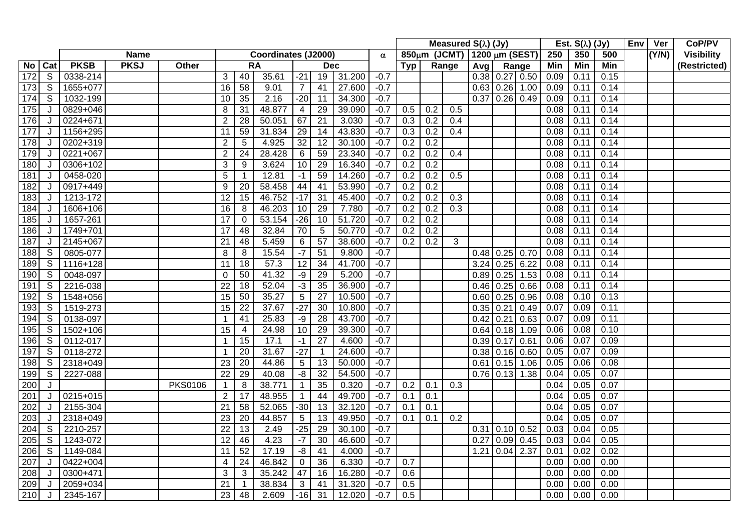|                  |                |              |             |                |                  |                 |                     |                 |                 |        |          |            |                  | Measured $S(\lambda)$ (Jy)  |             |                  |                  |      | Est. $S(\lambda)$ (Jy) |                   | <b>Env</b> | Ver   | CoP/PV            |
|------------------|----------------|--------------|-------------|----------------|------------------|-----------------|---------------------|-----------------|-----------------|--------|----------|------------|------------------|-----------------------------|-------------|------------------|------------------|------|------------------------|-------------------|------------|-------|-------------------|
|                  |                |              | <b>Name</b> |                |                  |                 | Coordinates (J2000) |                 |                 |        | $\alpha$ |            |                  | 850μm (JCMT) 1200 μm (SEST) |             |                  |                  | 250  | 350                    | 500               |            | (Y/N) | <b>Visibility</b> |
| No               | Cat            | <b>PKSB</b>  | <b>PKSJ</b> | Other          |                  |                 | <b>RA</b>           |                 | <b>Dec</b>      |        |          | <b>Typ</b> |                  | Range                       | Avg         |                  | Range            | Min  | <b>Min</b>             | Min               |            |       | (Restricted)      |
| 172              | S              | 0338-214     |             |                | 3                | 40              | 35.61               | $-21$           | 19              | 31.200 | $-0.7$   |            |                  |                             |             |                  | $0.38$ 0.27 0.50 | 0.09 | 0.11                   | 0.15              |            |       |                   |
| 173              | S              | 1655+077     |             |                | $\overline{16}$  | $\overline{58}$ | 9.01                | $\overline{7}$  | 41              | 27.600 | $-0.7$   |            |                  |                             |             | 0.63   0.26      | 1.00             | 0.09 | 0.11                   | 0.14              |            |       |                   |
| 174              | S              | 1032-199     |             |                | 10               | 35              | 2.16                | $-20$           | 11              | 34.300 | $-0.7$   |            |                  |                             |             | 0.37   0.26      | 0.49             | 0.09 | 0.11                   | 0.14              |            |       |                   |
| 175              | J              | 0829+046     |             |                | 8                | 31              | 48.877              | $\overline{4}$  | $\overline{29}$ | 39.090 | $-0.7$   | 0.5        | 0.2              | 0.5                         |             |                  |                  | 0.08 | 0.11                   | 0.14              |            |       |                   |
| 176              | J              | 0224+671     |             |                | $\overline{2}$   | 28              | 50.051              | 67              | 21              | 3.030  | $-0.7$   | 0.3        | 0.2              | 0.4                         |             |                  |                  | 0.08 | 0.11                   | 0.14              |            |       |                   |
| $177$            | J              | 1156+295     |             |                | 11               | 59              | 31.834              | 29              | 14              | 43.830 | $-0.7$   | 0.3        | 0.2              | 0.4                         |             |                  |                  | 0.08 | 0.11                   | 0.14              |            |       |                   |
| 178              | J              | 0202+319     |             |                | $\boldsymbol{2}$ | 5               | 4.925               | $\overline{32}$ | 12              | 30.100 | $-0.7$   | 0.2        | 0.2              |                             |             |                  |                  | 0.08 | 0.11                   | 0.14              |            |       |                   |
| 179              | J              | $0221 + 067$ |             |                | $\overline{2}$   | 24              | 28.428              | $\,6\,$         | 59              | 23.340 | $-0.7$   | 0.2        | 0.2              | 0.4                         |             |                  |                  | 0.08 | 0.11                   | 0.14              |            |       |                   |
| 180              | J              | 0306+102     |             |                | 3                | 9               | 3.624               | 10              | 29              | 16.340 | $-0.7$   | 0.2        | 0.2              |                             |             |                  |                  | 0.08 | 0.11                   | 0.14              |            |       |                   |
| 181              | J              | 0458-020     |             |                | $\overline{5}$   |                 | 12.81               | $-1$            | 59              | 14.260 | $-0.7$   | 0.2        | 0.2              | $\overline{0.5}$            |             |                  |                  | 0.08 | 0.11                   | 0.14              |            |       |                   |
| 182              | J              | 0917+449     |             |                | 9                | 20              | 58.458              | 44              | 41              | 53.990 | $-0.7$   | 0.2        | 0.2              |                             |             |                  |                  | 0.08 | 0.11                   | 0.14              |            |       |                   |
| 183              | J              | 1213-172     |             |                | $\overline{12}$  | $\overline{15}$ | 46.752              | $-17$           | 31              | 45.400 | $-0.7$   | 0.2        | 0.2              | $\overline{0.3}$            |             |                  |                  | 0.08 | 0.11                   | 0.14              |            |       |                   |
| 184              | J              | 1606+106     |             |                | $\overline{16}$  | 8               | 46.203              | 10              | 29              | 7.780  | $-0.7$   | 0.2        | $\overline{0.2}$ | $\overline{0.3}$            |             |                  |                  | 0.08 | 0.11                   | 0.14              |            |       |                   |
| 185              | J              | 1657-261     |             |                | $\overline{17}$  | 0               | 53.154              | $-26$           | 10              | 51.720 | $-0.7$   | 0.2        | 0.2              |                             |             |                  |                  | 0.08 | 0.11                   | 0.14              |            |       |                   |
| 186              | J              | 1749+701     |             |                | 17               | 48              | 32.84               | 70              | 5               | 50.770 | $-0.7$   | 0.2        | 0.2              |                             |             |                  |                  | 0.08 | 0.11                   | 0.14              |            |       |                   |
| 187              | J              | 2145+067     |             |                | 21               | 48              | 5.459               | 6               | $\overline{57}$ | 38.600 | $-0.7$   | 0.2        | 0.2              | $\overline{3}$              |             |                  |                  | 0.08 | 0.11                   | 0.14              |            |       |                   |
| 188              | S              | 0805-077     |             |                | 8                | 8               | 15.54               | $-7$            | 51              | 9.800  | $-0.7$   |            |                  |                             |             | $0.48$ 0.25      | 0.70             | 0.08 | 0.11                   | 0.14              |            |       |                   |
| 189              | $\mathsf S$    | 1116+128     |             |                | 11               | 18              | 57.3                | 12              | $\overline{34}$ | 41.700 | $-0.7$   |            |                  |                             | 3.24        | 0.25             | 6.22             | 0.08 | 0.11                   | 0.14              |            |       |                   |
| 190              | S              | 0048-097     |             |                | $\mathbf 0$      | 50              | 41.32               | -9              | 29              | 5.200  | $-0.7$   |            |                  |                             | $0.89$ 0.25 |                  | 1.53             | 0.08 | 0.11                   | 0.14              |            |       |                   |
| 191              | $\overline{S}$ | 2216-038     |             |                | 22               | $\overline{18}$ | 52.04               | $-3$            | 35              | 36.900 | $-0.7$   |            |                  |                             |             | $0.46$ 0.25      | 0.66             | 0.08 | 0.11                   | 0.14              |            |       |                   |
| 192              | S              | 1548+056     |             |                | 15               | 50              | 35.27               | $\overline{5}$  | 27              | 10.500 | $-0.7$   |            |                  |                             |             | $0.60$ 0.25      | 0.96             | 0.08 | 0.10                   | 0.13              |            |       |                   |
| 193              | ${\mathsf S}$  | 1519-273     |             |                | 15               | $\overline{22}$ | 37.67               | $-27$           | 30              | 10.800 | $-0.7$   |            |                  |                             | 0.35        | 0.21             | 0.49             | 0.07 | 0.09                   | 0.11              |            |       |                   |
| 194              | S              | 0138-097     |             |                |                  | 41              | 25.83               | -9              | 28              | 43.700 | $-0.7$   |            |                  |                             | $0.42$ 0.21 |                  | 0.63             | 0.07 | 0.09                   | 0.11              |            |       |                   |
| 195              | $\mathsf{S}$   | 1502+106     |             |                | 15               | $\overline{4}$  | 24.98               | 10              | 29              | 39.300 | $-0.7$   |            |                  |                             |             | $0.64$ 0.18      | 1.09             | 0.06 | 0.08                   | 0.10              |            |       |                   |
| 196              | S              | 0112-017     |             |                |                  | 15              | 17.1                | $-1$            | $\overline{27}$ | 4.600  | $-0.7$   |            |                  |                             |             | $0.39$ 0.17 0.61 |                  | 0.06 | 0.07                   | 0.09              |            |       |                   |
| 197              | $\mathsf{S}$   | 0118-272     |             |                | -1               | 20              | 31.67               | $-27$           |                 | 24.600 | $-0.7$   |            |                  |                             |             | $0.38 \mid 0.16$ | 0.60             | 0.05 | 0.07                   | 0.09              |            |       |                   |
| 198              | S              | 2318+049     |             |                | 23               | 20              | 44.86               | $\overline{5}$  | 13              | 50.000 | $-0.7$   |            |                  |                             |             | $0.61$ 0.15      | 1.06             | 0.05 | 0.06                   | 0.08              |            |       |                   |
| 199              | S              | 2227-088     |             |                | 22               | 29              | 40.08               | -8              | $\overline{32}$ | 54.500 | $-0.7$   |            |                  |                             |             | $0.76$ 0.13      | 1.38             | 0.04 | 0.05                   | 0.07              |            |       |                   |
| 200              | J              |              |             | <b>PKS0106</b> | $\mathbf 1$      | 8               | 38.771              | $\overline{1}$  | $\overline{35}$ | 0.320  | $-0.7$   | 0.2        | 0.1              | 0.3                         |             |                  |                  | 0.04 | 0.05                   | 0.07              |            |       |                   |
| 201              | J              | 0215+015     |             |                | $\overline{2}$   | 17              | 48.955              | -1              | 44              | 49.700 | $-0.7$   | 0.1        | 0.1              |                             |             |                  |                  | 0.04 | 0.05                   | 0.07              |            |       |                   |
| 202              | J              | 2155-304     |             |                | 21               | 58              | 52.065              | $-30$           | 13              | 32.120 | $-0.7$   | 0.1        | 0.1              |                             |             |                  |                  | 0.04 | 0.05                   | 0.07              |            |       |                   |
| 203              | J              | 2318+049     |             |                | $\overline{23}$  | $\overline{20}$ | 44.857              | 5               | 13              | 49.950 | $-0.7$   | 0.1        | 0.1              | 0.2                         |             |                  |                  | 0.04 | 0.05                   | 0.07              |            |       |                   |
| 204              | S              | 2210-257     |             |                | 22               | 13              | 2.49                | $-25$           | 29              | 30.100 | $-0.7$   |            |                  |                             |             |                  | $0.31$ 0.10 0.52 | 0.03 | 0.04                   | 0.05              |            |       |                   |
| 205              | S              | 1243-072     |             |                | $\overline{12}$  | 46              | 4.23                | $-7$            | $\overline{30}$ | 46.600 | $-0.7$   |            |                  |                             | 0.27        | 0.09             | 0.45             | 0.03 | 0.04                   | 0.05              |            |       |                   |
| 206              | S              | 1149-084     |             |                | 11               | 52              | 17.19               | -8              | 41              | 4.000  | $-0.7$   |            |                  |                             |             |                  | $1.21$ 0.04 2.37 | 0.01 | 0.02                   | 0.02              |            |       |                   |
| 207              | J              | 0422+004     |             |                | $\overline{4}$   | $\overline{24}$ | 46.842              | $\mathbf 0$     | $\overline{36}$ | 6.330  | $-0.7$   | 0.7        |                  |                             |             |                  |                  | 0.00 | 0.00                   | $\overline{0.00}$ |            |       |                   |
| 208              | J              | 0300+471     |             |                | 3                | 3               | 35.242              | 47              | 16              | 16.280 | $-0.7$   | 0.6        |                  |                             |             |                  |                  | 0.00 | 0.00                   | 0.00              |            |       |                   |
| 209              | J              | 2059+034     |             |                | $\overline{21}$  |                 | 38.834              | 3               | 41              | 31.320 | $-0.7$   | 0.5        |                  |                             |             |                  |                  | 0.00 | 0.00                   | 0.00              |            |       |                   |
| $\overline{210}$ | J              | 2345-167     |             |                | 23               | 48              | 2.609               | $-16$           | 31              | 12.020 | $-0.7$   | 0.5        |                  |                             |             |                  |                  | 0.00 | 0.00                   | 0.00              |            |       |                   |